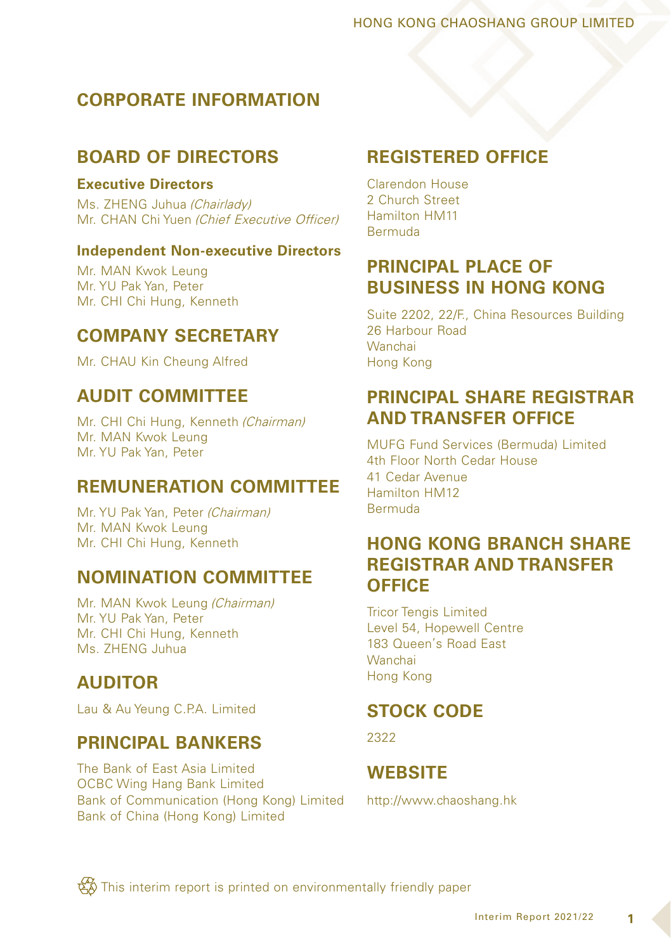## **CORPORATE INFORMATION**

## **BOARD OF DIRECTORS**

### **Executive Directors**

Ms. ZHENG Juhua (Chairlady) Mr. CHAN Chi Yuen (Chief Executive Officer)

### **Independent Non-executive Directors**

Mr. MAN Kwok Leung Mr. YU Pak Yan, Peter Mr. CHI Chi Hung, Kenneth

## **COMPANY SECRETARY**

Mr. CHAU Kin Cheung Alfred

## **AUDIT COMMITTEE**

Mr. CHI Chi Hung, Kenneth (Chairman) Mr. MAN Kwok Leung Mr. YU Pak Yan, Peter

## **REMUNERATION COMMITTEE**

Mr. YU Pak Yan, Peter (Chairman) Mr. MAN Kwok Leung Mr. CHI Chi Hung, Kenneth

## **NOMINATION COMMITTEE**

Mr. MAN Kwok Leung (Chairman) Mr. YU Pak Yan, Peter Mr. CHI Chi Hung, Kenneth Ms. ZHENG Juhua

## **AUDITOR**

Lau & Au Yeung C.P.A. Limited

## **PRINCIPAL BANKERS**

The Bank of East Asia Limited OCBC Wing Hang Bank Limited Bank of Communication (Hong Kong) Limited Bank of China (Hong Kong) Limited

## **REGISTERED OFFICE**

Clarendon House 2 Church Street Hamilton HM11 Bermuda

## **PRINCIPAL PLACE OF BUSINESS IN HONG KONG**

Suite 2202, 22/F., China Resources Building 26 Harbour Road Wanchai Hong Kong

## **PRINCIPAL SHARE REGISTRAR AND TRANSFER OFFICE**

MUFG Fund Services (Bermuda) Limited 4th Floor North Cedar House 41 Cedar Avenue Hamilton HM12 Bermuda

## **HONG KONG BRANCH SHARE REGISTRAR AND TRANSFER OFFICE**

Tricor Tengis Limited Level 54, Hopewell Centre 183 Queen's Road East **Wanchai** Hong Kong

## **STOCK CODE**

2322

## **WEBSITE**

http://www.chaoshang.hk

**资**) This interim report is printed on environmentally friendly paper

**1**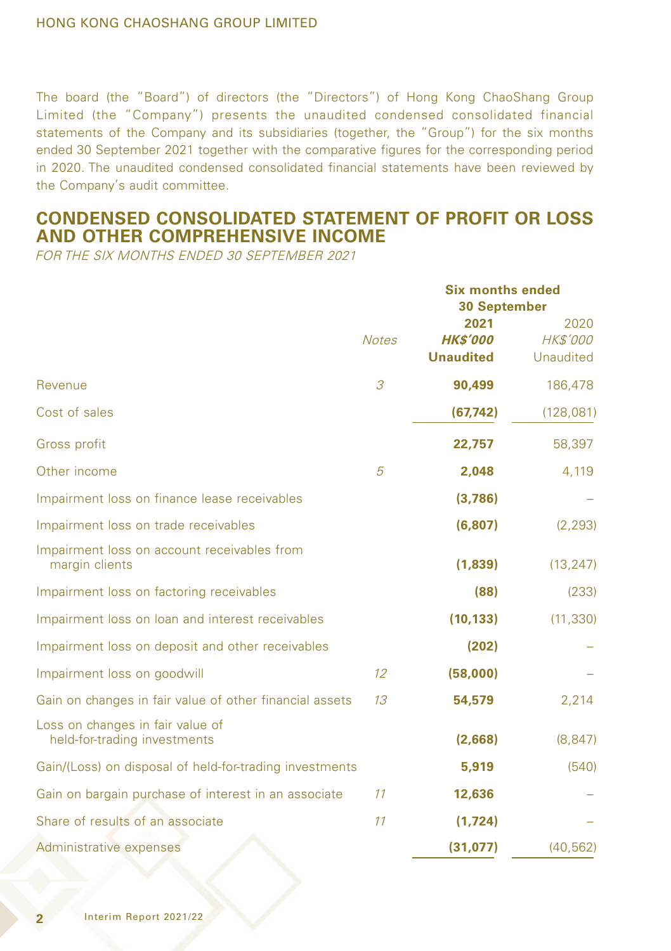The board (the "Board") of directors (the "Directors") of Hong Kong ChaoShang Group Limited (the "Company") presents the unaudited condensed consolidated financial statements of the Company and its subsidiaries (together, the "Group") for the six months ended 30 September 2021 together with the comparative figures for the corresponding period in 2020. The unaudited condensed consolidated financial statements have been reviewed by the Company's audit committee.

## **CONDENSED CONSOLIDATED STATEMENT OF PROFIT OR LOSS AND OTHER COMPREHENSIVE INCOME**

FOR THE SIX MONTHS ENDED 30 SEPTEMBER 2021

|                                                                  |              | <b>Six months ended</b><br><b>30 September</b> |                                             |  |  |
|------------------------------------------------------------------|--------------|------------------------------------------------|---------------------------------------------|--|--|
|                                                                  | <b>Notes</b> | 2021<br><b>HK\$'000</b><br><b>Unaudited</b>    | 2020<br><b>HK\$'000</b><br><b>Unaudited</b> |  |  |
| Revenue                                                          | 3            | 90,499                                         | 186,478                                     |  |  |
| Cost of sales                                                    |              | (67, 742)                                      | (128,081)                                   |  |  |
| Gross profit                                                     |              | 22,757                                         | 58,397                                      |  |  |
| Other income                                                     | 5            | 2,048                                          | 4,119                                       |  |  |
| Impairment loss on finance lease receivables                     |              | (3,786)                                        |                                             |  |  |
| Impairment loss on trade receivables                             |              | (6, 807)                                       | (2, 293)                                    |  |  |
| Impairment loss on account receivables from<br>margin clients    |              | (1,839)                                        | (13, 247)                                   |  |  |
| Impairment loss on factoring receivables                         |              | (88)                                           | (233)                                       |  |  |
| Impairment loss on loan and interest receivables                 |              | (10, 133)                                      | (11, 330)                                   |  |  |
| Impairment loss on deposit and other receivables                 |              | (202)                                          |                                             |  |  |
| Impairment loss on goodwill                                      | 12           | (58,000)                                       |                                             |  |  |
| Gain on changes in fair value of other financial assets          | 13           | 54,579                                         | 2,214                                       |  |  |
| Loss on changes in fair value of<br>held-for-trading investments |              | (2,668)                                        | (8, 847)                                    |  |  |
| Gain/(Loss) on disposal of held-for-trading investments          |              | 5,919                                          | (540)                                       |  |  |
| Gain on bargain purchase of interest in an associate             | 11           | 12,636                                         |                                             |  |  |
| Share of results of an associate                                 | 11           | (1, 724)                                       |                                             |  |  |
| Administrative expenses                                          |              | (31, 077)                                      | (40, 562)                                   |  |  |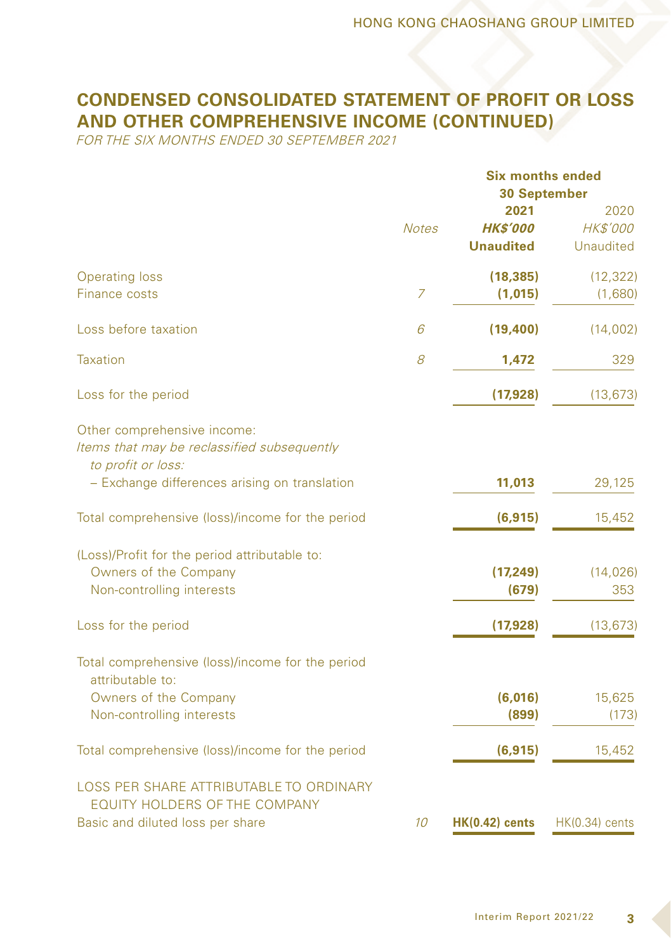## **CONDENSED CONSOLIDATED STATEMENT OF PROFIT OR LOSS AND OTHER COMPREHENSIVE INCOME (CONTINUED)**

FOR THE SIX MONTHS ENDED 30 SEPTEMBER 2021

|                                                                                                                            |              | <b>Six months ended</b><br><b>30 September</b> |                                             |  |
|----------------------------------------------------------------------------------------------------------------------------|--------------|------------------------------------------------|---------------------------------------------|--|
|                                                                                                                            | <b>Notes</b> | 2021<br><b>HK\$'000</b><br><b>Unaudited</b>    | 2020<br><b>HK\$'000</b><br><b>Unaudited</b> |  |
| <b>Operating loss</b><br>Finance costs                                                                                     | 7            | (18, 385)<br>(1,015)                           | (12, 322)<br>(1,680)                        |  |
| Loss before taxation                                                                                                       | 6            | (19, 400)                                      | (14,002)                                    |  |
| <b>Taxation</b>                                                                                                            | 8            | 1,472                                          | 329                                         |  |
| Loss for the period                                                                                                        |              | (17, 928)                                      | (13, 673)                                   |  |
| Other comprehensive income:<br>Items that may be reclassified subsequently<br>to profit or loss:                           |              |                                                |                                             |  |
| - Exchange differences arising on translation                                                                              |              | 11,013                                         | 29,125                                      |  |
| Total comprehensive (loss)/income for the period                                                                           |              | (6, 915)                                       | 15,452                                      |  |
| (Loss)/Profit for the period attributable to:<br>Owners of the Company<br>Non-controlling interests                        |              | (17, 249)<br>(679)                             | (14, 026)<br>353                            |  |
| Loss for the period                                                                                                        |              | (17, 928)                                      | (13, 673)                                   |  |
| Total comprehensive (loss)/income for the period<br>attributable to:<br>Owners of the Company<br>Non-controlling interests |              | (6,016)<br>(899)                               | 15,625<br>(173)                             |  |
| Total comprehensive (loss)/income for the period                                                                           |              | (6, 915)                                       | 15,452                                      |  |
| LOSS PER SHARE ATTRIBUTABLE TO ORDINARY<br>EQUITY HOLDERS OF THE COMPANY<br>Basic and diluted loss per share               | 10           | <b>HK(0.42)</b> cents                          | $HK(0.34)$ cents                            |  |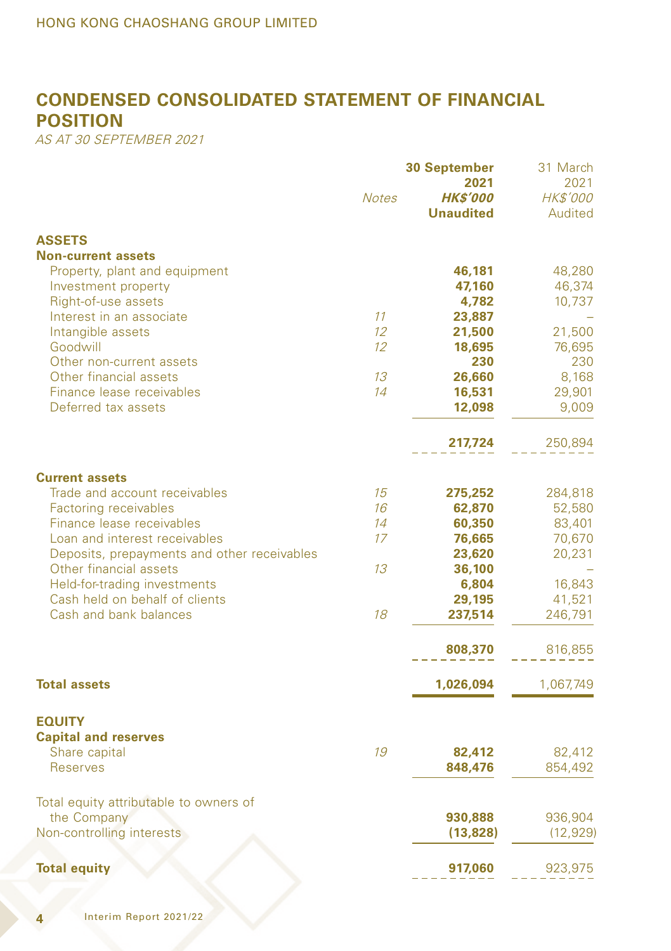## **CONDENSED CONSOLIDATED STATEMENT OF FINANCIAL POSITION**

AS AT 30 SEPTEMBER 2021

|                                                                | <b>Notes</b> | <b>30 September</b><br>2021<br><b>HK\$'000</b><br><b>Unaudited</b> | 31 March<br>2021<br>HK\$'000 |
|----------------------------------------------------------------|--------------|--------------------------------------------------------------------|------------------------------|
|                                                                |              |                                                                    | Audited                      |
| <b>ASSETS</b><br><b>Non-current assets</b>                     |              |                                                                    |                              |
| Property, plant and equipment                                  |              | 46,181                                                             | 48,280                       |
| Investment property                                            |              | 47,160                                                             | 46,374                       |
| Right-of-use assets                                            |              | 4,782                                                              | 10,737                       |
| Interest in an associate                                       | 11           | 23,887                                                             |                              |
| Intangible assets                                              | 12           | 21,500                                                             | 21,500                       |
| Goodwill                                                       | 12           | 18,695                                                             | 76,695                       |
| Other non-current assets                                       |              | 230                                                                | 230                          |
| Other financial assets                                         | 13           | 26,660                                                             | 8,168                        |
| Finance lease receivables                                      | 14           | 16,531                                                             | 29,901                       |
| Deferred tax assets                                            |              | 12,098                                                             | 9,009                        |
|                                                                |              | 217,724                                                            | 250,894                      |
| <b>Current assets</b>                                          |              |                                                                    |                              |
| Trade and account receivables                                  | 15           | 275,252                                                            | 284,818                      |
| <b>Factoring receivables</b>                                   | 16           | 62,870                                                             | 52,580                       |
| Finance lease receivables                                      | 14           | 60,350                                                             | 83,401                       |
| Loan and interest receivables                                  | 17           | 76,665                                                             | 70,670                       |
| Deposits, prepayments and other receivables                    |              | 23,620                                                             | 20,231                       |
| Other financial assets                                         | 13           | 36,100                                                             |                              |
| Held-for-trading investments<br>Cash held on behalf of clients |              | 6,804<br>29,195                                                    | 16,843<br>41,521             |
| Cash and bank balances                                         | 18           | 237,514                                                            | 246,791                      |
|                                                                |              |                                                                    |                              |
|                                                                |              | 808,370                                                            | 816,855                      |
| <b>Total assets</b>                                            |              | 1,026,094                                                          | 1,067,749                    |
| <b>EQUITY</b>                                                  |              |                                                                    |                              |
| <b>Capital and reserves</b>                                    |              |                                                                    |                              |
| Share capital                                                  | 19           | 82,412                                                             | 82,412                       |
| <b>Reserves</b>                                                |              | 848,476                                                            | 854,492                      |
| Total equity attributable to owners of                         |              |                                                                    |                              |
| the Company                                                    |              | 930,888                                                            | 936,904                      |
| Non-controlling interests                                      |              | (13, 828)                                                          | (12, 929)                    |
| <b>Total equity</b>                                            |              | 917,060                                                            | 923,975                      |
|                                                                |              |                                                                    |                              |

**4** Interim Report 2021/22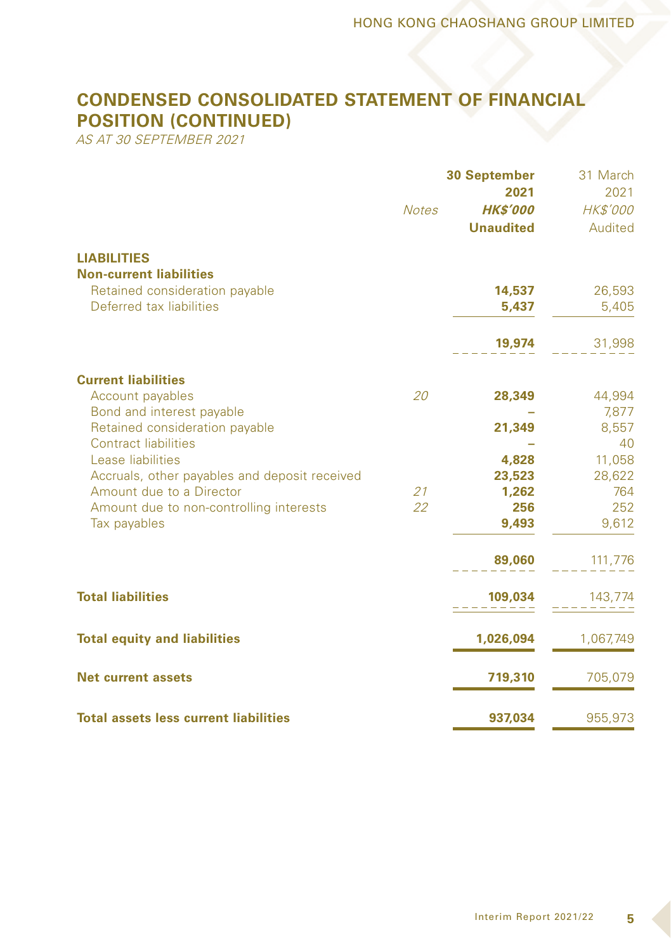## **CONDENSED CONSOLIDATED STATEMENT OF FINANCIAL POSITION (CONTINUED)**

AS AT 30 SEPTEMBER 2021

|                                               | <b>Notes</b> | <b>30 September</b><br>2021<br><b>HK\$'000</b><br><b>Unaudited</b> | 31 March<br>2021<br>HK\$'000<br>Audited |
|-----------------------------------------------|--------------|--------------------------------------------------------------------|-----------------------------------------|
| <b>LIABILITIES</b>                            |              |                                                                    |                                         |
| <b>Non-current liabilities</b>                |              |                                                                    |                                         |
| Retained consideration payable                |              | 14,537                                                             | 26,593                                  |
| Deferred tax liabilities                      |              | 5,437                                                              | 5,405                                   |
|                                               |              | 19,974                                                             | 31,998                                  |
| <b>Current liabilities</b>                    |              |                                                                    |                                         |
| Account payables                              | 20           | 28,349                                                             | 44,994                                  |
| Bond and interest payable                     |              |                                                                    | 7,877                                   |
| Retained consideration payable                |              | 21,349                                                             | 8,557                                   |
| <b>Contract liabilities</b>                   |              |                                                                    | 40                                      |
| Lease liabilities                             |              | 4,828                                                              | 11,058                                  |
| Accruals, other payables and deposit received |              | 23,523                                                             | 28,622                                  |
| Amount due to a Director                      | 21           | 1,262                                                              | 764                                     |
| Amount due to non-controlling interests       | 22           | 256                                                                | 252                                     |
| Tax payables                                  |              | 9,493                                                              | 9,612                                   |
|                                               |              | 89,060                                                             | 111,776                                 |
| <b>Total liabilities</b>                      |              | 109,034                                                            | 143,774                                 |
| <b>Total equity and liabilities</b>           |              | 1,026,094                                                          | 1,067,749                               |
| <b>Net current assets</b>                     |              | 719,310                                                            | 705,079                                 |
| <b>Total assets less current liabilities</b>  |              | 937,034                                                            | 955,973                                 |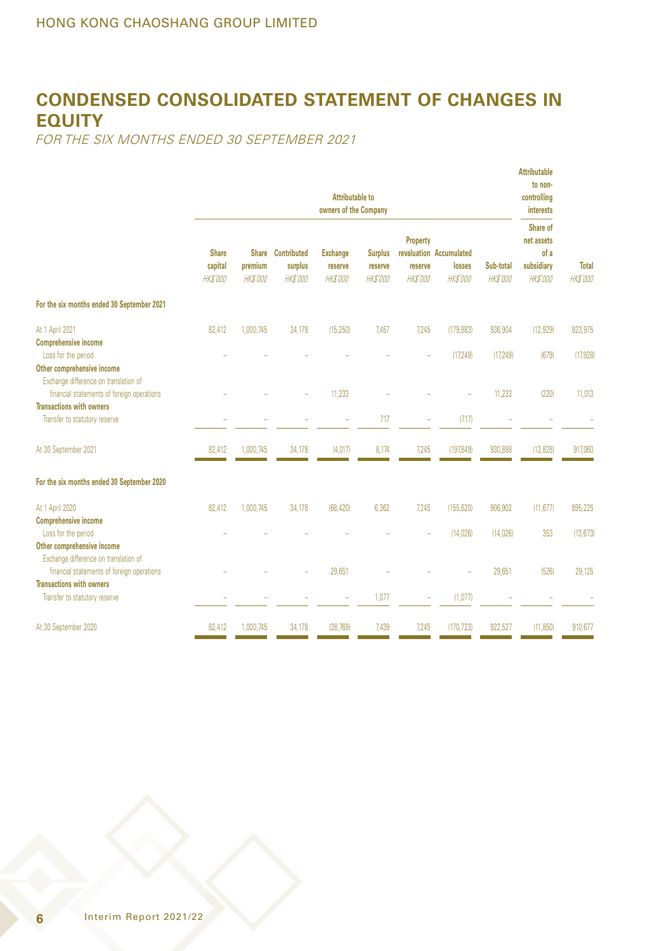## **CONDENSED CONSOLIDATED STATEMENT OF CHANGES IN EQUITY**

FOR THE SIX MONTHS ENDED 30 SEPTEMBER 2021

|                                                                                                                   |                                            | <b>Attributable to</b><br>owners of the Company |                                                 |                                               |                                             |                                        |                                                     | Attributable<br>to non-<br>controlling<br>interests |                                                                 |                          |
|-------------------------------------------------------------------------------------------------------------------|--------------------------------------------|-------------------------------------------------|-------------------------------------------------|-----------------------------------------------|---------------------------------------------|----------------------------------------|-----------------------------------------------------|-----------------------------------------------------|-----------------------------------------------------------------|--------------------------|
|                                                                                                                   | <b>Share</b><br>capital<br><b>HK\$'000</b> | premium<br><b>HK\$'000</b>                      | Share Contributed<br>surplus<br><b>HK\$'000</b> | <b>Exchange</b><br>reserve<br><b>HK\$'000</b> | <b>Surplus</b><br>reserve<br><b>HKS'000</b> | Property<br>reserve<br><b>HK\$'000</b> | revaluation Accumulated<br>losses<br><b>HKS'000</b> | Sub-total<br><b>HKS'000</b>                         | Share of<br>net assets<br>of a<br>subsidiary<br><b>HK\$'000</b> | Total<br><b>HK\$'000</b> |
| For the six months ended 30 September 2021                                                                        |                                            |                                                 |                                                 |                                               |                                             |                                        |                                                     |                                                     |                                                                 |                          |
| At 1 April 2021<br><b>Comprehensive income</b><br>Loss for the period                                             | 82.412                                     | 1,000,745                                       | 34,178                                          | (15, 250)                                     | 7.457                                       | 7.245                                  | (179, 883)<br>(17, 249)                             | 936,904<br>(17, 249)                                | (12, 929)<br>(679)                                              | 923,975<br>(17,928)      |
| Other comprehensive income<br>Exchange difference on translation of<br>financial statements of foreign operations |                                            |                                                 |                                                 | 11,233                                        |                                             |                                        |                                                     | 11,233                                              | (220)                                                           | 11,013                   |
| <b>Transactions with owners</b><br>Transfer to statutory reserve                                                  |                                            |                                                 |                                                 |                                               | 717                                         |                                        | (717)                                               |                                                     |                                                                 |                          |
| At 30 September 2021                                                                                              | 82.412                                     | 1,000,745                                       | 34,178                                          | (4,017)                                       | 8,174                                       | 7,245                                  | (197, 849)                                          | 930,888                                             | (13, 828)                                                       | 917,060                  |
| For the six months ended 30 September 2020                                                                        |                                            |                                                 |                                                 |                                               |                                             |                                        |                                                     |                                                     |                                                                 |                          |
| At 1 April 2020<br><b>Comprehensive income</b>                                                                    | 82.412                                     | 1,000,745                                       | 34,178                                          | (68, 420)                                     | 6,362                                       | 7.245                                  | (155, 620)                                          | 906,902                                             | (11, 677)                                                       | 895,225                  |
| Loss for the period<br>Other comprehensive income<br>Exchange difference on translation of                        |                                            |                                                 |                                                 |                                               |                                             |                                        | (14, 026)                                           | (14, 026)                                           | 353                                                             | (13, 673)                |
| financial statements of foreign operations<br><b>Transactions with owners</b>                                     |                                            |                                                 |                                                 | 29,651                                        |                                             |                                        |                                                     | 29.651                                              | (526)                                                           | 29.125                   |
| Transfer to statutory reserve                                                                                     |                                            |                                                 |                                                 |                                               | 1,077                                       | ä,                                     | (1,077)                                             |                                                     |                                                                 |                          |
| At 30 September 2020                                                                                              | 82,412                                     | 1,000,745                                       | 34,178                                          | (38,769)                                      | 7,439                                       | 7,245                                  | (170, 723)                                          | 922,527                                             | (11, 850)                                                       | 910,677                  |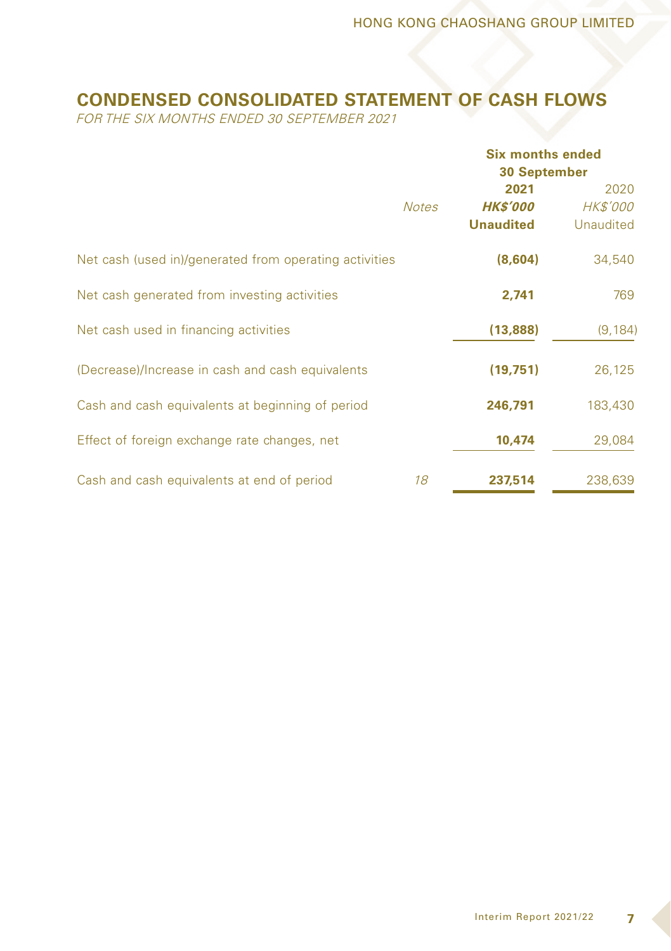## **CONDENSED CONSOLIDATED STATEMENT OF CASH FLOWS**

FOR THE SIX MONTHS ENDED 30 SEPTEMBER 2021

|                                                        |              | <b>Six months ended</b><br><b>30 September</b> |                                      |  |
|--------------------------------------------------------|--------------|------------------------------------------------|--------------------------------------|--|
|                                                        | <b>Notes</b> | 2021<br><b>HK\$'000</b><br><b>Unaudited</b>    | 2020<br><b>HK\$'000</b><br>Unaudited |  |
| Net cash (used in)/generated from operating activities |              | (8,604)                                        | 34,540                               |  |
| Net cash generated from investing activities           |              | 2,741                                          | 769                                  |  |
| Net cash used in financing activities                  |              | (13,888)                                       | (9, 184)                             |  |
| (Decrease)/Increase in cash and cash equivalents       |              | (19,751)                                       | 26,125                               |  |
| Cash and cash equivalents at beginning of period       |              | 246,791                                        | 183,430                              |  |
| Effect of foreign exchange rate changes, net           |              | 10,474                                         | 29,084                               |  |
| Cash and cash equivalents at end of period             | 18           | 237.514                                        | 238,639                              |  |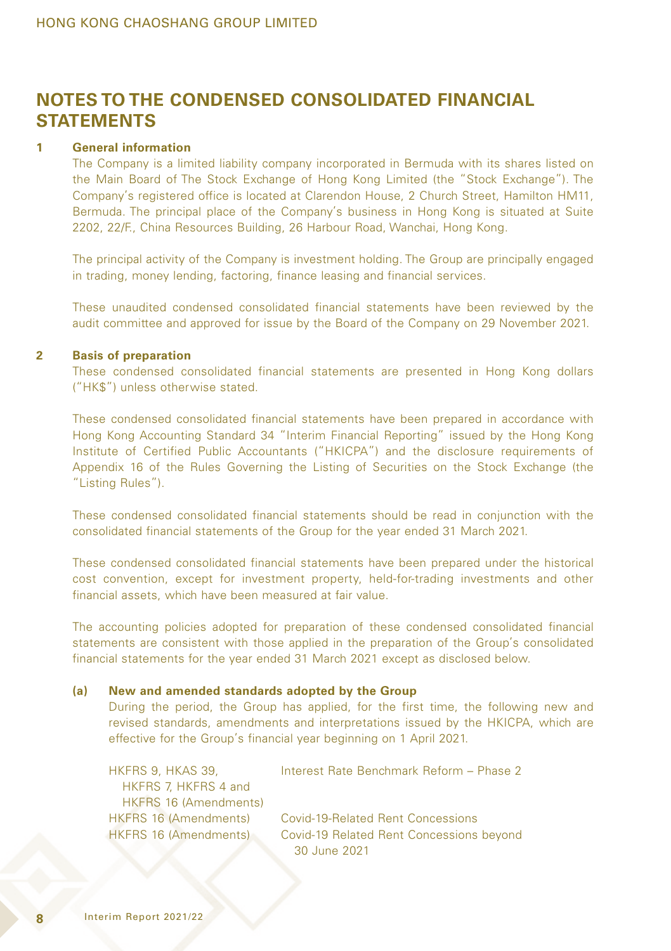## **NOTES TO THE CONDENSED CONSOLIDATED FINANCIAL STATEMENTS**

#### **1 General information**

The Company is a limited liability company incorporated in Bermuda with its shares listed on the Main Board of The Stock Exchange of Hong Kong Limited (the "Stock Exchange"). The Company's registered office is located at Clarendon House, 2 Church Street, Hamilton HM11, Bermuda. The principal place of the Company's business in Hong Kong is situated at Suite 2202, 22/F., China Resources Building, 26 Harbour Road, Wanchai, Hong Kong.

The principal activity of the Company is investment holding. The Group are principally engaged in trading, money lending, factoring, finance leasing and financial services.

These unaudited condensed consolidated financial statements have been reviewed by the audit committee and approved for issue by the Board of the Company on 29 November 2021.

#### **2 Basis of preparation**

These condensed consolidated financial statements are presented in Hong Kong dollars ("HK\$") unless otherwise stated.

These condensed consolidated financial statements have been prepared in accordance with Hong Kong Accounting Standard 34 "Interim Financial Reporting" issued by the Hong Kong Institute of Certified Public Accountants ("HKICPA") and the disclosure requirements of Appendix 16 of the Rules Governing the Listing of Securities on the Stock Exchange (the "Listing Rules").

These condensed consolidated financial statements should be read in conjunction with the consolidated financial statements of the Group for the year ended 31 March 2021.

These condensed consolidated financial statements have been prepared under the historical cost convention, except for investment property, held-for-trading investments and other financial assets, which have been measured at fair value.

The accounting policies adopted for preparation of these condensed consolidated financial statements are consistent with those applied in the preparation of the Group's consolidated financial statements for the year ended 31 March 2021 except as disclosed below.

### **(a) New and amended standards adopted by the Group**

During the period, the Group has applied, for the first time, the following new and revised standards, amendments and interpretations issued by the HKICPA, which are effective for the Group's financial year beginning on 1 April 2021.

| HKFRS 9, HKAS 39,            | Interest Rate Benchmark Reform - Phase 2 |
|------------------------------|------------------------------------------|
| HKFRS 7, HKFRS 4 and         |                                          |
| HKFRS 16 (Amendments)        |                                          |
| <b>HKFRS 16 (Amendments)</b> | <b>Covid-19-Related Rent Concessions</b> |
| <b>HKFRS 16 (Amendments)</b> | Covid-19 Related Rent Concessions beyond |
|                              | 30 June 2021                             |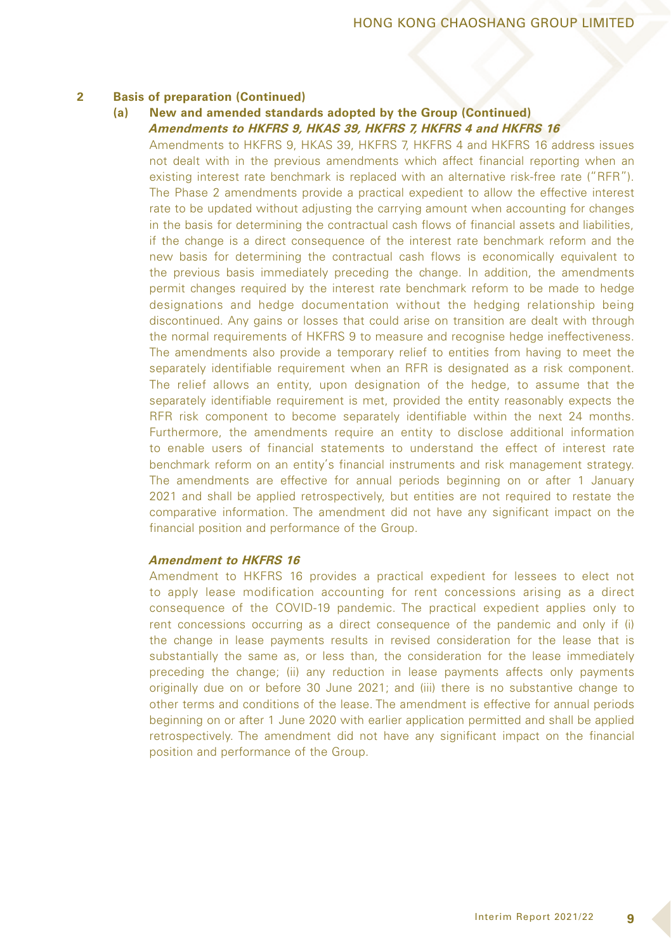#### **(a) New and amended standards adopted by the Group (Continued) Amendments to HKFRS 9, HKAS 39, HKFRS 7, HKFRS 4 and HKFRS 16**

Amendments to HKFRS 9, HKAS 39, HKFRS 7, HKFRS 4 and HKFRS 16 address issues not dealt with in the previous amendments which affect financial reporting when an existing interest rate benchmark is replaced with an alternative risk-free rate ("RFR"). The Phase 2 amendments provide a practical expedient to allow the effective interest rate to be updated without adjusting the carrying amount when accounting for changes in the basis for determining the contractual cash flows of financial assets and liabilities, if the change is a direct consequence of the interest rate benchmark reform and the new basis for determining the contractual cash flows is economically equivalent to the previous basis immediately preceding the change. In addition, the amendments permit changes required by the interest rate benchmark reform to be made to hedge designations and hedge documentation without the hedging relationship being discontinued. Any gains or losses that could arise on transition are dealt with through the normal requirements of HKFRS 9 to measure and recognise hedge ineffectiveness. The amendments also provide a temporary relief to entities from having to meet the separately identifiable requirement when an RFR is designated as a risk component. The relief allows an entity, upon designation of the hedge, to assume that the separately identifiable requirement is met, provided the entity reasonably expects the RFR risk component to become separately identifiable within the next 24 months. Furthermore, the amendments require an entity to disclose additional information to enable users of financial statements to understand the effect of interest rate benchmark reform on an entity's financial instruments and risk management strategy. The amendments are effective for annual periods beginning on or after 1 January 2021 and shall be applied retrospectively, but entities are not required to restate the comparative information. The amendment did not have any significant impact on the financial position and performance of the Group.

### **Amendment to HKFRS 16**

Amendment to HKFRS 16 provides a practical expedient for lessees to elect not to apply lease modification accounting for rent concessions arising as a direct consequence of the COVID-19 pandemic. The practical expedient applies only to rent concessions occurring as a direct consequence of the pandemic and only if (i) the change in lease payments results in revised consideration for the lease that is substantially the same as, or less than, the consideration for the lease immediately preceding the change; (ii) any reduction in lease payments affects only payments originally due on or before 30 June 2021; and (iii) there is no substantive change to other terms and conditions of the lease. The amendment is effective for annual periods beginning on or after 1 June 2020 with earlier application permitted and shall be applied retrospectively. The amendment did not have any significant impact on the financial position and performance of the Group.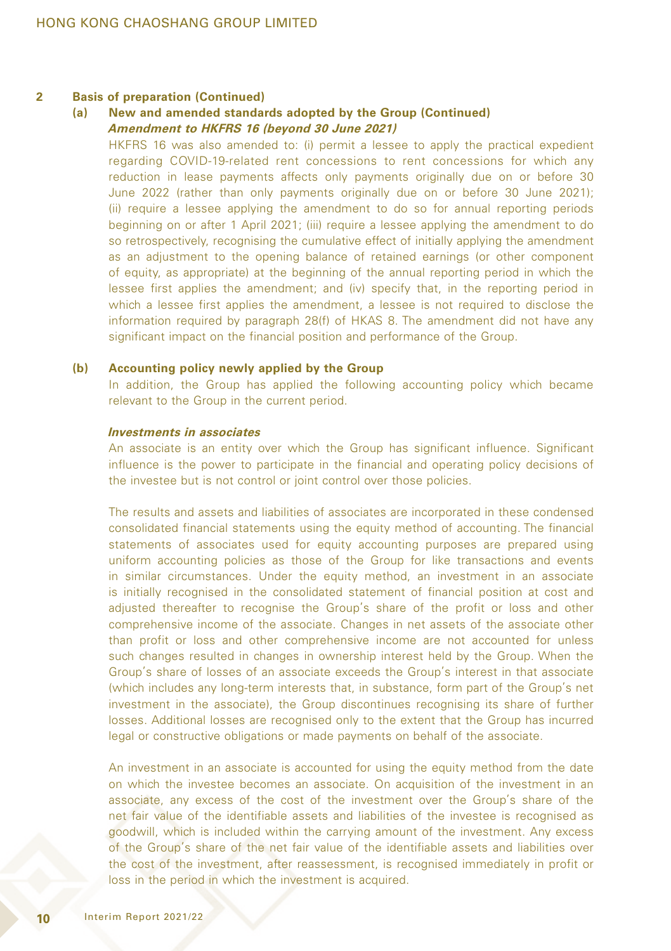### **(a) New and amended standards adopted by the Group (Continued) Amendment to HKFRS 16 (beyond 30 June 2021)**

HKFRS 16 was also amended to: (i) permit a lessee to apply the practical expedient regarding COVID-19-related rent concessions to rent concessions for which any reduction in lease payments affects only payments originally due on or before 30 June 2022 (rather than only payments originally due on or before 30 June 2021); (ii) require a lessee applying the amendment to do so for annual reporting periods beginning on or after 1 April 2021; (iii) require a lessee applying the amendment to do so retrospectively, recognising the cumulative effect of initially applying the amendment as an adjustment to the opening balance of retained earnings (or other component of equity, as appropriate) at the beginning of the annual reporting period in which the lessee first applies the amendment; and (iv) specify that, in the reporting period in which a lessee first applies the amendment, a lessee is not required to disclose the information required by paragraph 28(f) of HKAS 8. The amendment did not have any significant impact on the financial position and performance of the Group.

#### **(b) Accounting policy newly applied by the Group**

In addition, the Group has applied the following accounting policy which became relevant to the Group in the current period.

#### **Investments in associates**

An associate is an entity over which the Group has significant influence. Significant influence is the power to participate in the financial and operating policy decisions of the investee but is not control or joint control over those policies.

The results and assets and liabilities of associates are incorporated in these condensed consolidated financial statements using the equity method of accounting. The financial statements of associates used for equity accounting purposes are prepared using uniform accounting policies as those of the Group for like transactions and events in similar circumstances. Under the equity method, an investment in an associate is initially recognised in the consolidated statement of financial position at cost and adjusted thereafter to recognise the Group's share of the profit or loss and other comprehensive income of the associate. Changes in net assets of the associate other than profit or loss and other comprehensive income are not accounted for unless such changes resulted in changes in ownership interest held by the Group. When the Group's share of losses of an associate exceeds the Group's interest in that associate (which includes any long-term interests that, in substance, form part of the Group's net investment in the associate), the Group discontinues recognising its share of further losses. Additional losses are recognised only to the extent that the Group has incurred legal or constructive obligations or made payments on behalf of the associate.

An investment in an associate is accounted for using the equity method from the date on which the investee becomes an associate. On acquisition of the investment in an associate, any excess of the cost of the investment over the Group's share of the net fair value of the identifiable assets and liabilities of the investee is recognised as goodwill, which is included within the carrying amount of the investment. Any excess of the Group's share of the net fair value of the identifiable assets and liabilities over the cost of the investment, after reassessment, is recognised immediately in profit or loss in the period in which the investment is acquired.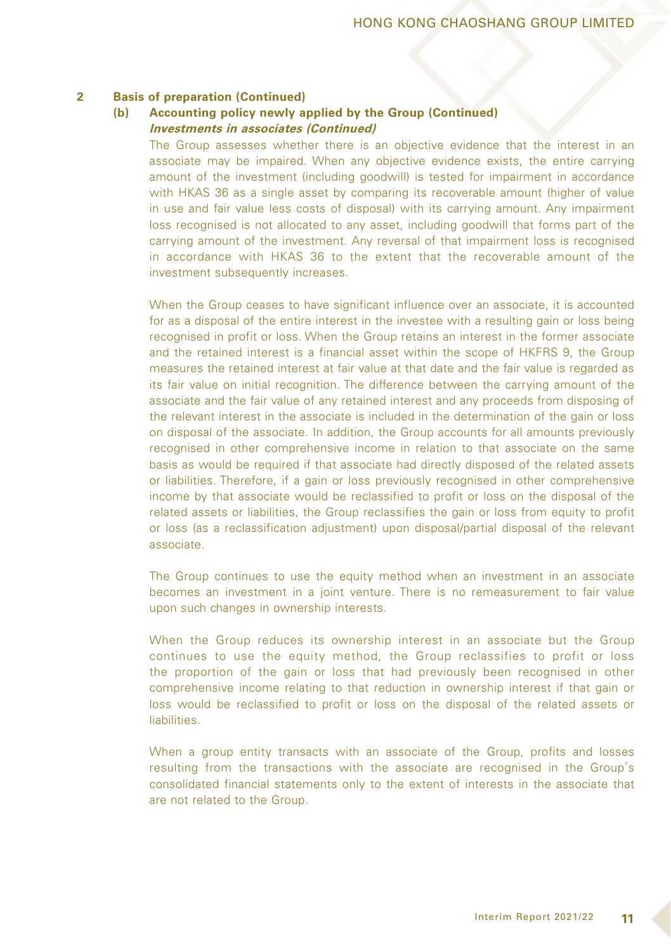### **(b) Accounting policy newly applied by the Group (Continued) Investments in associates (Continued)**

The Group assesses whether there is an objective evidence that the interest in an associate may be impaired. When any objective evidence exists, the entire carrying amount of the investment (including goodwill) is tested for impairment in accordance with HKAS 36 as a single asset by comparing its recoverable amount (higher of value in use and fair value less costs of disposal) with its carrying amount. Any impairment loss recognised is not allocated to any asset, including goodwill that forms part of the carrying amount of the investment. Any reversal of that impairment loss is recognised in accordance with HKAS 36 to the extent that the recoverable amount of the investment subsequently increases.

When the Group ceases to have significant influence over an associate, it is accounted for as a disposal of the entire interest in the investee with a resulting gain or loss being recognised in profit or loss. When the Group retains an interest in the former associate and the retained interest is a financial asset within the scope of HKFRS 9, the Group measures the retained interest at fair value at that date and the fair value is regarded as its fair value on initial recognition. The difference between the carrying amount of the associate and the fair value of any retained interest and any proceeds from disposing of the relevant interest in the associate is included in the determination of the gain or loss on disposal of the associate. In addition, the Group accounts for all amounts previously recognised in other comprehensive income in relation to that associate on the same basis as would be required if that associate had directly disposed of the related assets or liabilities. Therefore, if a gain or loss previously recognised in other comprehensive income by that associate would be reclassified to profit or loss on the disposal of the related assets or liabilities, the Group reclassifies the gain or loss from equity to profit or loss (as a reclassification adjustment) upon disposal/partial disposal of the relevant associate.

The Group continues to use the equity method when an investment in an associate becomes an investment in a joint venture. There is no remeasurement to fair value upon such changes in ownership interests.

When the Group reduces its ownership interest in an associate but the Group continues to use the equity method, the Group reclassifies to profit or loss the proportion of the gain or loss that had previously been recognised in other comprehensive income relating to that reduction in ownership interest if that gain or loss would be reclassified to profit or loss on the disposal of the related assets or **liabilities** 

When a group entity transacts with an associate of the Group, profits and losses resulting from the transactions with the associate are recognised in the Group's consolidated financial statements only to the extent of interests in the associate that are not related to the Group.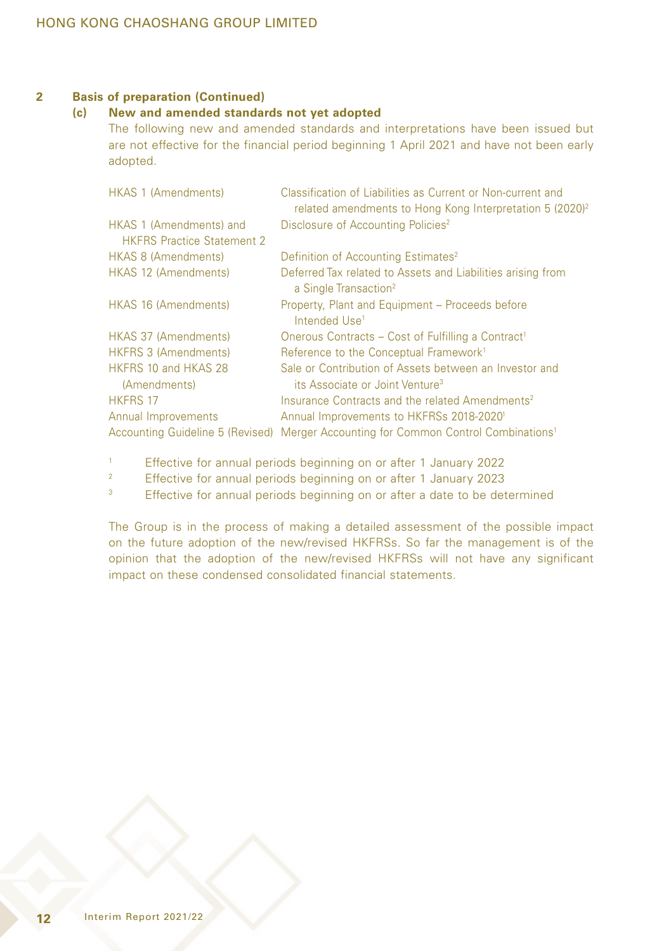### **(c) New and amended standards not yet adopted**

The following new and amended standards and interpretations have been issued but are not effective for the financial period beginning 1 April 2021 and have not been early adopted.

| <b>HKAS 1 (Amendments)</b>        | Classification of Liabilities as Current or Non-current and<br>related amendments to Hong Kong Interpretation 5 (2020) <sup>2</sup> |
|-----------------------------------|-------------------------------------------------------------------------------------------------------------------------------------|
| HKAS 1 (Amendments) and           | Disclosure of Accounting Policies <sup>2</sup>                                                                                      |
| <b>HKFRS Practice Statement 2</b> |                                                                                                                                     |
| <b>HKAS 8 (Amendments)</b>        | Definition of Accounting Estimates <sup>2</sup>                                                                                     |
| HKAS 12 (Amendments)              | Deferred Tax related to Assets and Liabilities arising from<br>a Single Transaction <sup>2</sup>                                    |
| <b>HKAS 16 (Amendments)</b>       | Property, Plant and Equipment - Proceeds before<br>Intended Use <sup>1</sup>                                                        |
| <b>HKAS 37 (Amendments)</b>       | Onerous Contracts - Cost of Fulfilling a Contract <sup>1</sup>                                                                      |
| <b>HKFRS 3 (Amendments)</b>       | Reference to the Conceptual Framework <sup>1</sup>                                                                                  |
| HKFRS 10 and HKAS 28              | Sale or Contribution of Assets between an Investor and                                                                              |
| (Amendments)                      | its Associate or Joint Venture <sup>3</sup>                                                                                         |
| <b>HKFRS 17</b>                   | Insurance Contracts and the related Amendments <sup>2</sup>                                                                         |
| Annual Improvements               | Annual Improvements to HKFRSs 2018-20201                                                                                            |
| Accounting Guideline 5 (Revised)  | Merger Accounting for Common Control Combinations <sup>1</sup>                                                                      |

- 1 Effective for annual periods beginning on or after 1 January 2022
- <sup>2</sup> Effective for annual periods beginning on or after 1 January 2023
- <sup>3</sup> Effective for annual periods beginning on or after a date to be determined

The Group is in the process of making a detailed assessment of the possible impact on the future adoption of the new/revised HKFRSs. So far the management is of the opinion that the adoption of the new/revised HKFRSs will not have any significant impact on these condensed consolidated financial statements.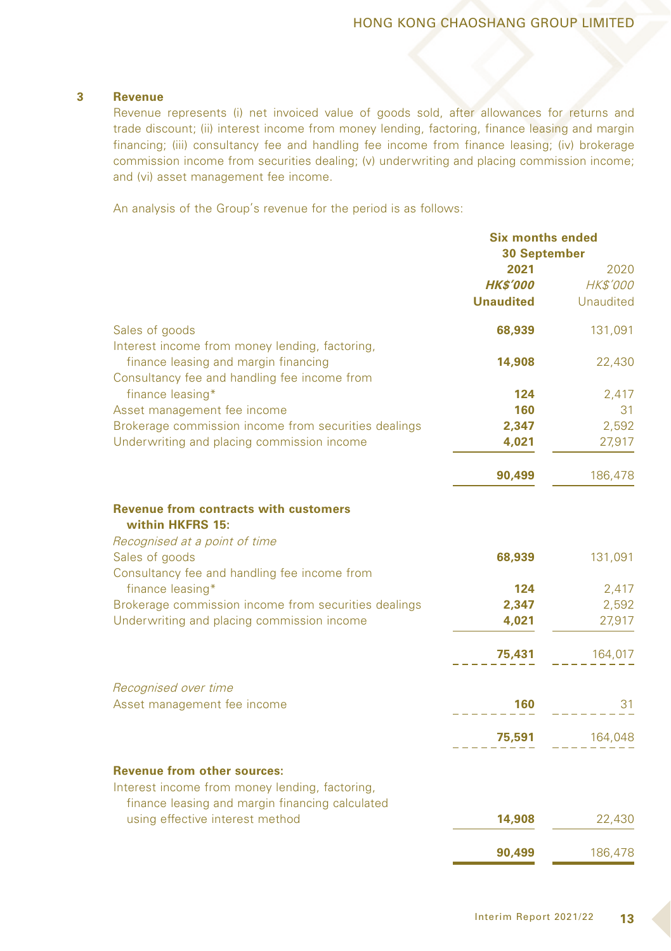### **3 Revenue**

Revenue represents (i) net invoiced value of goods sold, after allowances for returns and trade discount; (ii) interest income from money lending, factoring, finance leasing and margin financing; (iii) consultancy fee and handling fee income from finance leasing; (iv) brokerage commission income from securities dealing; (v) underwriting and placing commission income; and (vi) asset management fee income.

An analysis of the Group's revenue for the period is as follows:

|                                                                                      | <b>Six months ended</b><br><b>30 September</b> |                 |  |
|--------------------------------------------------------------------------------------|------------------------------------------------|-----------------|--|
|                                                                                      | 2021                                           | 2020            |  |
|                                                                                      | <b>HK\$'000</b>                                | <b>HK\$'000</b> |  |
|                                                                                      | <b>Unaudited</b>                               | Unaudited       |  |
| Sales of goods                                                                       | 68,939                                         | 131,091         |  |
| Interest income from money lending, factoring,                                       |                                                |                 |  |
| finance leasing and margin financing<br>Consultancy fee and handling fee income from | 14,908                                         | 22,430          |  |
| finance leasing*                                                                     | 124                                            | 2,417           |  |
| Asset management fee income                                                          | 160                                            | 31              |  |
| Brokerage commission income from securities dealings                                 | 2,347                                          | 2,592           |  |
| Underwriting and placing commission income                                           | 4,021                                          | 27,917          |  |
|                                                                                      | 90,499                                         | 186,478         |  |
| <b>Revenue from contracts with customers</b><br>within HKFRS 15:                     |                                                |                 |  |
| Recognised at a point of time                                                        |                                                |                 |  |
| Sales of goods                                                                       | 68,939                                         | 131,091         |  |
| Consultancy fee and handling fee income from                                         |                                                |                 |  |
| finance leasing*                                                                     | 124                                            | 2,417           |  |
| Brokerage commission income from securities dealings                                 | 2,347                                          | 2,592           |  |
| Underwriting and placing commission income                                           | 4,021                                          | 27,917          |  |
|                                                                                      | 75,431                                         | 164,017         |  |
| Recognised over time                                                                 |                                                |                 |  |
| Asset management fee income                                                          | 160                                            | 31              |  |
|                                                                                      | 75,591                                         | 164,048         |  |
|                                                                                      |                                                |                 |  |
| <b>Revenue from other sources:</b><br>Interest income from money lending, factoring, |                                                |                 |  |
| finance leasing and margin financing calculated                                      |                                                |                 |  |
| using effective interest method                                                      | 14,908                                         | 22,430          |  |
|                                                                                      | 90,499                                         | 186,478         |  |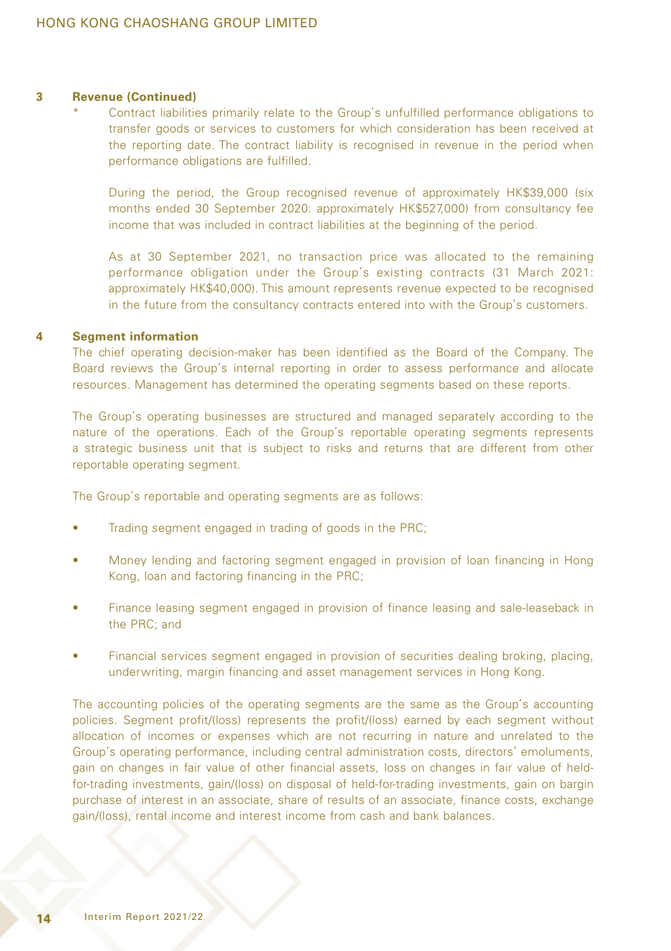#### **3 Revenue (Continued)**

Contract liabilities primarily relate to the Group's unfulfilled performance obligations to transfer goods or services to customers for which consideration has been received at the reporting date. The contract liability is recognised in revenue in the period when performance obligations are fulfilled.

During the period, the Group recognised revenue of approximately HK\$39,000 (six months ended 30 September 2020: approximately HK\$527,000) from consultancy fee income that was included in contract liabilities at the beginning of the period.

As at 30 September 2021, no transaction price was allocated to the remaining performance obligation under the Group's existing contracts (31 March 2021: approximately HK\$40,000). This amount represents revenue expected to be recognised in the future from the consultancy contracts entered into with the Group's customers.

#### **4 Segment information**

The chief operating decision-maker has been identified as the Board of the Company. The Board reviews the Group's internal reporting in order to assess performance and allocate resources. Management has determined the operating segments based on these reports.

The Group's operating businesses are structured and managed separately according to the nature of the operations. Each of the Group's reportable operating segments represents a strategic business unit that is subject to risks and returns that are different from other reportable operating segment.

The Group's reportable and operating segments are as follows:

- Trading segment engaged in trading of goods in the PRC;
- Money lending and factoring segment engaged in provision of loan financing in Hong Kong, loan and factoring financing in the PRC;
- Finance leasing segment engaged in provision of finance leasing and sale-leaseback in the PRC; and
- Financial services segment engaged in provision of securities dealing broking, placing, underwriting, margin financing and asset management services in Hong Kong.

The accounting policies of the operating segments are the same as the Group's accounting policies. Segment profit/(loss) represents the profit/(loss) earned by each segment without allocation of incomes or expenses which are not recurring in nature and unrelated to the Group's operating performance, including central administration costs, directors' emoluments, gain on changes in fair value of other financial assets, loss on changes in fair value of heldfor-trading investments, gain/(loss) on disposal of held-for-trading investments, gain on bargin purchase of interest in an associate, share of results of an associate, finance costs, exchange gain/(loss), rental income and interest income from cash and bank balances.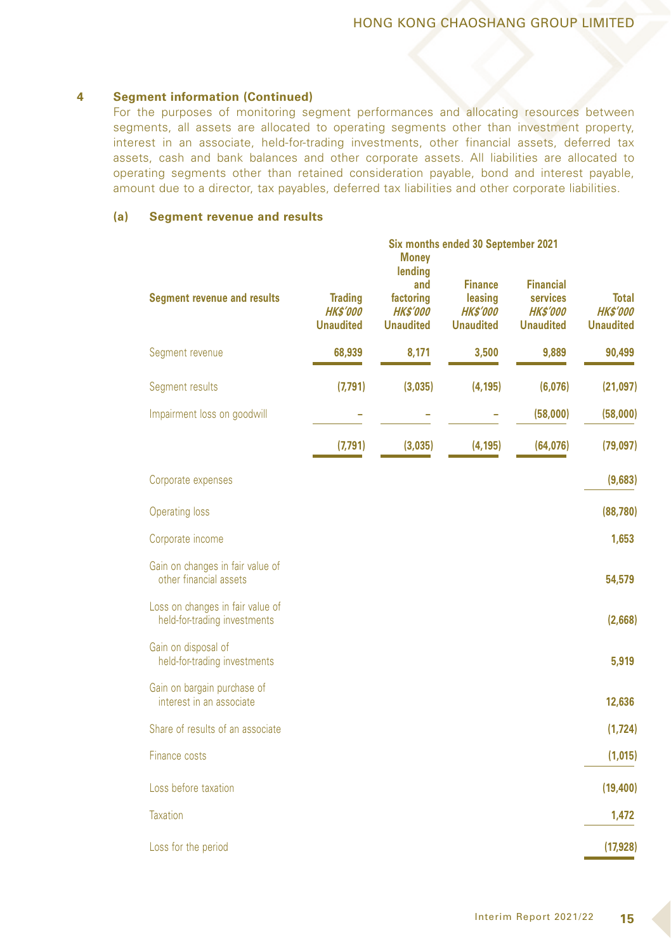For the purposes of monitoring segment performances and allocating resources between segments, all assets are allocated to operating segments other than investment property, interest in an associate, held-for-trading investments, other financial assets, deferred tax assets, cash and bank balances and other corporate assets. All liabilities are allocated to operating segments other than retained consideration payable, bond and interest payable, amount due to a director, tax payables, deferred tax liabilities and other corporate liabilities.

#### **(a) Segment revenue and results**

|                                                                  |                                                       | <b>Money</b><br>lending                                 | Six months ended 30 September 2021                               |                                                                     |                                                     |
|------------------------------------------------------------------|-------------------------------------------------------|---------------------------------------------------------|------------------------------------------------------------------|---------------------------------------------------------------------|-----------------------------------------------------|
| <b>Segment revenue and results</b>                               | <b>Trading</b><br><b>HK\$'000</b><br><b>Unaudited</b> | and<br>factoring<br><b>HK\$'000</b><br><b>Unaudited</b> | <b>Finance</b><br>leasing<br><b>HK\$'000</b><br><b>Unaudited</b> | <b>Financial</b><br>services<br><b>HK\$'000</b><br><b>Unaudited</b> | <b>Total</b><br><b>HK\$'000</b><br><b>Unaudited</b> |
| Segment revenue                                                  | 68,939                                                | 8,171                                                   | 3,500                                                            | 9,889                                                               | 90,499                                              |
| Segment results                                                  | (7,791)                                               | (3,035)                                                 | (4, 195)                                                         | (6,076)                                                             | (21,097)                                            |
| Impairment loss on goodwill                                      |                                                       |                                                         |                                                                  | (58,000)                                                            | (58,000)                                            |
|                                                                  | (7,791)                                               | (3,035)                                                 | (4, 195)                                                         | (64,076)                                                            | (79,097)                                            |
| Corporate expenses                                               |                                                       |                                                         |                                                                  |                                                                     | (9,683)                                             |
| <b>Operating loss</b>                                            |                                                       |                                                         |                                                                  |                                                                     | (88, 780)                                           |
| Corporate income                                                 |                                                       |                                                         |                                                                  |                                                                     | 1,653                                               |
| Gain on changes in fair value of<br>other financial assets       |                                                       |                                                         |                                                                  |                                                                     | 54,579                                              |
| Loss on changes in fair value of<br>held-for-trading investments |                                                       |                                                         |                                                                  |                                                                     | (2,668)                                             |
| Gain on disposal of<br>held-for-trading investments              |                                                       |                                                         |                                                                  |                                                                     | 5,919                                               |
| Gain on bargain purchase of<br>interest in an associate          |                                                       |                                                         |                                                                  |                                                                     | 12,636                                              |
| Share of results of an associate                                 |                                                       |                                                         |                                                                  |                                                                     | (1, 724)                                            |
| Finance costs                                                    |                                                       |                                                         |                                                                  |                                                                     | (1,015)                                             |
| Loss before taxation                                             |                                                       |                                                         |                                                                  |                                                                     | (19, 400)                                           |
| <b>Taxation</b>                                                  |                                                       |                                                         |                                                                  |                                                                     | 1,472                                               |
| Loss for the period                                              |                                                       |                                                         |                                                                  |                                                                     | (17, 928)                                           |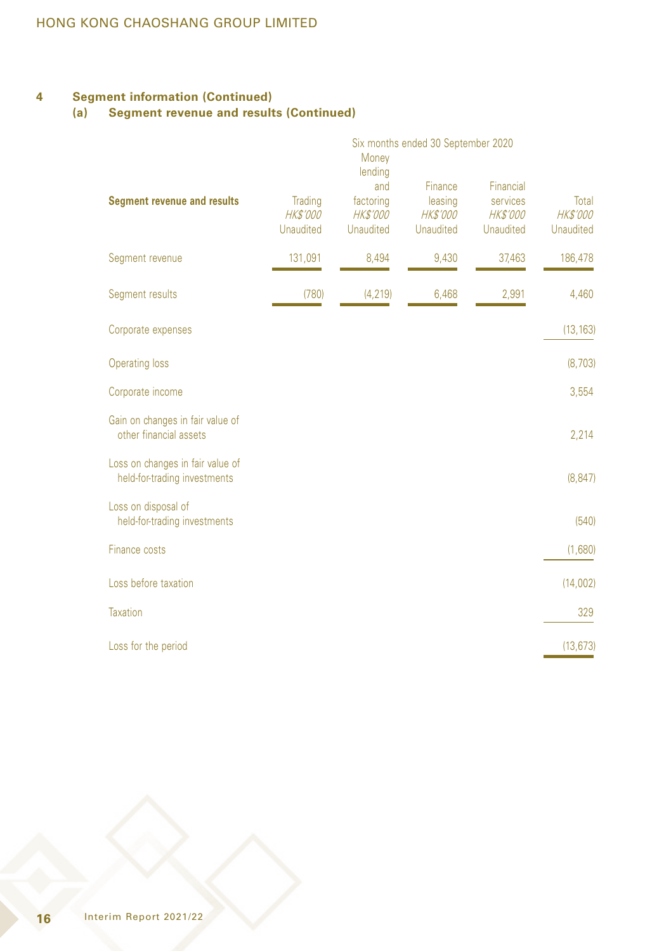### **(a) Segment revenue and results (Continued)**

|                                                                  | Six months ended 30 September 2020             |                                                                             |                                                           |                                                       |                                              |  |  |  |
|------------------------------------------------------------------|------------------------------------------------|-----------------------------------------------------------------------------|-----------------------------------------------------------|-------------------------------------------------------|----------------------------------------------|--|--|--|
| <b>Segment revenue and results</b>                               | Trading<br><b>HK\$'000</b><br><b>Unaudited</b> | Money<br>lending<br>and<br>factoring<br><b>HK\$'000</b><br><b>Unaudited</b> | Finance<br>leasing<br><b>HK\$'000</b><br><b>Unaudited</b> | Financial<br>services<br><b>HK\$'000</b><br>Unaudited | Total<br><b>HK\$'000</b><br><b>Unaudited</b> |  |  |  |
| Segment revenue                                                  | 131,091                                        | 8,494                                                                       | 9,430                                                     | 37,463                                                | 186,478                                      |  |  |  |
| Segment results                                                  | (780)                                          | (4, 219)                                                                    | 6,468                                                     | 2,991                                                 | 4,460                                        |  |  |  |
| Corporate expenses                                               |                                                |                                                                             |                                                           |                                                       | (13, 163)                                    |  |  |  |
| <b>Operating loss</b>                                            |                                                |                                                                             |                                                           |                                                       | (8,703)                                      |  |  |  |
| Corporate income                                                 |                                                |                                                                             |                                                           |                                                       | 3,554                                        |  |  |  |
| Gain on changes in fair value of<br>other financial assets       |                                                |                                                                             |                                                           |                                                       | 2,214                                        |  |  |  |
| Loss on changes in fair value of<br>held-for-trading investments |                                                |                                                                             |                                                           |                                                       | (8, 847)                                     |  |  |  |
| Loss on disposal of<br>held-for-trading investments              |                                                |                                                                             |                                                           |                                                       | (540)                                        |  |  |  |
| Finance costs                                                    |                                                |                                                                             |                                                           |                                                       | (1,680)                                      |  |  |  |
| Loss before taxation                                             |                                                |                                                                             |                                                           |                                                       | (14,002)                                     |  |  |  |
| <b>Taxation</b>                                                  |                                                |                                                                             |                                                           |                                                       | 329                                          |  |  |  |
| Loss for the period                                              |                                                |                                                                             |                                                           |                                                       | (13, 673)                                    |  |  |  |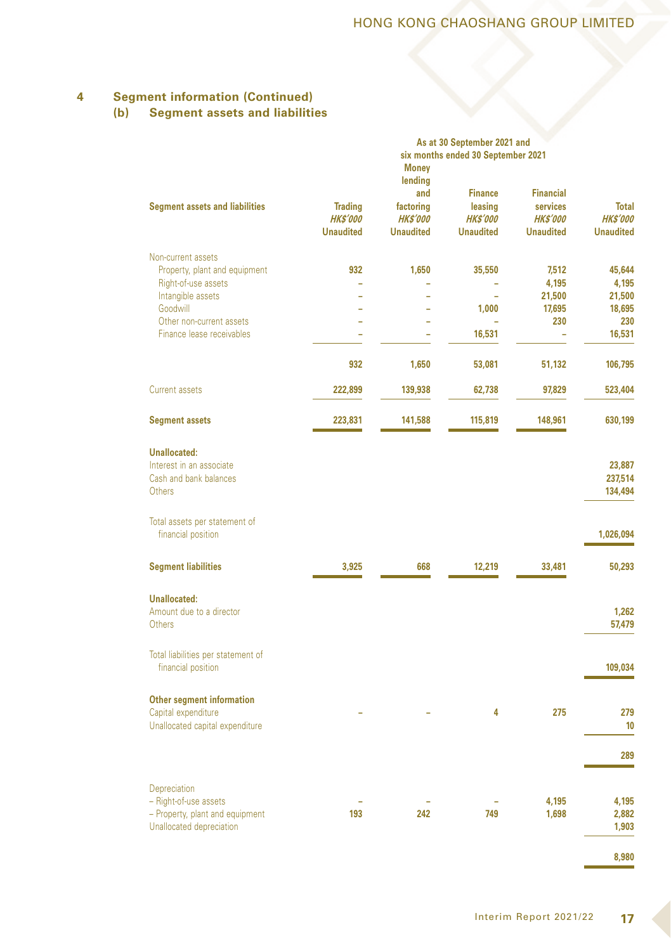**(b) Segment assets and liabilities**

|                                                                                                                                                                      | As at 30 September 2021 and<br>six months ended 30 September 2021<br><b>Money</b><br>lending |                                                         |                                                                 |                                                                       |                                                      |  |  |
|----------------------------------------------------------------------------------------------------------------------------------------------------------------------|----------------------------------------------------------------------------------------------|---------------------------------------------------------|-----------------------------------------------------------------|-----------------------------------------------------------------------|------------------------------------------------------|--|--|
| <b>Segment assets and liabilities</b>                                                                                                                                | <b>Trading</b><br><b>HKS'000</b><br><b>Unaudited</b>                                         | and<br>factoring<br><b>HK\$'000</b><br><b>Unaudited</b> | <b>Finance</b><br>leasing<br><b>HKS'000</b><br><b>Unaudited</b> | <b>Financial</b><br>services<br><b>HKS'000</b><br><b>Unaudited</b>    | <b>Total</b><br><b>HKS'000</b><br><b>Unaudited</b>   |  |  |
| Non-current assets<br>Property, plant and equipment<br>Right-of-use assets<br>Intangible assets<br>Goodwill<br>Other non-current assets<br>Finance lease receivables | 932                                                                                          | 1.650<br>L<br>L.                                        | 35,550<br>L,<br>1.000<br>16,531                                 | 7,512<br>4,195<br>21,500<br>17,695<br>230<br>$\overline{\phantom{0}}$ | 45.644<br>4,195<br>21,500<br>18,695<br>230<br>16,531 |  |  |
|                                                                                                                                                                      | 932                                                                                          | 1,650                                                   | 53,081                                                          | 51,132                                                                | 106,795                                              |  |  |
| <b>Current assets</b>                                                                                                                                                | 222,899                                                                                      | 139,938                                                 | 62,738                                                          | 97,829                                                                | 523,404                                              |  |  |
| <b>Segment assets</b>                                                                                                                                                | 223,831                                                                                      | 141,588                                                 | 115,819                                                         | 148,961                                                               | 630,199                                              |  |  |
| Unallocated:<br>Interest in an associate<br>Cash and bank balances<br>Others                                                                                         |                                                                                              |                                                         |                                                                 |                                                                       | 23,887<br>237,514<br>134,494                         |  |  |
| Total assets per statement of<br>financial position                                                                                                                  |                                                                                              |                                                         |                                                                 |                                                                       | 1,026,094                                            |  |  |
| <b>Segment liabilities</b>                                                                                                                                           | 3,925                                                                                        | 668                                                     | 12,219                                                          | 33,481                                                                | 50,293                                               |  |  |
| Unallocated:<br>Amount due to a director<br>Others                                                                                                                   |                                                                                              |                                                         |                                                                 |                                                                       | 1,262<br>57.479                                      |  |  |
| Total liabilities per statement of<br>financial position                                                                                                             |                                                                                              |                                                         |                                                                 |                                                                       | 109,034                                              |  |  |
| <b>Other segment information</b><br>Capital expenditure<br>Unallocated capital expenditure                                                                           |                                                                                              |                                                         | 4                                                               | 275                                                                   | 279<br>10                                            |  |  |
|                                                                                                                                                                      |                                                                                              |                                                         |                                                                 |                                                                       | 289                                                  |  |  |
| Depreciation<br>- Right-of-use assets<br>- Property, plant and equipment<br>Unallocated depreciation                                                                 | 193                                                                                          | 242                                                     | 749                                                             | 4,195<br>1,698                                                        | 4,195<br>2,882<br>1,903                              |  |  |
|                                                                                                                                                                      |                                                                                              |                                                         |                                                                 |                                                                       | 8.980                                                |  |  |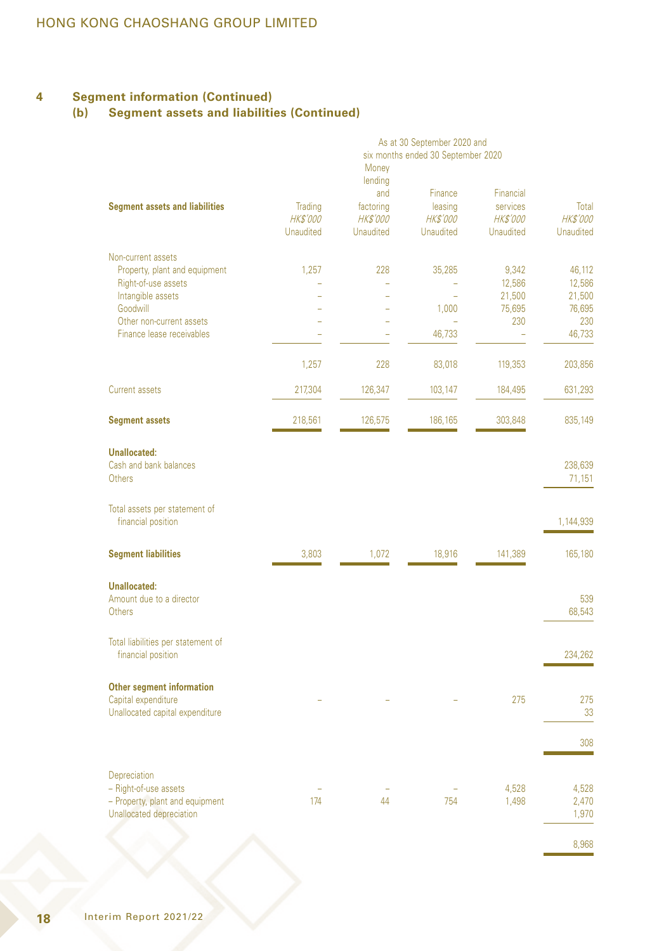### **(b) Segment assets and liabilities (Continued)**

|                                                                                                                                                                      |                                         | Money                                                              | As at 30 September 2020 and<br>six months ended 30 September 2020 |                                                              |                                                       |
|----------------------------------------------------------------------------------------------------------------------------------------------------------------------|-----------------------------------------|--------------------------------------------------------------------|-------------------------------------------------------------------|--------------------------------------------------------------|-------------------------------------------------------|
| <b>Segment assets and liabilities</b>                                                                                                                                | Trading<br><b>HK\$'000</b><br>Unaudited | lending<br>and<br>factoring<br><b>HK\$'000</b><br><b>Unaudited</b> | Finance<br>leasing<br><b>HK\$'000</b><br><b>Unaudited</b>         | Financial<br>services<br><b>HK\$'000</b><br><b>Unaudited</b> | Total<br><b>HK\$'000</b><br><b>Unaudited</b>          |
| Non-current assets<br>Property, plant and equipment<br>Right-of-use assets<br>Intangible assets<br>Goodwill<br>Other non-current assets<br>Finance lease receivables | 1,257                                   | 228                                                                | 35,285<br>1,000<br>46,733                                         | 9,342<br>12,586<br>21,500<br>75,695<br>230                   | 46,112<br>12,586<br>21,500<br>76,695<br>230<br>46,733 |
|                                                                                                                                                                      | 1,257                                   | 228                                                                | 83,018                                                            | 119,353                                                      | 203,856                                               |
| <b>Current assets</b>                                                                                                                                                | 217,304                                 | 126,347                                                            | 103,147                                                           | 184,495                                                      | 631,293                                               |
| <b>Segment assets</b>                                                                                                                                                | 218,561                                 | 126,575                                                            | 186,165                                                           | 303,848                                                      | 835,149                                               |
| <b>Unallocated:</b><br>Cash and bank balances<br><b>Others</b>                                                                                                       |                                         |                                                                    |                                                                   |                                                              | 238,639<br>71,151                                     |
| Total assets per statement of<br>financial position                                                                                                                  |                                         |                                                                    |                                                                   |                                                              | 1,144,939                                             |
| <b>Segment liabilities</b>                                                                                                                                           | 3,803                                   | 1,072                                                              | 18,916                                                            | 141,389                                                      | 165,180                                               |
| <b>Unallocated:</b><br>Amount due to a director<br>Others                                                                                                            |                                         |                                                                    |                                                                   |                                                              | 539<br>68,543                                         |
| Total liabilities per statement of<br>financial position                                                                                                             |                                         |                                                                    |                                                                   |                                                              | 234,262                                               |
| Other segment information<br>Capital expenditure<br>Unallocated capital expenditure                                                                                  |                                         |                                                                    |                                                                   | 275                                                          | 275<br>33                                             |
|                                                                                                                                                                      |                                         |                                                                    |                                                                   |                                                              | 308                                                   |
| Depreciation<br>- Right-of-use assets<br>- Property, plant and equipment<br>Unallocated depreciation                                                                 | 174                                     | 44                                                                 | 754                                                               | 4,528<br>1,498                                               | 4,528<br>2,470<br>1,970                               |
|                                                                                                                                                                      |                                         |                                                                    |                                                                   |                                                              | 8,968                                                 |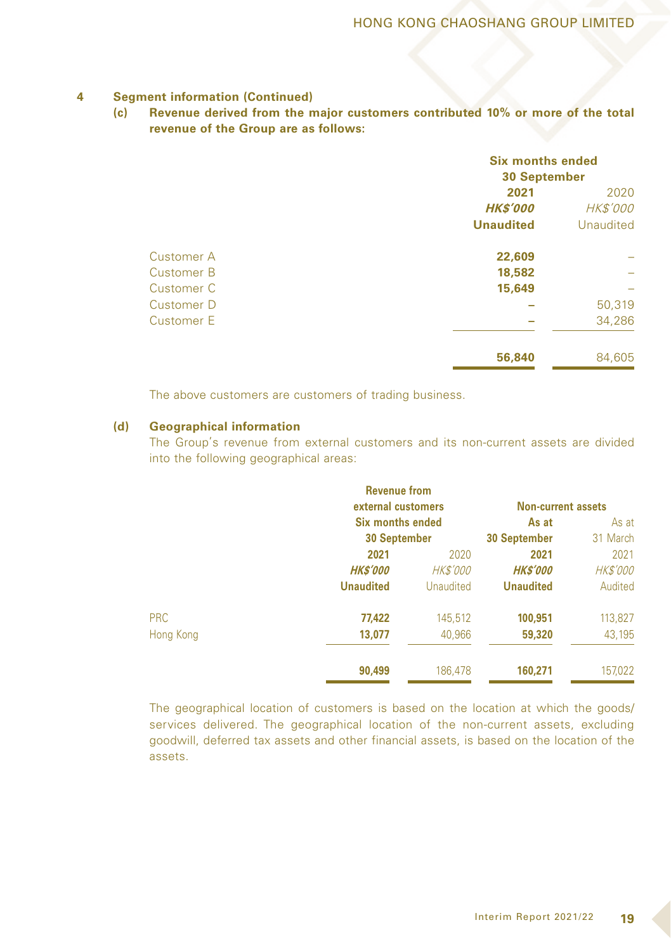**(c) Revenue derived from the major customers contributed 10% or more of the total revenue of the Group are as follows:**

|                   |                  | <b>Six months ended</b><br><b>30 September</b> |  |
|-------------------|------------------|------------------------------------------------|--|
|                   | 2021             | 2020                                           |  |
|                   | <b>HK\$'000</b>  | <b>HK\$'000</b>                                |  |
|                   | <b>Unaudited</b> | <b>Unaudited</b>                               |  |
| Customer A        | 22,609           |                                                |  |
| <b>Customer B</b> | 18,582           |                                                |  |
| Customer C        | 15,649           |                                                |  |
| Customer D        |                  | 50,319                                         |  |
| Customer E        |                  | 34,286                                         |  |
|                   | 56,840           | 84,605                                         |  |

The above customers are customers of trading business.

### **(d) Geographical information**

The Group's revenue from external customers and its non-current assets are divided into the following geographical areas:

|           | <b>Revenue from</b><br>external customers |                 | <b>Non-current assets</b> |                 |
|-----------|-------------------------------------------|-----------------|---------------------------|-----------------|
|           | <b>Six months ended</b>                   |                 | As at                     | As at           |
|           | 30 September                              |                 | 30 September              | 31 March        |
|           | 2021                                      | 2020            | 2021                      | 2021            |
|           | <b>HK\$'000</b>                           | <b>HK\$'000</b> | <b>HK\$'000</b>           | <b>HK\$'000</b> |
|           | <b>Unaudited</b>                          | Unaudited       | <b>Unaudited</b>          | Audited         |
| PRC       | 77.422                                    | 145.512         | 100,951                   | 113,827         |
| Hong Kong | 13,077                                    | 40.966          | 59,320                    | 43,195          |
|           | 90,499                                    | 186.478         | 160.271                   | 157,022         |

The geographical location of customers is based on the location at which the goods/ services delivered. The geographical location of the non-current assets, excluding goodwill, deferred tax assets and other financial assets, is based on the location of the assets.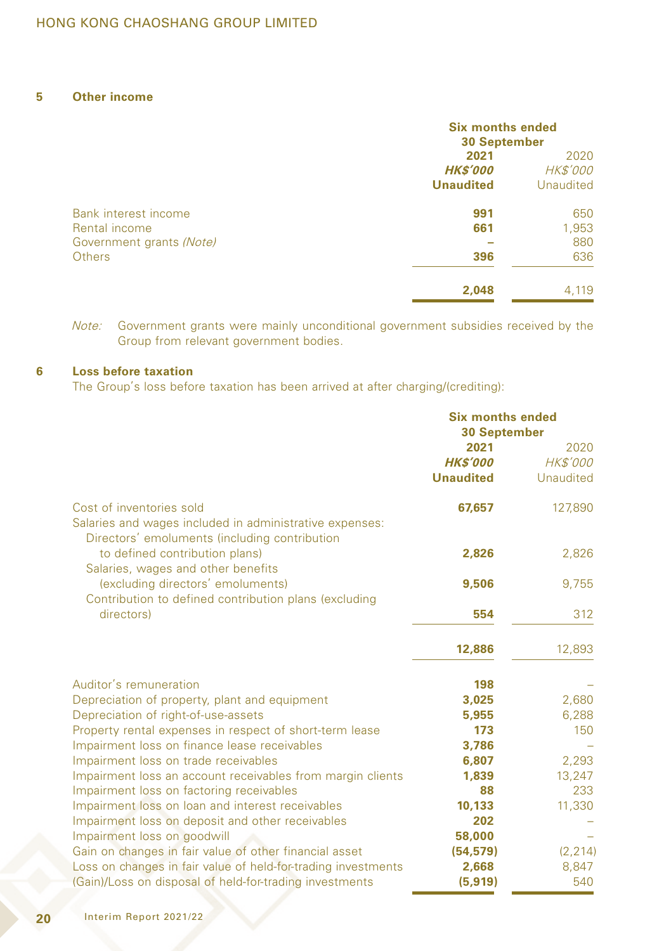### **5 Other income**

|                          | <b>Six months ended</b><br><b>30 September</b> |                 |
|--------------------------|------------------------------------------------|-----------------|
|                          | 2021                                           | 2020            |
|                          | <b>HK\$'000</b>                                | <b>HK\$'000</b> |
|                          | <b>Unaudited</b>                               | Unaudited       |
| Bank interest income     | 991                                            | 650             |
| Rental income            | 661                                            | 1,953           |
| Government grants (Note) |                                                | 880             |
| Others                   | 396                                            | 636             |
|                          | 2,048                                          | 4.119           |

Note: Government grants were mainly unconditional government subsidies received by the Group from relevant government bodies.

### **6 Loss before taxation**

The Group's loss before taxation has been arrived at after charging/(crediting):

|                                                                                                                                      | <b>Six months ended</b><br><b>30 September</b> |                                      |
|--------------------------------------------------------------------------------------------------------------------------------------|------------------------------------------------|--------------------------------------|
|                                                                                                                                      | 2021<br><b>HK\$'000</b><br><b>Unaudited</b>    | 2020<br><b>HK\$'000</b><br>Unaudited |
| Cost of inventories sold<br>Salaries and wages included in administrative expenses:<br>Directors' emoluments (including contribution | 67,657                                         | 127,890                              |
| to defined contribution plans)<br>Salaries, wages and other benefits                                                                 | 2,826                                          | 2,826                                |
| (excluding directors' emoluments)<br>Contribution to defined contribution plans (excluding                                           | 9,506                                          | 9,755                                |
| directors)                                                                                                                           | 554                                            | 312                                  |
|                                                                                                                                      | 12,886                                         | 12,893                               |
| Auditor's remuneration                                                                                                               | 198                                            |                                      |
| Depreciation of property, plant and equipment                                                                                        | 3,025                                          | 2,680                                |
| Depreciation of right-of-use-assets                                                                                                  | 5.955                                          | 6,288                                |
| Property rental expenses in respect of short-term lease                                                                              | 173                                            | 150                                  |
| Impairment loss on finance lease receivables                                                                                         | 3,786                                          |                                      |
| Impairment loss on trade receivables                                                                                                 | 6,807                                          | 2,293                                |
| Impairment loss an account receivables from margin clients                                                                           | 1,839                                          | 13,247                               |
| Impairment loss on factoring receivables                                                                                             | 88                                             | 233                                  |
| Impairment loss on loan and interest receivables                                                                                     | 10,133                                         | 11,330                               |
| Impairment loss on deposit and other receivables                                                                                     | 202                                            |                                      |
| Impairment loss on goodwill                                                                                                          | 58,000                                         |                                      |
| Gain on changes in fair value of other financial asset                                                                               | (54, 579)                                      | (2, 214)                             |
| Loss on changes in fair value of held-for-trading investments                                                                        | 2,668                                          | 8,847                                |
| (Gain)/Loss on disposal of held-for-trading investments                                                                              | (5, 919)                                       | 540                                  |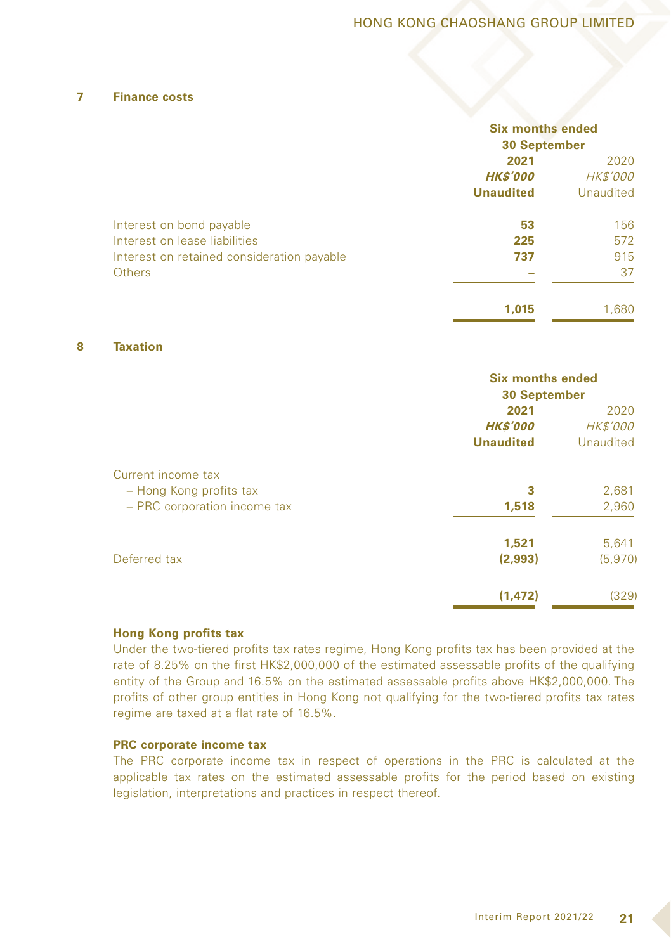#### **7 Finance costs**

|                                                                                                                   | <b>Six months ended</b><br><b>30 September</b> |                                      |
|-------------------------------------------------------------------------------------------------------------------|------------------------------------------------|--------------------------------------|
|                                                                                                                   | 2021<br><b>HK\$'000</b><br><b>Unaudited</b>    | 2020<br><b>HK\$'000</b><br>Unaudited |
| Interest on bond payable<br>Interest on lease liabilities<br>Interest on retained consideration payable<br>Others | 53<br>225<br>737                               | 156<br>572<br>915<br>37              |
|                                                                                                                   | 1,015                                          | 1,680                                |

#### **8 Taxation**

|                              | <b>Six months ended</b><br><b>30 September</b> |                              |
|------------------------------|------------------------------------------------|------------------------------|
|                              | 2021<br><b>HK\$'000</b>                        |                              |
|                              | <b>Unaudited</b>                               | <b>HK\$'000</b><br>Unaudited |
| Current income tax           |                                                |                              |
| - Hong Kong profits tax      | 3                                              | 2,681                        |
| - PRC corporation income tax | 1,518                                          | 2,960                        |
|                              | 1,521                                          | 5,641                        |
| Deferred tax                 | (2,993)                                        | (5,970)                      |
|                              | (1, 472)                                       | (329)                        |

### **Hong Kong profits tax**

Under the two-tiered profits tax rates regime, Hong Kong profits tax has been provided at the rate of 8.25% on the first HK\$2,000,000 of the estimated assessable profits of the qualifying entity of the Group and 16.5% on the estimated assessable profits above HK\$2,000,000. The profits of other group entities in Hong Kong not qualifying for the two-tiered profits tax rates regime are taxed at a flat rate of 16.5%.

#### **PRC corporate income tax**

The PRC corporate income tax in respect of operations in the PRC is calculated at the applicable tax rates on the estimated assessable profits for the period based on existing legislation, interpretations and practices in respect thereof.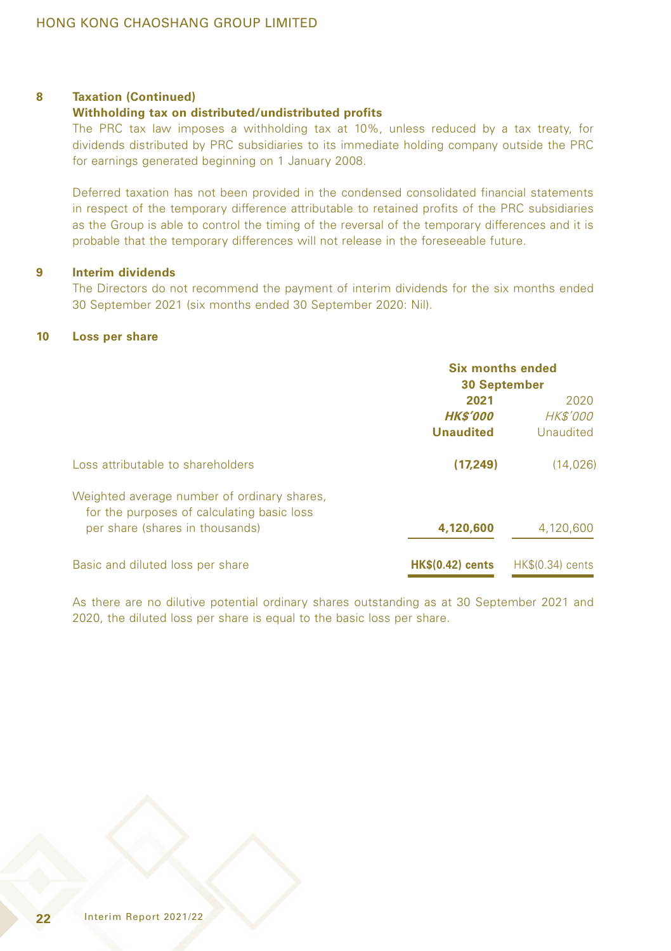### **8 Taxation (Continued)**

#### **Withholding tax on distributed/undistributed profits**

The PRC tax law imposes a withholding tax at 10%, unless reduced by a tax treaty, for dividends distributed by PRC subsidiaries to its immediate holding company outside the PRC for earnings generated beginning on 1 January 2008.

Deferred taxation has not been provided in the condensed consolidated financial statements in respect of the temporary difference attributable to retained profits of the PRC subsidiaries as the Group is able to control the timing of the reversal of the temporary differences and it is probable that the temporary differences will not release in the foreseeable future.

#### **9 Interim dividends**

The Directors do not recommend the payment of interim dividends for the six months ended 30 September 2021 (six months ended 30 September 2020: Nil).

### **10 Loss per share**

|                                                                                           | <b>Six months ended</b><br><b>30 September</b> |                         |  |
|-------------------------------------------------------------------------------------------|------------------------------------------------|-------------------------|--|
|                                                                                           | 2021<br><b>HK\$'000</b>                        | 2020<br><b>HK\$'000</b> |  |
|                                                                                           | <b>Unaudited</b>                               | Unaudited               |  |
| Loss attributable to shareholders                                                         | (17.249)                                       | (14, 026)               |  |
| Weighted average number of ordinary shares,<br>for the purposes of calculating basic loss |                                                |                         |  |
| per share (shares in thousands)                                                           | 4,120,600                                      | 4,120,600               |  |
| Basic and diluted loss per share                                                          | $HK$(0.42)$ cents                              | $HK$(0.34)$ cents       |  |

As there are no dilutive potential ordinary shares outstanding as at 30 September 2021 and 2020, the diluted loss per share is equal to the basic loss per share.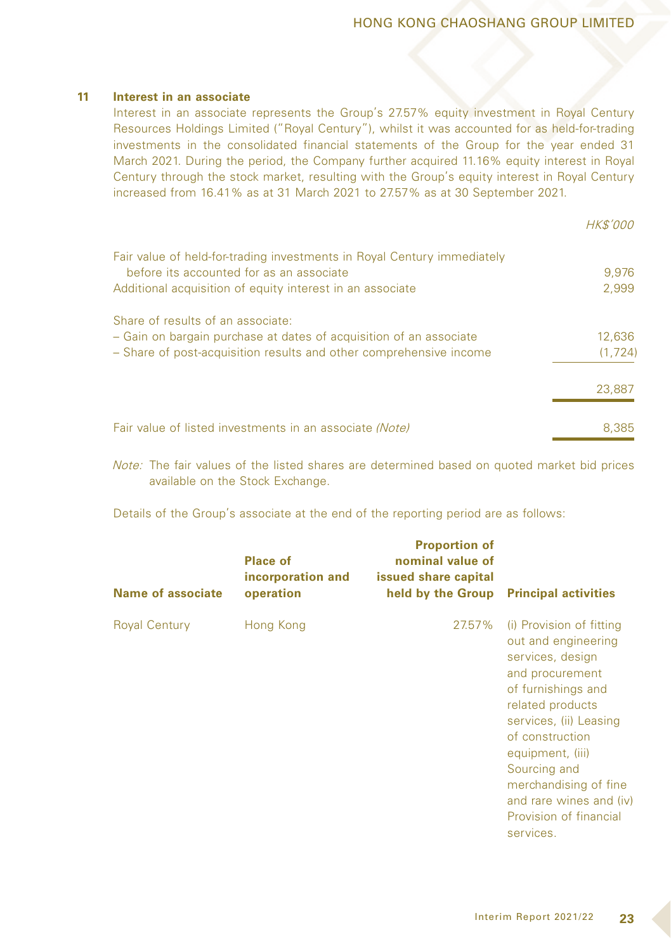### HONG KONG CHAOSHANG GROUP LIMITED

HK\$'000

#### **11 Interest in an associate**

Interest in an associate represents the Group's 27.57% equity investment in Royal Century Resources Holdings Limited ("Royal Century"), whilst it was accounted for as held-for-trading investments in the consolidated financial statements of the Group for the year ended 31 March 2021. During the period, the Company further acquired 11.16% equity interest in Royal Century through the stock market, resulting with the Group's equity interest in Royal Century increased from 16.41% as at 31 March 2021 to 27.57% as at 30 September 2021.

| Fair value of held-for-trading investments in Royal Century immediately |         |
|-------------------------------------------------------------------------|---------|
| before its accounted for as an associate                                | 9,976   |
| Additional acquisition of equity interest in an associate               | 2,999   |
| Share of results of an associate:                                       |         |
| - Gain on bargain purchase at dates of acquisition of an associate      | 12,636  |
| - Share of post-acquisition results and other comprehensive income      | (1.724) |
|                                                                         | 23,887  |
|                                                                         |         |
| Fair value of listed investments in an associate (Note)                 | 8.385   |
|                                                                         |         |

Note: The fair values of the listed shares are determined based on quoted market bid prices available on the Stock Exchange.

Details of the Group's associate at the end of the reporting period are as follows:

| Name of associate    | <b>Place of</b><br>incorporation and<br>operation | <b>Proportion of</b><br>nominal value of<br>issued share capital<br>held by the Group | <b>Principal activities</b>                                                                                                                                                                                                                                                                                  |
|----------------------|---------------------------------------------------|---------------------------------------------------------------------------------------|--------------------------------------------------------------------------------------------------------------------------------------------------------------------------------------------------------------------------------------------------------------------------------------------------------------|
| <b>Royal Century</b> | Hong Kong                                         | 27.57%                                                                                | (i) Provision of fitting<br>out and engineering<br>services, design<br>and procurement<br>of furnishings and<br>related products<br>services, (ii) Leasing<br>of construction<br>equipment, (iii)<br>Sourcing and<br>merchandising of fine<br>and rare wines and (iv)<br>Provision of financial<br>services. |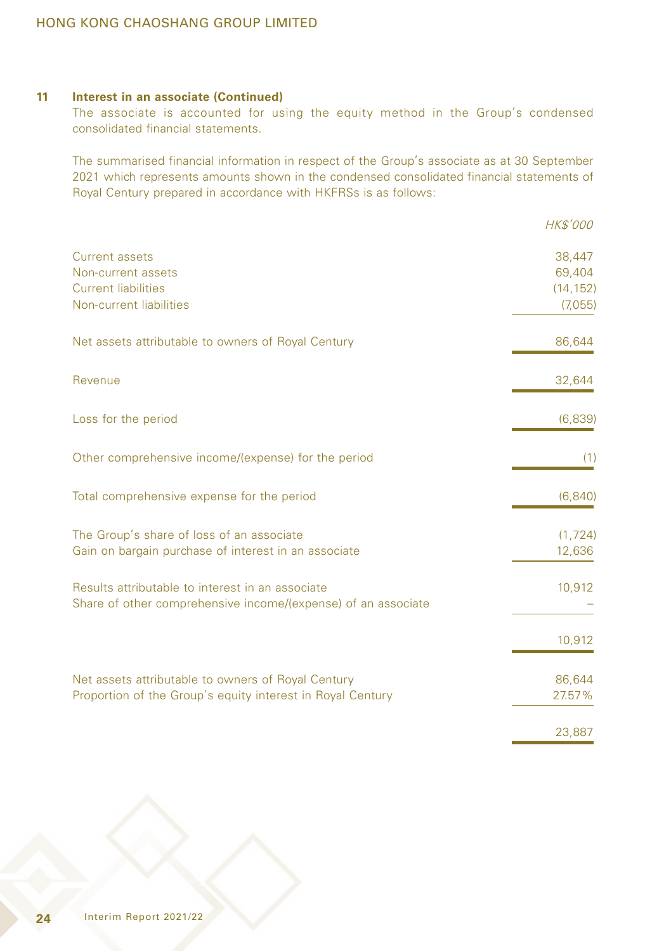### **11 Interest in an associate (Continued)**

The associate is accounted for using the equity method in the Group's condensed consolidated financial statements.

The summarised financial information in respect of the Group's associate as at 30 September 2021 which represents amounts shown in the condensed consolidated financial statements of Royal Century prepared in accordance with HKFRSs is as follows:

|                                                                                                                   | <b>HK\$'000</b>                          |
|-------------------------------------------------------------------------------------------------------------------|------------------------------------------|
| Current assets<br>Non-current assets<br><b>Current liabilities</b><br>Non-current liabilities                     | 38,447<br>69,404<br>(14, 152)<br>(7,055) |
| Net assets attributable to owners of Royal Century                                                                | 86,644                                   |
| Revenue                                                                                                           | 32,644                                   |
| Loss for the period                                                                                               | (6, 839)                                 |
| Other comprehensive income/(expense) for the period                                                               | (1)                                      |
| Total comprehensive expense for the period                                                                        | (6, 840)                                 |
| The Group's share of loss of an associate<br>Gain on bargain purchase of interest in an associate                 | (1, 724)<br>12,636                       |
| Results attributable to interest in an associate<br>Share of other comprehensive income/(expense) of an associate | 10,912                                   |
|                                                                                                                   | 10,912                                   |
| Net assets attributable to owners of Royal Century<br>Proportion of the Group's equity interest in Royal Century  | 86,644<br>27.57%                         |
|                                                                                                                   | 23,887                                   |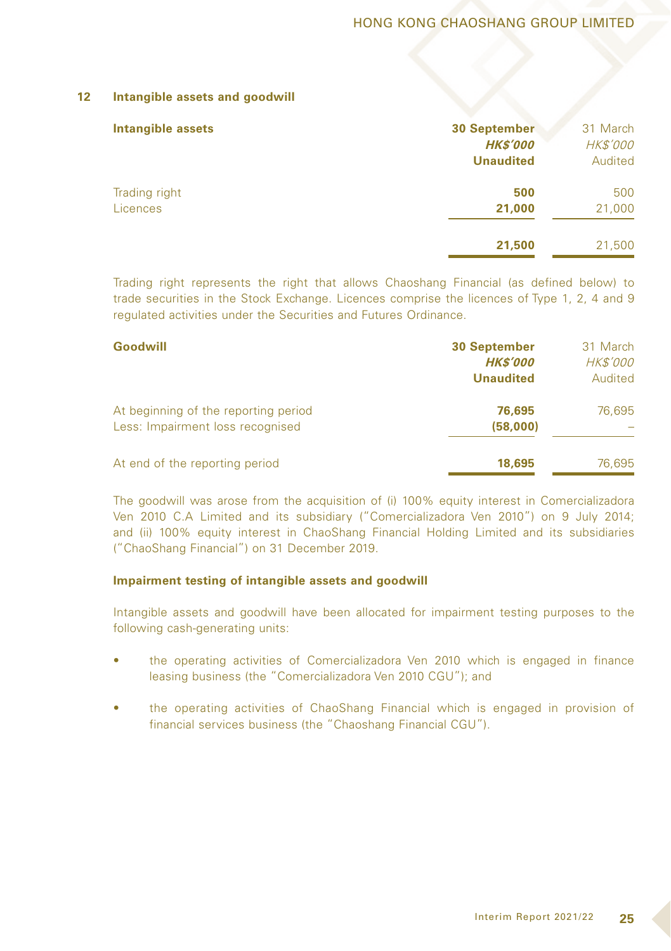#### **12 Intangible assets and goodwill**

| Intangible assets         | <b>30 September</b><br><b>HK\$'000</b><br><b>Unaudited</b> | 31 March<br><b>HK\$'000</b><br>Audited |
|---------------------------|------------------------------------------------------------|----------------------------------------|
| Trading right<br>Licences | 500<br>21,000                                              | 500<br>21,000                          |
|                           | 21,500                                                     | 21,500                                 |

Trading right represents the right that allows Chaoshang Financial (as defined below) to trade securities in the Stock Exchange. Licences comprise the licences of Type 1, 2, 4 and 9 regulated activities under the Securities and Futures Ordinance.

| Goodwill                                                                 | <b>30 September</b><br><b>HK\$'000</b><br><b>Unaudited</b> | 31 March<br><b>HK\$'000</b><br>Audited |
|--------------------------------------------------------------------------|------------------------------------------------------------|----------------------------------------|
| At beginning of the reporting period<br>Less: Impairment loss recognised | 76,695<br>(58,000)                                         | 76.695                                 |
| At end of the reporting period                                           | 18,695                                                     | 76.695                                 |

The goodwill was arose from the acquisition of (i) 100% equity interest in Comercializadora Ven 2010 C.A Limited and its subsidiary ("Comercializadora Ven 2010") on 9 July 2014; and (ii) 100% equity interest in ChaoShang Financial Holding Limited and its subsidiaries ("ChaoShang Financial") on 31 December 2019.

#### **Impairment testing of intangible assets and goodwill**

Intangible assets and goodwill have been allocated for impairment testing purposes to the following cash-generating units:

- the operating activities of Comercializadora Ven 2010 which is engaged in finance leasing business (the "Comercializadora Ven 2010 CGU"); and
- the operating activities of ChaoShang Financial which is engaged in provision of financial services business (the "Chaoshang Financial CGU").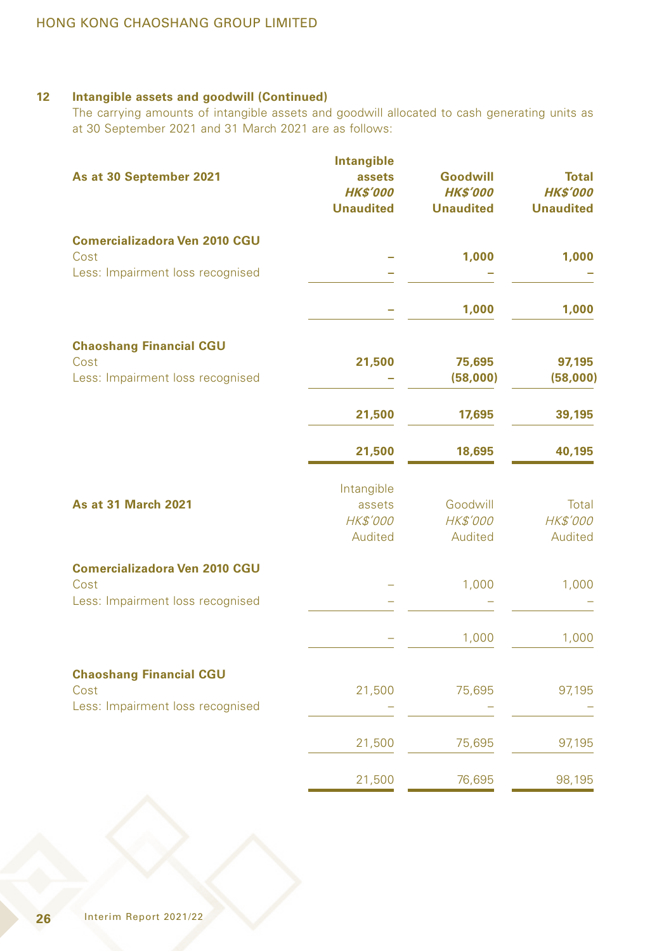### **12 Intangible assets and goodwill (Continued)**

The carrying amounts of intangible assets and goodwill allocated to cash generating units as at 30 September 2021 and 31 March 2021 are as follows:

| As at 30 September 2021                                                          | Intangible<br>assets<br><b>HK\$'000</b><br><b>Unaudited</b> | Goodwill<br><b>HK\$'000</b><br><b>Unaudited</b> | <b>Total</b><br><b>HK\$'000</b><br><b>Unaudited</b> |
|----------------------------------------------------------------------------------|-------------------------------------------------------------|-------------------------------------------------|-----------------------------------------------------|
| <b>Comercializadora Ven 2010 CGU</b><br>Cost<br>Less: Impairment loss recognised |                                                             | 1,000                                           | 1,000                                               |
|                                                                                  |                                                             | 1,000                                           | 1,000                                               |
| <b>Chaoshang Financial CGU</b><br>Cost<br>Less: Impairment loss recognised       | 21,500                                                      | 75,695<br>(58,000)                              | 97,195<br>(58,000)                                  |
|                                                                                  | 21,500                                                      | 17,695                                          | 39,195                                              |
|                                                                                  | 21,500                                                      | 18,695                                          | 40,195                                              |
| <b>As at 31 March 2021</b>                                                       | Intangible<br>assets<br>HK\$'000<br>Audited                 | Goodwill<br>HK\$'000<br>Audited                 | Total<br>HK\$'000<br>Audited                        |
| <b>Comercializadora Ven 2010 CGU</b><br>Cost<br>Less: Impairment loss recognised |                                                             | 1,000                                           | 1,000                                               |
|                                                                                  |                                                             | 1,000                                           | 1,000                                               |
| <b>Chaoshang Financial CGU</b><br>Cost<br>Less: Impairment loss recognised       | 21,500                                                      | 75,695                                          | 97,195                                              |
|                                                                                  | 21,500                                                      | 75,695                                          | 97,195                                              |
|                                                                                  | 21,500                                                      | 76,695                                          | 98,195                                              |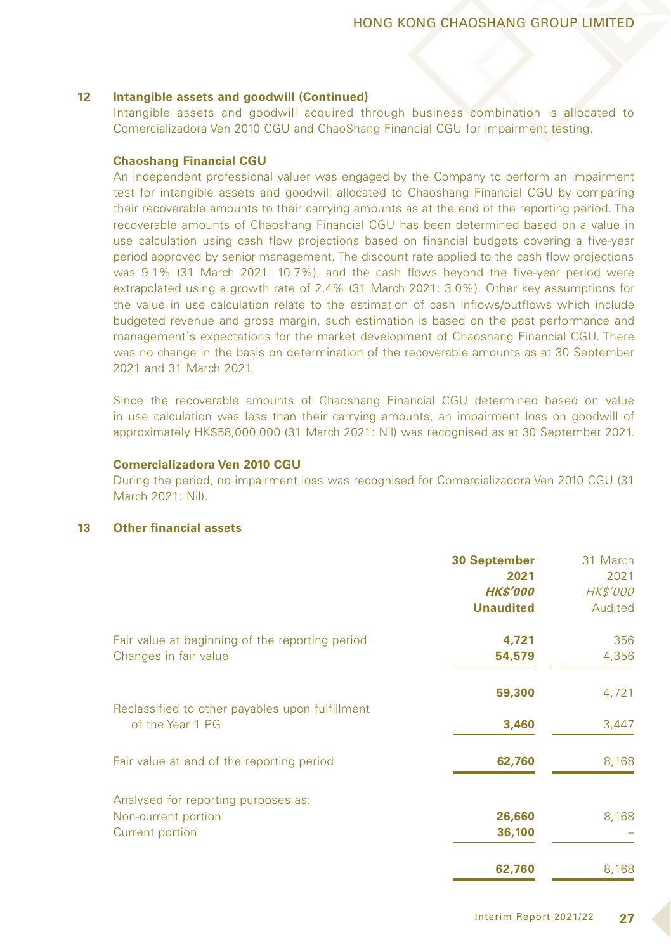#### **12 Intangible assets and goodwill (Continued)**

Intangible assets and goodwill acquired through business combination is allocated to Comercializadora Ven 2010 CGU and ChaoShang Financial CGU for impairment testing.

#### **Chaoshang Financial CGU**

An independent professional valuer was engaged by the Company to perform an impairment test for intangible assets and goodwill allocated to Chaoshang Financial CGU by comparing their recoverable amounts to their carrying amounts as at the end of the reporting period. The recoverable amounts of Chaoshang Financial CGU has been determined based on a value in use calculation using cash flow projections based on financial budgets covering a five-year period approved by senior management. The discount rate applied to the cash flow projections was 9.1% (31 March 2021: 10.7%), and the cash flows beyond the five-year period were extrapolated using a growth rate of 2.4% (31 March 2021: 3.0%). Other key assumptions for the value in use calculation relate to the estimation of cash inflows/outflows which include budgeted revenue and gross margin, such estimation is based on the past performance and management's expectations for the market development of Chaoshang Financial CGU. There was no change in the basis on determination of the recoverable amounts as at 30 September 2021 and 31 March 2021.

Since the recoverable amounts of Chaoshang Financial CGU determined based on value in use calculation was less than their carrying amounts, an impairment loss on goodwill of approximately HK\$58,000,000 (31 March 2021: Nil) was recognised as at 30 September 2021.

### **Comercializadora Ven 2010 CGU**

During the period, no impairment loss was recognised for Comercializadora Ven 2010 CGU (31 March 2021: Nil).

|                                                                          | <b>30 September</b><br>2021<br><b>HK\$'000</b><br><b>Unaudited</b> | 31 March<br>2021<br><b>HK\$'000</b><br>Audited |
|--------------------------------------------------------------------------|--------------------------------------------------------------------|------------------------------------------------|
| Fair value at beginning of the reporting period<br>Changes in fair value | 4,721<br>54,579                                                    | 356<br>4,356                                   |
|                                                                          |                                                                    |                                                |
|                                                                          | 59,300                                                             | 4,721                                          |
| Reclassified to other payables upon fulfillment<br>of the Year 1 PG      | 3,460                                                              | 3,447                                          |
| Fair value at end of the reporting period                                | 62,760                                                             | 8,168                                          |
| Analysed for reporting purposes as:                                      |                                                                    |                                                |
| Non-current portion                                                      | 26,660                                                             | 8,168                                          |
| Current portion                                                          | 36,100                                                             |                                                |
|                                                                          | 62,760                                                             | 8,168                                          |

### **13 Other financial assets**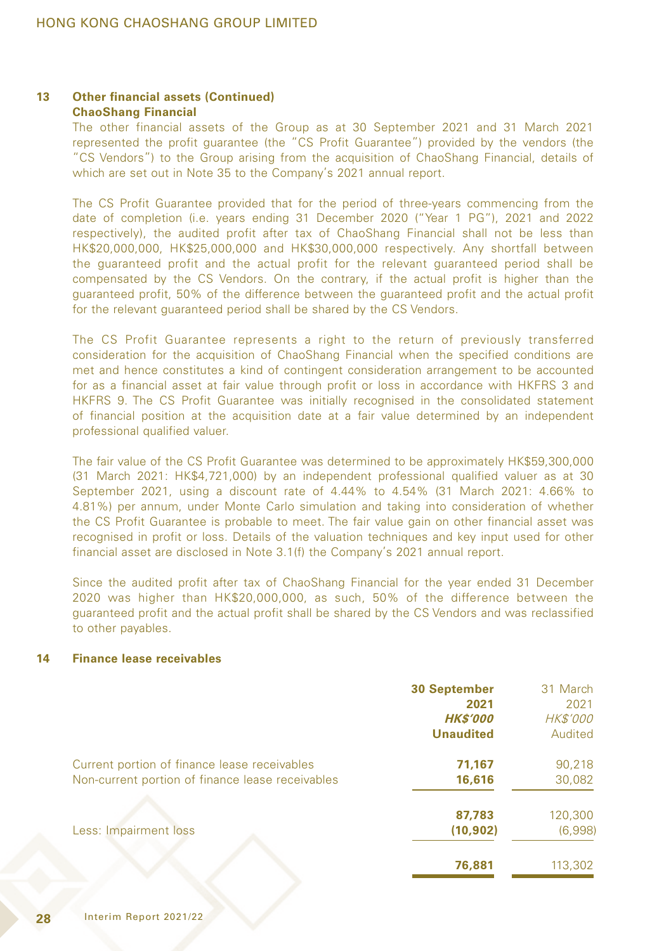#### **13 Other financial assets (Continued) ChaoShang Financial**

The other financial assets of the Group as at 30 September 2021 and 31 March 2021 represented the profit guarantee (the "CS Profit Guarantee") provided by the vendors (the "CS Vendors") to the Group arising from the acquisition of ChaoShang Financial, details of which are set out in Note 35 to the Company's 2021 annual report.

The CS Profit Guarantee provided that for the period of three-years commencing from the date of completion (i.e. years ending 31 December 2020 ("Year 1 PG"), 2021 and 2022 respectively), the audited profit after tax of ChaoShang Financial shall not be less than HK\$20,000,000, HK\$25,000,000 and HK\$30,000,000 respectively. Any shortfall between the guaranteed profit and the actual profit for the relevant guaranteed period shall be compensated by the CS Vendors. On the contrary, if the actual profit is higher than the guaranteed profit, 50% of the difference between the guaranteed profit and the actual profit for the relevant guaranteed period shall be shared by the CS Vendors.

The CS Profit Guarantee represents a right to the return of previously transferred consideration for the acquisition of ChaoShang Financial when the specified conditions are met and hence constitutes a kind of contingent consideration arrangement to be accounted for as a financial asset at fair value through profit or loss in accordance with HKFRS 3 and HKFRS 9. The CS Profit Guarantee was initially recognised in the consolidated statement of financial position at the acquisition date at a fair value determined by an independent professional qualified valuer.

The fair value of the CS Profit Guarantee was determined to be approximately HK\$59,300,000 (31 March 2021: HK\$4,721,000) by an independent professional qualified valuer as at 30 September 2021, using a discount rate of 4.44% to 4.54% (31 March 2021: 4.66% to 4.81%) per annum, under Monte Carlo simulation and taking into consideration of whether the CS Profit Guarantee is probable to meet. The fair value gain on other financial asset was recognised in profit or loss. Details of the valuation techniques and key input used for other financial asset are disclosed in Note 3.1(f) the Company's 2021 annual report.

Since the audited profit after tax of ChaoShang Financial for the year ended 31 December 2020 was higher than HK\$20,000,000, as such, 50% of the difference between the guaranteed profit and the actual profit shall be shared by the CS Vendors and was reclassified to other payables.

#### **14 Finance lease receivables**

|                                                  | <b>30 September</b> | 31 March        |
|--------------------------------------------------|---------------------|-----------------|
|                                                  | 2021                | 2021            |
|                                                  | <b>HK\$'000</b>     | <b>HK\$'000</b> |
|                                                  | <b>Unaudited</b>    | Audited         |
| Current portion of finance lease receivables     | 71,167              | 90,218          |
| Non-current portion of finance lease receivables | 16,616              | 30,082          |
|                                                  |                     |                 |
|                                                  | 87,783              | 120,300         |
| Less: Impairment loss                            | (10, 902)           | (6,998)         |
|                                                  | 76,881              | 113,302         |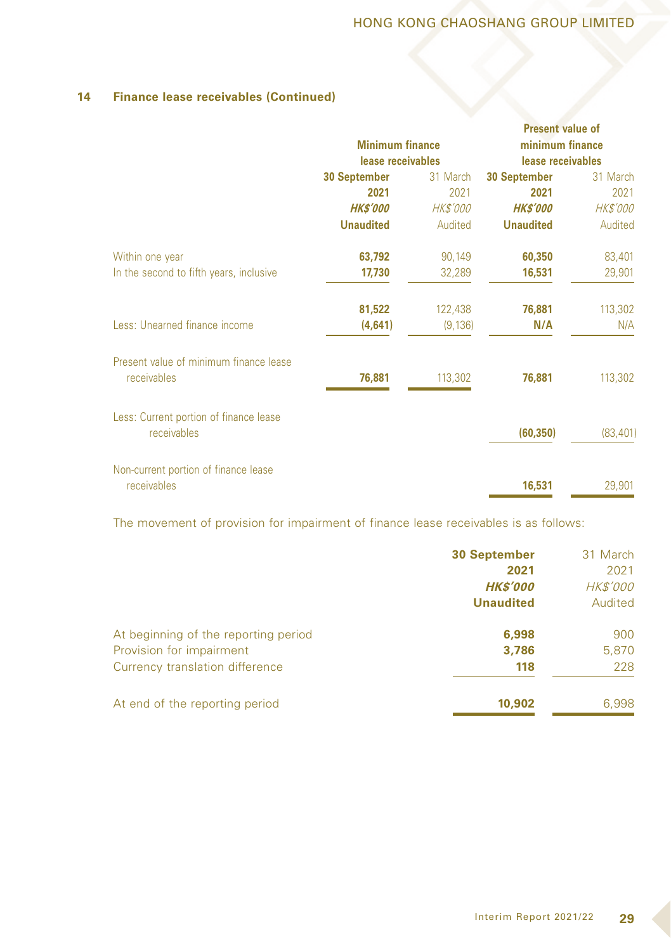### **14 Finance lease receivables (Continued)**

|                                         |                        |                 | <b>Present value of</b> |                 |
|-----------------------------------------|------------------------|-----------------|-------------------------|-----------------|
|                                         | <b>Minimum finance</b> |                 | minimum finance         |                 |
|                                         | lease receivables      |                 | lease receivables       |                 |
|                                         | 30 September           | 31 March        | 30 September            | 31 March        |
|                                         | 2021                   | 2021            | 2021                    | 2021            |
|                                         | <b>HK\$'000</b>        | <b>HK\$'000</b> | <b>HK\$'000</b>         | <b>HK\$'000</b> |
|                                         | <b>Unaudited</b>       | Audited         | <b>Unaudited</b>        | Audited         |
| Within one year                         | 63,792                 | 90,149          | 60,350                  | 83,401          |
| In the second to fifth years, inclusive | 17.730                 | 32,289          | 16,531                  | 29,901          |
|                                         | 81,522                 | 122,438         | 76,881                  | 113,302         |
| Less: Unearned finance income           | (4,641)                | (9, 136)        | N/A                     | N/A             |
| Present value of minimum finance lease  |                        |                 |                         |                 |
| receivables                             | 76,881                 | 113,302         | 76,881                  | 113,302         |
| Less: Current portion of finance lease  |                        |                 |                         |                 |
| receivables                             |                        |                 | (60, 350)               | (83, 401)       |
| Non-current portion of finance lease    |                        |                 |                         |                 |
| receivables                             |                        |                 | 16,531                  | 29,901          |

The movement of provision for impairment of finance lease receivables is as follows:

|                                      | <b>30 September</b> | 31 March        |
|--------------------------------------|---------------------|-----------------|
|                                      | 2021                | 2021            |
|                                      | <b>HK\$'000</b>     | <b>HK\$'000</b> |
|                                      | <b>Unaudited</b>    | Audited         |
| At beginning of the reporting period | 6,998               | 900             |
| Provision for impairment             | 3,786               | 5,870           |
| Currency translation difference      | 118                 | 228             |
| At end of the reporting period       | 10,902              | 6.998           |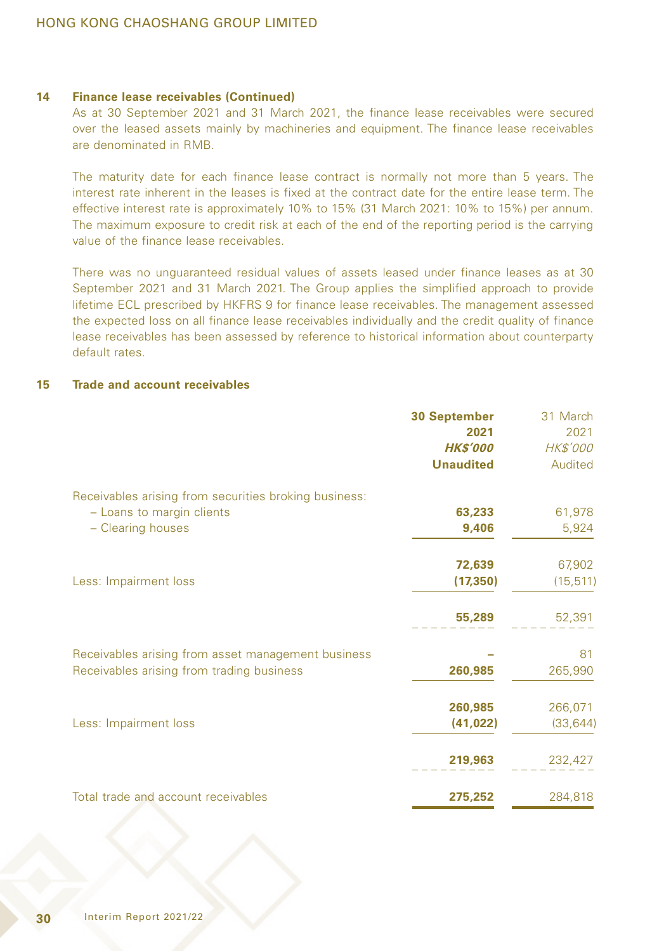#### **14 Finance lease receivables (Continued)**

As at 30 September 2021 and 31 March 2021, the finance lease receivables were secured over the leased assets mainly by machineries and equipment. The finance lease receivables are denominated in RMB.

The maturity date for each finance lease contract is normally not more than 5 years. The interest rate inherent in the leases is fixed at the contract date for the entire lease term. The effective interest rate is approximately 10% to 15% (31 March 2021: 10% to 15%) per annum. The maximum exposure to credit risk at each of the end of the reporting period is the carrying value of the finance lease receivables.

There was no unguaranteed residual values of assets leased under finance leases as at 30 September 2021 and 31 March 2021. The Group applies the simplified approach to provide lifetime ECL prescribed by HKFRS 9 for finance lease receivables. The management assessed the expected loss on all finance lease receivables individually and the credit quality of finance lease receivables has been assessed by reference to historical information about counterparty default rates.

### **15 Trade and account receivables**

|                                                       | <b>30 September</b> | 31 March        |
|-------------------------------------------------------|---------------------|-----------------|
|                                                       | 2021                | 2021            |
|                                                       | <b>HK\$'000</b>     | <b>HK\$'000</b> |
|                                                       | <b>Unaudited</b>    | Audited         |
| Receivables arising from securities broking business: |                     |                 |
| - Loans to margin clients                             | 63,233              | 61,978          |
| - Clearing houses                                     | 9,406               | 5,924           |
|                                                       | 72,639              | 67,902          |
| Less: Impairment loss                                 | (17, 350)           | (15, 511)       |
|                                                       | 55,289              | 52,391          |
| Receivables arising from asset management business    |                     | 81              |
| Receivables arising from trading business             | 260,985             | 265,990         |
|                                                       | 260,985             | 266,071         |
| Less: Impairment loss                                 | (41, 022)           | (33, 644)       |
|                                                       | 219,963             | 232,427         |
| Total trade and account receivables                   | 275,252             | 284,818         |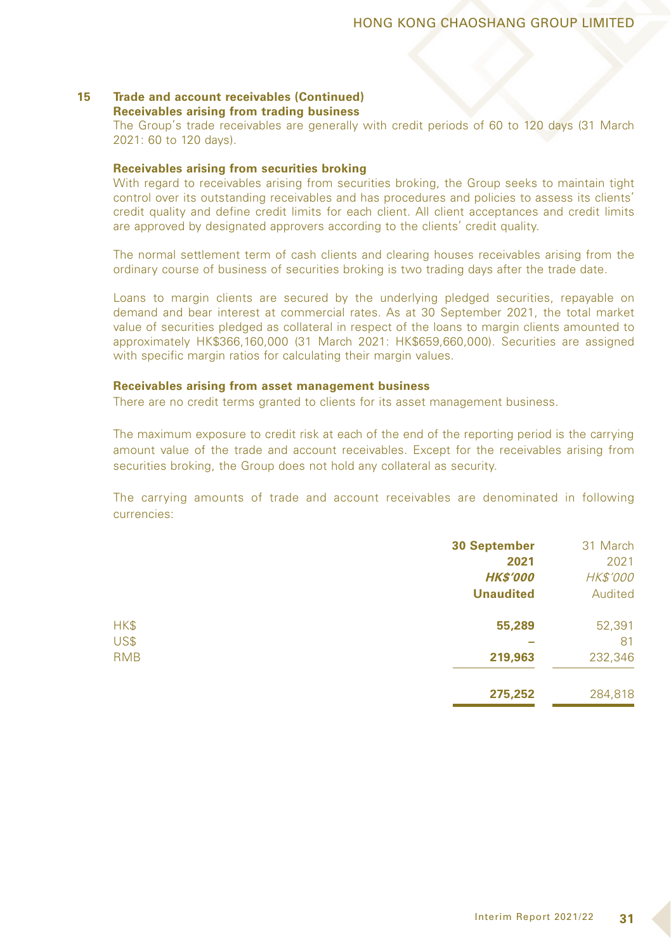#### **15 Trade and account receivables (Continued) Receivables arising from trading business**

The Group's trade receivables are generally with credit periods of 60 to 120 days (31 March 2021: 60 to 120 days).

#### **Receivables arising from securities broking**

With regard to receivables arising from securities broking, the Group seeks to maintain tight control over its outstanding receivables and has procedures and policies to assess its clients' credit quality and define credit limits for each client. All client acceptances and credit limits are approved by designated approvers according to the clients' credit quality.

The normal settlement term of cash clients and clearing houses receivables arising from the ordinary course of business of securities broking is two trading days after the trade date.

Loans to margin clients are secured by the underlying pledged securities, repayable on demand and bear interest at commercial rates. As at 30 September 2021, the total market value of securities pledged as collateral in respect of the loans to margin clients amounted to approximately HK\$366,160,000 (31 March 2021: HK\$659,660,000). Securities are assigned with specific margin ratios for calculating their margin values.

#### **Receivables arising from asset management business**

There are no credit terms granted to clients for its asset management business.

The maximum exposure to credit risk at each of the end of the reporting period is the carrying amount value of the trade and account receivables. Except for the receivables arising from securities broking, the Group does not hold any collateral as security.

The carrying amounts of trade and account receivables are denominated in following currencies:

|            | 30 September     | 31 March        |
|------------|------------------|-----------------|
|            | 2021             | 2021            |
|            | <b>HK\$'000</b>  | <b>HK\$'000</b> |
|            | <b>Unaudited</b> | Audited         |
| HK\$       | 55,289           | 52,391          |
| US\$       |                  | 81              |
| <b>RMB</b> | 219,963          | 232,346         |
|            | 275,252          | 284,818         |
|            |                  |                 |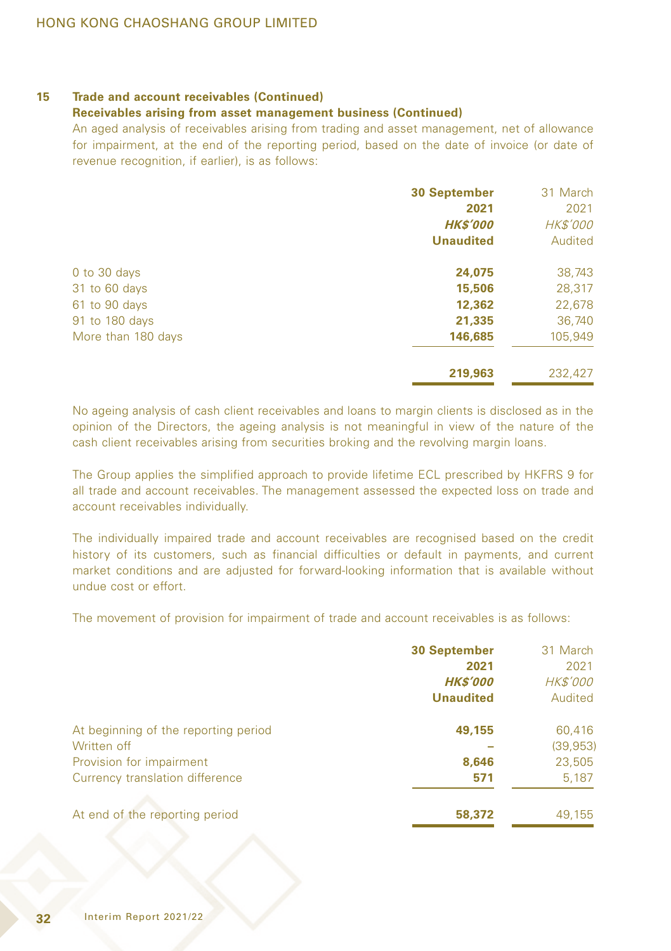#### **15 Trade and account receivables (Continued)**

### **Receivables arising from asset management business (Continued)**

An aged analysis of receivables arising from trading and asset management, net of allowance for impairment, at the end of the reporting period, based on the date of invoice (or date of revenue recognition, if earlier), is as follows:

|                    | <b>30 September</b> | 31 March        |
|--------------------|---------------------|-----------------|
|                    | 2021                | 2021            |
|                    | <b>HK\$'000</b>     | <b>HK\$'000</b> |
|                    | <b>Unaudited</b>    | Audited         |
| 0 to 30 days       | 24,075              | 38,743          |
| 31 to 60 days      | 15,506              | 28,317          |
| 61 to 90 days      | 12,362              | 22,678          |
| 91 to 180 days     | 21,335              | 36,740          |
| More than 180 days | 146,685             | 105,949         |
|                    | 219,963             | 232,427         |

No ageing analysis of cash client receivables and loans to margin clients is disclosed as in the opinion of the Directors, the ageing analysis is not meaningful in view of the nature of the cash client receivables arising from securities broking and the revolving margin loans.

The Group applies the simplified approach to provide lifetime ECL prescribed by HKFRS 9 for all trade and account receivables. The management assessed the expected loss on trade and account receivables individually.

The individually impaired trade and account receivables are recognised based on the credit history of its customers, such as financial difficulties or default in payments, and current market conditions and are adjusted for forward-looking information that is available without undue cost or effort.

The movement of provision for impairment of trade and account receivables is as follows:

|                                      | <b>30 September</b> | 31 March        |
|--------------------------------------|---------------------|-----------------|
|                                      | 2021                | 2021            |
|                                      | <b>HK\$'000</b>     | <b>HK\$'000</b> |
|                                      | <b>Unaudited</b>    | Audited         |
| At beginning of the reporting period | 49,155              | 60,416          |
| Written off                          |                     | (39, 953)       |
| Provision for impairment             | 8,646               | 23,505          |
| Currency translation difference      | 571                 | 5,187           |
| At end of the reporting period       | 58,372              | 49,155          |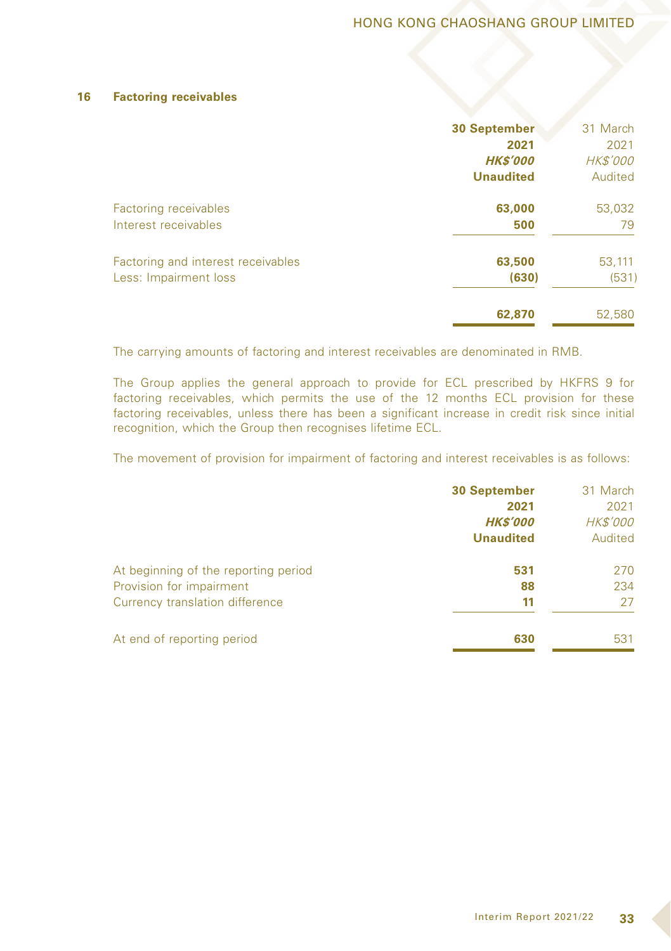#### **16 Factoring receivables**

|                                    | <b>30 September</b> | 31 March        |
|------------------------------------|---------------------|-----------------|
|                                    | 2021                | 2021            |
|                                    | <b>HK\$'000</b>     | <b>HK\$'000</b> |
|                                    | <b>Unaudited</b>    | Audited         |
| Factoring receivables              | 63,000              | 53,032          |
| Interest receivables               | 500                 | 79              |
| Factoring and interest receivables | 63,500              | 53,111          |
| Less: Impairment loss              | (630)               | (531)           |
|                                    | 62,870              | 52,580          |
|                                    |                     |                 |

The carrying amounts of factoring and interest receivables are denominated in RMB.

The Group applies the general approach to provide for ECL prescribed by HKFRS 9 for factoring receivables, which permits the use of the 12 months ECL provision for these factoring receivables, unless there has been a significant increase in credit risk since initial recognition, which the Group then recognises lifetime ECL.

The movement of provision for impairment of factoring and interest receivables is as follows:

|                                      | <b>30 September</b><br>2021<br><b>HK\$'000</b><br><b>Unaudited</b> | 31 March<br>2021<br><b>HK\$'000</b><br>Audited |
|--------------------------------------|--------------------------------------------------------------------|------------------------------------------------|
| At beginning of the reporting period | 531                                                                | 270                                            |
| Provision for impairment             | 88                                                                 | 234                                            |
| Currency translation difference      | 11                                                                 | 27                                             |
| At end of reporting period           | 630                                                                | 531                                            |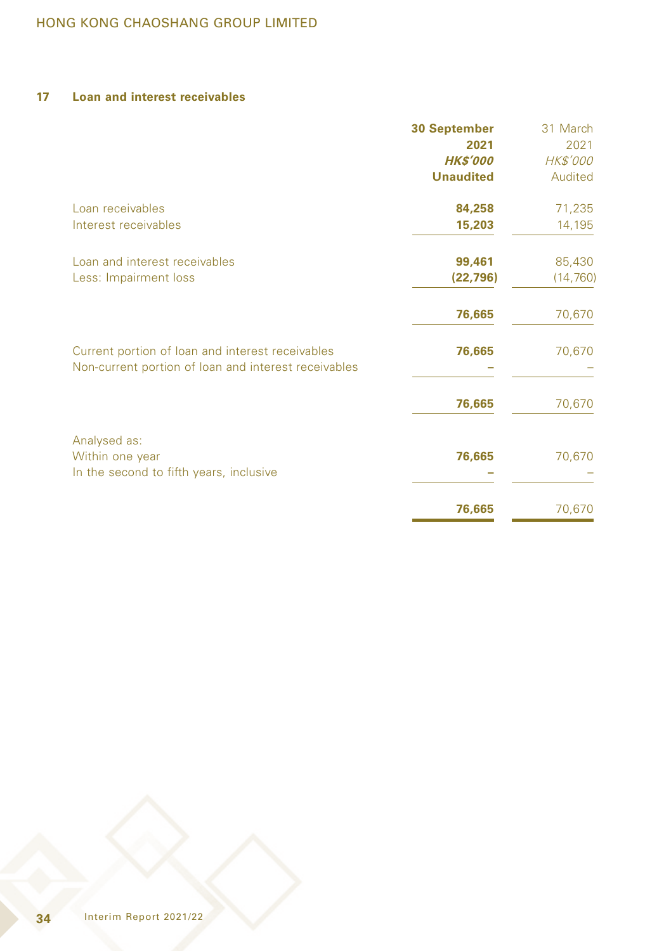### **17 Loan and interest receivables**

|                                                                                                          | <b>30 September</b><br>2021<br><b>HK\$'000</b><br><b>Unaudited</b> | 31 March<br>2021<br><b>HK\$'000</b><br>Audited |
|----------------------------------------------------------------------------------------------------------|--------------------------------------------------------------------|------------------------------------------------|
| Loan receivables<br>Interest receivables                                                                 | 84,258<br>15,203                                                   | 71,235<br>14,195                               |
| Loan and interest receivables<br>Less: Impairment loss                                                   | 99,461<br>(22, 796)                                                | 85,430<br>(14, 760)                            |
|                                                                                                          | 76,665                                                             | 70,670                                         |
| Current portion of loan and interest receivables<br>Non-current portion of loan and interest receivables | 76,665                                                             | 70,670                                         |
|                                                                                                          | 76,665                                                             | 70,670                                         |
| Analysed as:<br>Within one year<br>In the second to fifth years, inclusive                               | 76,665                                                             | 70,670                                         |
|                                                                                                          | 76,665                                                             | 70,670                                         |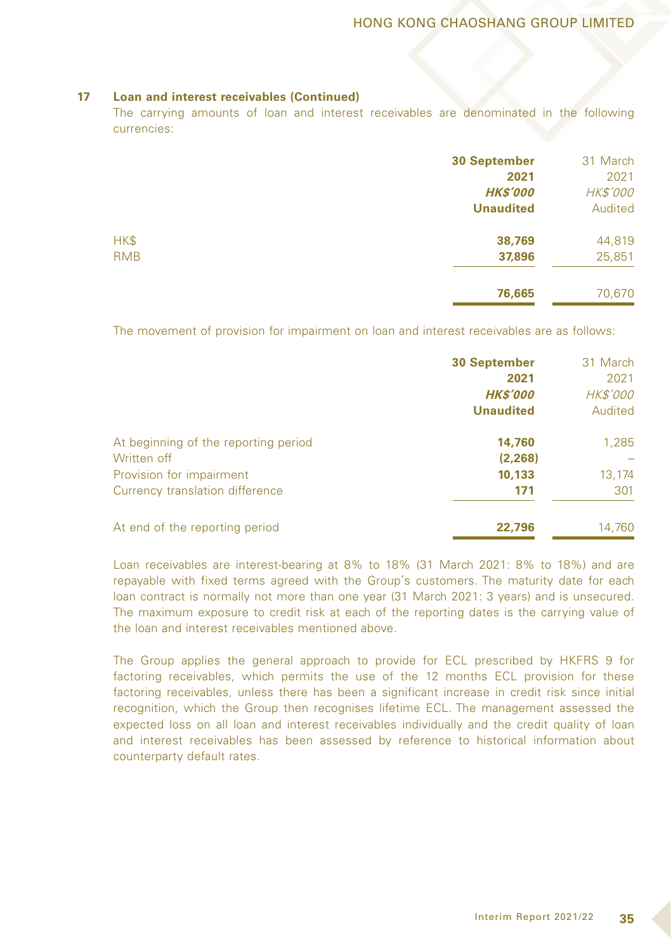#### **17 Loan and interest receivables (Continued)**

The carrying amounts of loan and interest receivables are denominated in the following currencies:

|                    | <b>30 September</b><br>2021         | 31 March<br>2021           |
|--------------------|-------------------------------------|----------------------------|
|                    | <b>HK\$'000</b><br><b>Unaudited</b> | <b>HK\$'000</b><br>Audited |
| HK\$<br><b>RMB</b> | 38,769<br>37,896                    | 44,819<br>25,851           |
|                    | 76,665                              | 70,670                     |

The movement of provision for impairment on loan and interest receivables are as follows:

|                                      | <b>30 September</b><br>2021 | 31 March<br>2021 |
|--------------------------------------|-----------------------------|------------------|
|                                      | <b>HK\$'000</b>             | <b>HK\$'000</b>  |
|                                      | <b>Unaudited</b>            | Audited          |
| At beginning of the reporting period | 14,760                      | 1,285            |
| Written off                          | (2,268)                     |                  |
| Provision for impairment             | 10,133                      | 13,174           |
| Currency translation difference      | 171                         | 301              |
| At end of the reporting period       | 22,796                      | 14,760           |

Loan receivables are interest-bearing at 8% to 18% (31 March 2021: 8% to 18%) and are repayable with fixed terms agreed with the Group's customers. The maturity date for each loan contract is normally not more than one year (31 March 2021: 3 years) and is unsecured. The maximum exposure to credit risk at each of the reporting dates is the carrying value of the loan and interest receivables mentioned above.

The Group applies the general approach to provide for ECL prescribed by HKFRS 9 for factoring receivables, which permits the use of the 12 months ECL provision for these factoring receivables, unless there has been a significant increase in credit risk since initial recognition, which the Group then recognises lifetime ECL. The management assessed the expected loss on all loan and interest receivables individually and the credit quality of loan and interest receivables has been assessed by reference to historical information about counterparty default rates.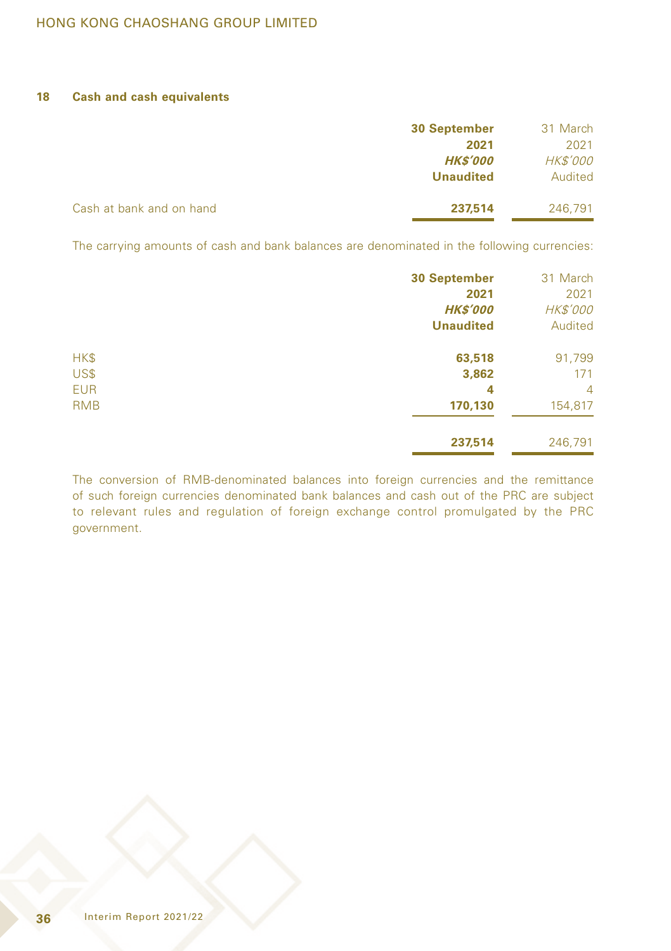**18 Cash and cash equivalents**

|                          | <b>30 September</b> | 31 March        |
|--------------------------|---------------------|-----------------|
|                          | 2021                | 2021            |
|                          | <b>HK\$'000</b>     | <b>HK\$'000</b> |
|                          | <b>Unaudited</b>    | Audited         |
| Cash at bank and on hand | 237,514             | 246,791         |

The carrying amounts of cash and bank balances are denominated in the following currencies:

|            | <b>30 September</b> | 31 March        |
|------------|---------------------|-----------------|
|            | 2021                | 2021            |
|            | <b>HK\$'000</b>     | <b>HK\$'000</b> |
|            | <b>Unaudited</b>    | Audited         |
| HK\$       | 63,518              | 91,799          |
| US\$       | 3,862               | 171             |
| <b>EUR</b> | 4                   | $\overline{4}$  |
| <b>RMB</b> | 170,130             | 154,817         |
|            | 237,514             | 246,791         |

The conversion of RMB-denominated balances into foreign currencies and the remittance of such foreign currencies denominated bank balances and cash out of the PRC are subject to relevant rules and regulation of foreign exchange control promulgated by the PRC government.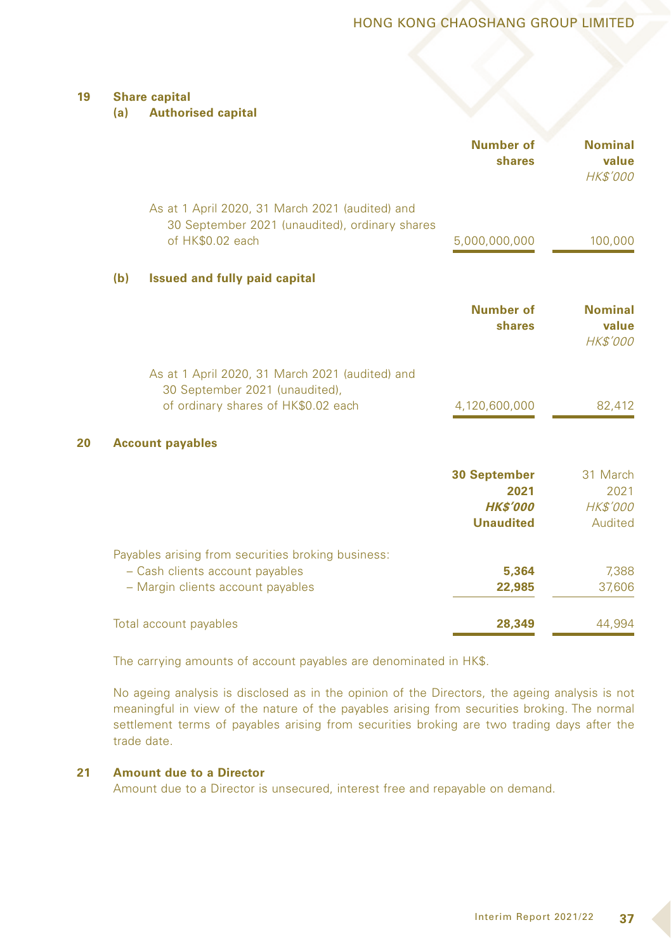### HONG KONG CHAOSHANG GROUP LIMITED

### **19 Share capital**

**(a) Authorised capital**

|     |                                                                                                                          | <b>Number of</b><br>shares                                         | <b>Nominal</b><br>value<br>HK\$'000            |
|-----|--------------------------------------------------------------------------------------------------------------------------|--------------------------------------------------------------------|------------------------------------------------|
|     | As at 1 April 2020, 31 March 2021 (audited) and<br>30 September 2021 (unaudited), ordinary shares<br>of HK\$0.02 each    | 5,000,000,000                                                      | 100,000                                        |
| (b) | <b>Issued and fully paid capital</b>                                                                                     |                                                                    |                                                |
|     |                                                                                                                          | <b>Number of</b><br>shares                                         | <b>Nominal</b><br>value<br>HK\$'000            |
|     | As at 1 April 2020, 31 March 2021 (audited) and<br>30 September 2021 (unaudited),<br>of ordinary shares of HK\$0.02 each | 4,120,600,000                                                      | 82,412                                         |
| 20  | <b>Account payables</b>                                                                                                  |                                                                    |                                                |
|     |                                                                                                                          | <b>30 September</b><br>2021<br><b>HK\$'000</b><br><b>Unaudited</b> | 31 March<br>2021<br><b>HK\$'000</b><br>Audited |
|     | Payables arising from securities broking business:                                                                       |                                                                    |                                                |
|     | - Cash clients account payables<br>- Margin clients account payables                                                     | 5,364<br>22,985                                                    | 7,388<br>37,606                                |
|     | Total account payables                                                                                                   | 28,349                                                             | 44,994                                         |

The carrying amounts of account payables are denominated in HK\$.

No ageing analysis is disclosed as in the opinion of the Directors, the ageing analysis is not meaningful in view of the nature of the payables arising from securities broking. The normal settlement terms of payables arising from securities broking are two trading days after the trade date.

### **21 Amount due to a Director**

Amount due to a Director is unsecured, interest free and repayable on demand.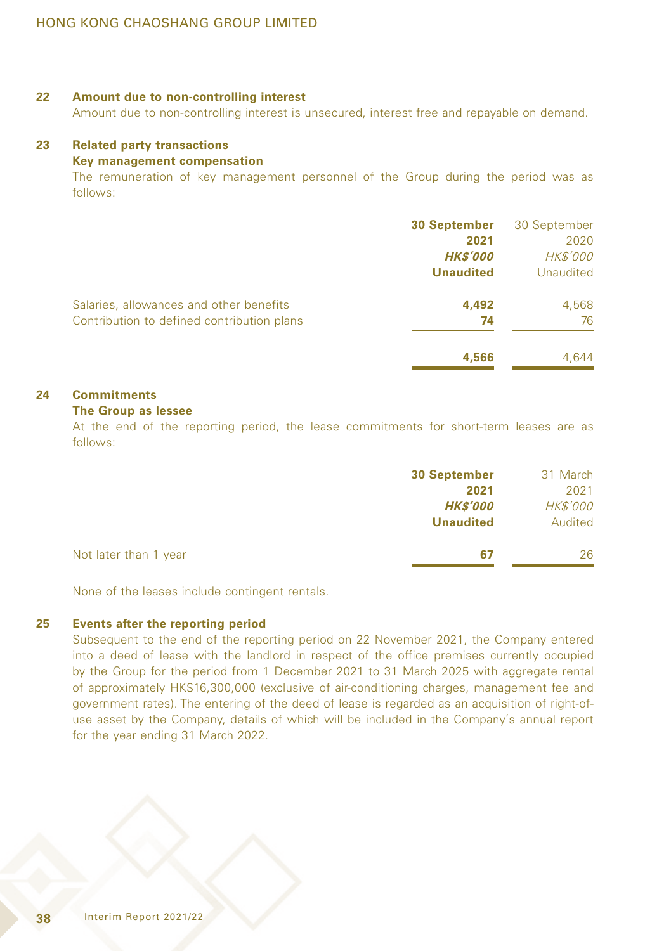#### **22 Amount due to non-controlling interest**

Amount due to non-controlling interest is unsecured, interest free and repayable on demand.

### **23 Related party transactions**

#### **Key management compensation**

The remuneration of key management personnel of the Group during the period was as follows:

|                                                                                       | <b>30 September</b><br>2021<br><b>HK\$'000</b><br><b>Unaudited</b> | 30 September<br>2020<br><b>HK\$'000</b><br>Unaudited |
|---------------------------------------------------------------------------------------|--------------------------------------------------------------------|------------------------------------------------------|
| Salaries, allowances and other benefits<br>Contribution to defined contribution plans | 4,492<br>74                                                        | 4,568<br>76                                          |
|                                                                                       | 4,566                                                              | 4.644                                                |

### **24 Commitments**

### **The Group as lessee**

At the end of the reporting period, the lease commitments for short-term leases are as follows:

|                       | <b>30 September</b> | 31 March        |
|-----------------------|---------------------|-----------------|
|                       | 2021                | 2021            |
|                       | <b>HK\$'000</b>     | <b>HK\$'000</b> |
|                       | <b>Unaudited</b>    | Audited         |
| Not later than 1 year | 67                  | 26              |
|                       |                     |                 |

None of the leases include contingent rentals.

#### **25 Events after the reporting period**

Subsequent to the end of the reporting period on 22 November 2021, the Company entered into a deed of lease with the landlord in respect of the office premises currently occupied by the Group for the period from 1 December 2021 to 31 March 2025 with aggregate rental of approximately HK\$16,300,000 (exclusive of air-conditioning charges, management fee and government rates). The entering of the deed of lease is regarded as an acquisition of right-ofuse asset by the Company, details of which will be included in the Company's annual report for the year ending 31 March 2022.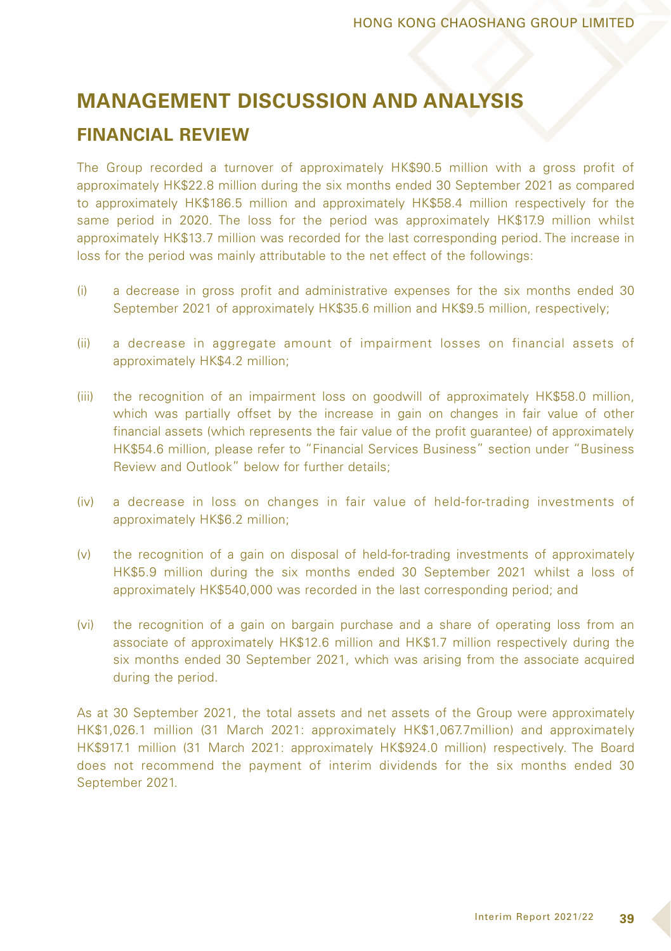## **MANAGEMENT DISCUSSION AND ANALYSIS**

## **FINANCIAL REVIEW**

The Group recorded a turnover of approximately HK\$90.5 million with a gross profit of approximately HK\$22.8 million during the six months ended 30 September 2021 as compared to approximately HK\$186.5 million and approximately HK\$58.4 million respectively for the same period in 2020. The loss for the period was approximately HK\$17.9 million whilst approximately HK\$13.7 million was recorded for the last corresponding period. The increase in loss for the period was mainly attributable to the net effect of the followings:

- (i) a decrease in gross profit and administrative expenses for the six months ended 30 September 2021 of approximately HK\$35.6 million and HK\$9.5 million, respectively;
- (ii) a decrease in aggregate amount of impairment losses on financial assets of approximately HK\$4.2 million;
- (iii) the recognition of an impairment loss on goodwill of approximately HK\$58.0 million, which was partially offset by the increase in gain on changes in fair value of other financial assets (which represents the fair value of the profit guarantee) of approximately HK\$54.6 million, please refer to "Financial Services Business" section under "Business Review and Outlook" below for further details;
- (iv) a decrease in loss on changes in fair value of held-for-trading investments of approximately HK\$6.2 million;
- (v) the recognition of a gain on disposal of held-for-trading investments of approximately HK\$5.9 million during the six months ended 30 September 2021 whilst a loss of approximately HK\$540,000 was recorded in the last corresponding period; and
- (vi) the recognition of a gain on bargain purchase and a share of operating loss from an associate of approximately HK\$12.6 million and HK\$1.7 million respectively during the six months ended 30 September 2021, which was arising from the associate acquired during the period.

As at 30 September 2021, the total assets and net assets of the Group were approximately HK\$1,026.1 million (31 March 2021: approximately HK\$1,067.7million) and approximately HK\$917.1 million (31 March 2021: approximately HK\$924.0 million) respectively. The Board does not recommend the payment of interim dividends for the six months ended 30 September 2021.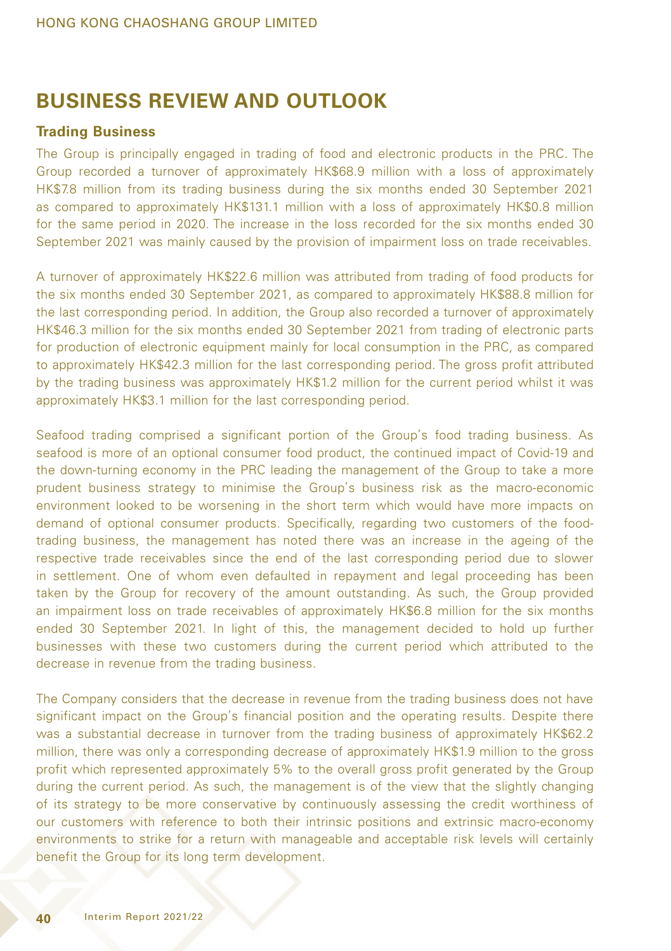## **BUSINESS REVIEW AND OUTLOOK**

### **Trading Business**

The Group is principally engaged in trading of food and electronic products in the PRC. The Group recorded a turnover of approximately HK\$68.9 million with a loss of approximately HK\$7.8 million from its trading business during the six months ended 30 September 2021 as compared to approximately HK\$131.1 million with a loss of approximately HK\$0.8 million for the same period in 2020. The increase in the loss recorded for the six months ended 30 September 2021 was mainly caused by the provision of impairment loss on trade receivables.

A turnover of approximately HK\$22.6 million was attributed from trading of food products for the six months ended 30 September 2021, as compared to approximately HK\$88.8 million for the last corresponding period. In addition, the Group also recorded a turnover of approximately HK\$46.3 million for the six months ended 30 September 2021 from trading of electronic parts for production of electronic equipment mainly for local consumption in the PRC, as compared to approximately HK\$42.3 million for the last corresponding period. The gross profit attributed by the trading business was approximately HK\$1.2 million for the current period whilst it was approximately HK\$3.1 million for the last corresponding period.

Seafood trading comprised a significant portion of the Group's food trading business. As seafood is more of an optional consumer food product, the continued impact of Covid-19 and the down-turning economy in the PRC leading the management of the Group to take a more prudent business strategy to minimise the Group's business risk as the macro-economic environment looked to be worsening in the short term which would have more impacts on demand of optional consumer products. Specifically, regarding two customers of the foodtrading business, the management has noted there was an increase in the ageing of the respective trade receivables since the end of the last corresponding period due to slower in settlement. One of whom even defaulted in repayment and legal proceeding has been taken by the Group for recovery of the amount outstanding. As such, the Group provided an impairment loss on trade receivables of approximately HK\$6.8 million for the six months ended 30 September 2021. In light of this, the management decided to hold up further businesses with these two customers during the current period which attributed to the decrease in revenue from the trading business.

The Company considers that the decrease in revenue from the trading business does not have significant impact on the Group's financial position and the operating results. Despite there was a substantial decrease in turnover from the trading business of approximately HK\$62.2 million, there was only a corresponding decrease of approximately HK\$1.9 million to the gross profit which represented approximately 5% to the overall gross profit generated by the Group during the current period. As such, the management is of the view that the slightly changing of its strategy to be more conservative by continuously assessing the credit worthiness of our customers with reference to both their intrinsic positions and extrinsic macro-economy environments to strike for a return with manageable and acceptable risk levels will certainly benefit the Group for its long term development.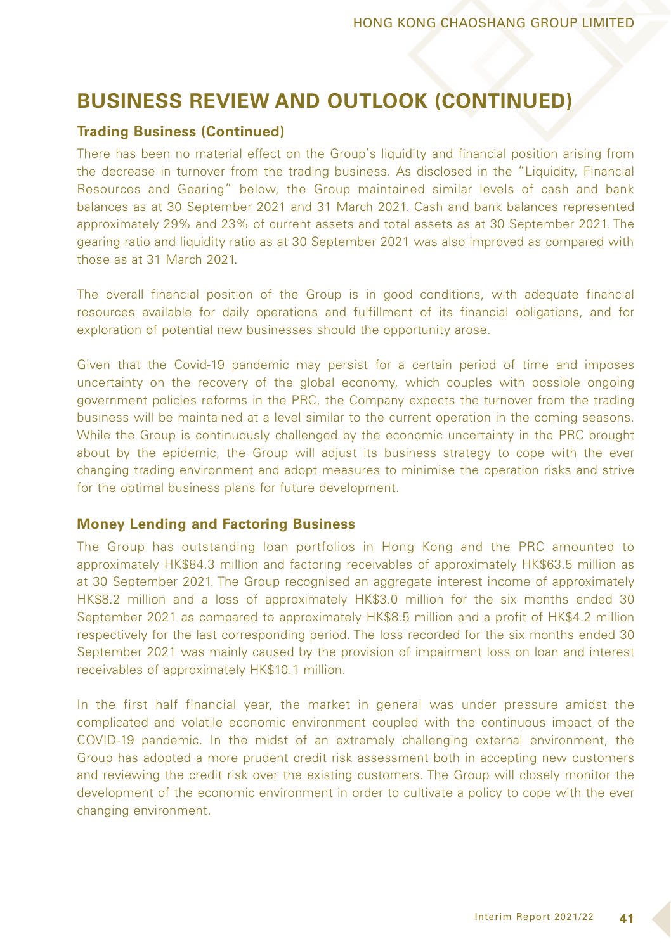### **Trading Business (Continued)**

There has been no material effect on the Group's liquidity and financial position arising from the decrease in turnover from the trading business. As disclosed in the "Liquidity, Financial Resources and Gearing" below, the Group maintained similar levels of cash and bank balances as at 30 September 2021 and 31 March 2021. Cash and bank balances represented approximately 29% and 23% of current assets and total assets as at 30 September 2021. The gearing ratio and liquidity ratio as at 30 September 2021 was also improved as compared with those as at 31 March 2021.

The overall financial position of the Group is in good conditions, with adequate financial resources available for daily operations and fulfillment of its financial obligations, and for exploration of potential new businesses should the opportunity arose.

Given that the Covid-19 pandemic may persist for a certain period of time and imposes uncertainty on the recovery of the global economy, which couples with possible ongoing government policies reforms in the PRC, the Company expects the turnover from the trading business will be maintained at a level similar to the current operation in the coming seasons. While the Group is continuously challenged by the economic uncertainty in the PRC brought about by the epidemic, the Group will adjust its business strategy to cope with the ever changing trading environment and adopt measures to minimise the operation risks and strive for the optimal business plans for future development.

### **Money Lending and Factoring Business**

The Group has outstanding loan portfolios in Hong Kong and the PRC amounted to approximately HK\$84.3 million and factoring receivables of approximately HK\$63.5 million as at 30 September 2021. The Group recognised an aggregate interest income of approximately HK\$8.2 million and a loss of approximately HK\$3.0 million for the six months ended 30 September 2021 as compared to approximately HK\$8.5 million and a profit of HK\$4.2 million respectively for the last corresponding period. The loss recorded for the six months ended 30 September 2021 was mainly caused by the provision of impairment loss on loan and interest receivables of approximately HK\$10.1 million.

In the first half financial year, the market in general was under pressure amidst the complicated and volatile economic environment coupled with the continuous impact of the COVID-19 pandemic. In the midst of an extremely challenging external environment, the Group has adopted a more prudent credit risk assessment both in accepting new customers and reviewing the credit risk over the existing customers. The Group will closely monitor the development of the economic environment in order to cultivate a policy to cope with the ever changing environment.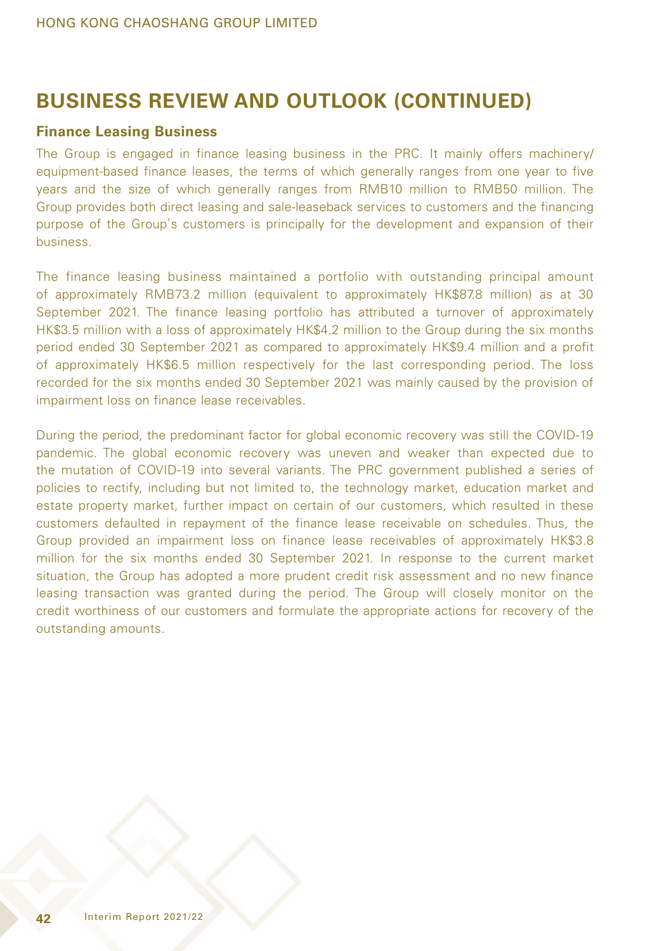### **Finance Leasing Business**

The Group is engaged in finance leasing business in the PRC. It mainly offers machinery/ equipment-based finance leases, the terms of which generally ranges from one year to five years and the size of which generally ranges from RMB10 million to RMB50 million. The Group provides both direct leasing and sale-leaseback services to customers and the financing purpose of the Group's customers is principally for the development and expansion of their business.

The finance leasing business maintained a portfolio with outstanding principal amount of approximately RMB73.2 million (equivalent to approximately HK\$87.8 million) as at 30 September 2021. The finance leasing portfolio has attributed a turnover of approximately HK\$3.5 million with a loss of approximately HK\$4.2 million to the Group during the six months period ended 30 September 2021 as compared to approximately HK\$9.4 million and a profit of approximately HK\$6.5 million respectively for the last corresponding period. The loss recorded for the six months ended 30 September 2021 was mainly caused by the provision of impairment loss on finance lease receivables.

During the period, the predominant factor for global economic recovery was still the COVID-19 pandemic. The global economic recovery was uneven and weaker than expected due to the mutation of COVID-19 into several variants. The PRC government published a series of policies to rectify, including but not limited to, the technology market, education market and estate property market, further impact on certain of our customers, which resulted in these customers defaulted in repayment of the finance lease receivable on schedules. Thus, the Group provided an impairment loss on finance lease receivables of approximately HK\$3.8 million for the six months ended 30 September 2021. In response to the current market situation, the Group has adopted a more prudent credit risk assessment and no new finance leasing transaction was granted during the period. The Group will closely monitor on the credit worthiness of our customers and formulate the appropriate actions for recovery of the outstanding amounts.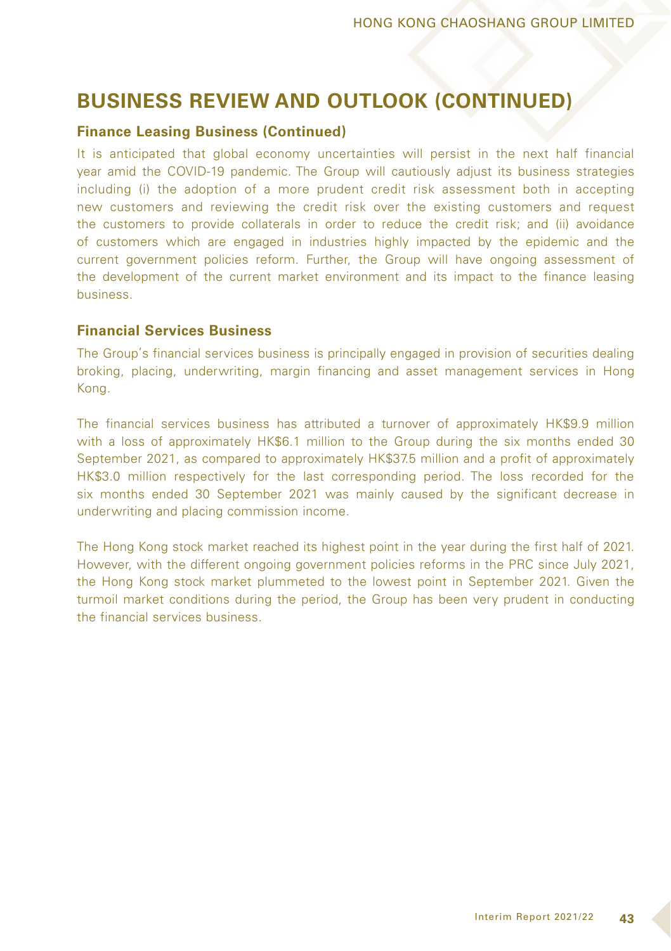### **Finance Leasing Business (Continued)**

It is anticipated that global economy uncertainties will persist in the next half financial year amid the COVID-19 pandemic. The Group will cautiously adjust its business strategies including (i) the adoption of a more prudent credit risk assessment both in accepting new customers and reviewing the credit risk over the existing customers and request the customers to provide collaterals in order to reduce the credit risk; and (ii) avoidance of customers which are engaged in industries highly impacted by the epidemic and the current government policies reform. Further, the Group will have ongoing assessment of the development of the current market environment and its impact to the finance leasing business.

### **Financial Services Business**

The Group's financial services business is principally engaged in provision of securities dealing broking, placing, underwriting, margin financing and asset management services in Hong Kong.

The financial services business has attributed a turnover of approximately HK\$9.9 million with a loss of approximately HK\$6.1 million to the Group during the six months ended 30 September 2021, as compared to approximately HK\$37.5 million and a profit of approximately HK\$3.0 million respectively for the last corresponding period. The loss recorded for the six months ended 30 September 2021 was mainly caused by the significant decrease in underwriting and placing commission income.

The Hong Kong stock market reached its highest point in the year during the first half of 2021. However, with the different ongoing government policies reforms in the PRC since July 2021, the Hong Kong stock market plummeted to the lowest point in September 2021. Given the turmoil market conditions during the period, the Group has been very prudent in conducting the financial services business.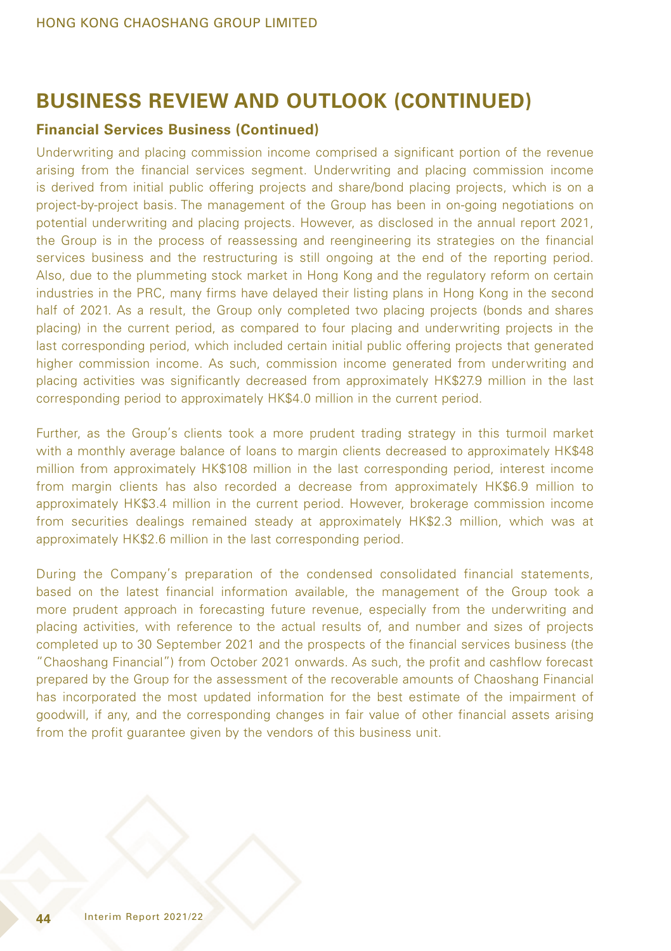### **Financial Services Business (Continued)**

Underwriting and placing commission income comprised a significant portion of the revenue arising from the financial services segment. Underwriting and placing commission income is derived from initial public offering projects and share/bond placing projects, which is on a project-by-project basis. The management of the Group has been in on-going negotiations on potential underwriting and placing projects. However, as disclosed in the annual report 2021, the Group is in the process of reassessing and reengineering its strategies on the financial services business and the restructuring is still ongoing at the end of the reporting period. Also, due to the plummeting stock market in Hong Kong and the regulatory reform on certain industries in the PRC, many firms have delayed their listing plans in Hong Kong in the second half of 2021. As a result, the Group only completed two placing projects (bonds and shares placing) in the current period, as compared to four placing and underwriting projects in the last corresponding period, which included certain initial public offering projects that generated higher commission income. As such, commission income generated from underwriting and placing activities was significantly decreased from approximately HK\$27.9 million in the last corresponding period to approximately HK\$4.0 million in the current period.

Further, as the Group's clients took a more prudent trading strategy in this turmoil market with a monthly average balance of loans to margin clients decreased to approximately HK\$48 million from approximately HK\$108 million in the last corresponding period, interest income from margin clients has also recorded a decrease from approximately HK\$6.9 million to approximately HK\$3.4 million in the current period. However, brokerage commission income from securities dealings remained steady at approximately HK\$2.3 million, which was at approximately HK\$2.6 million in the last corresponding period.

During the Company's preparation of the condensed consolidated financial statements, based on the latest financial information available, the management of the Group took a more prudent approach in forecasting future revenue, especially from the underwriting and placing activities, with reference to the actual results of, and number and sizes of projects completed up to 30 September 2021 and the prospects of the financial services business (the "Chaoshang Financial") from October 2021 onwards. As such, the profit and cashflow forecast prepared by the Group for the assessment of the recoverable amounts of Chaoshang Financial has incorporated the most updated information for the best estimate of the impairment of goodwill, if any, and the corresponding changes in fair value of other financial assets arising from the profit guarantee given by the vendors of this business unit.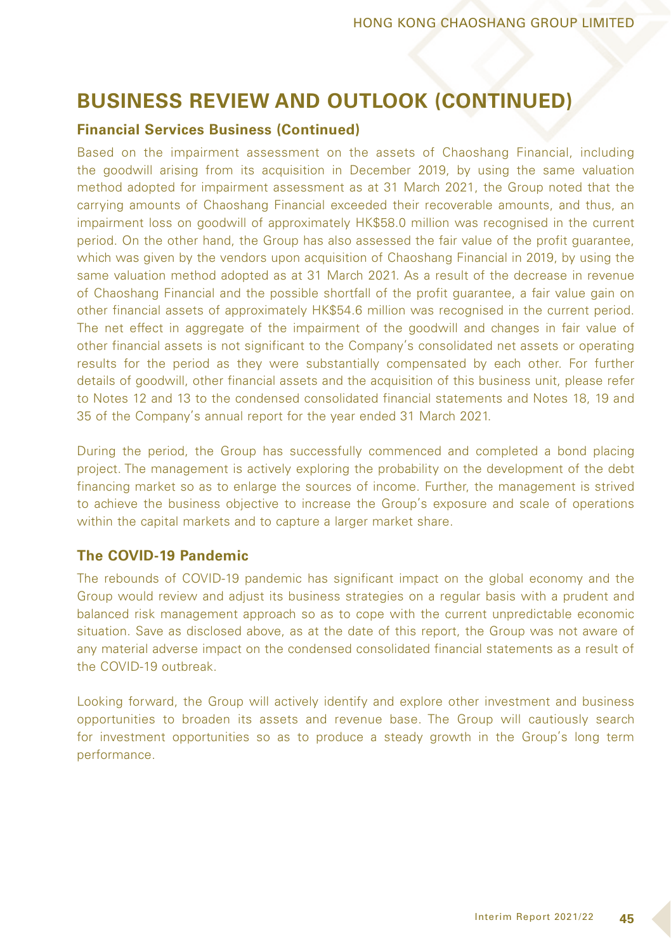### **Financial Services Business (Continued)**

Based on the impairment assessment on the assets of Chaoshang Financial, including the goodwill arising from its acquisition in December 2019, by using the same valuation method adopted for impairment assessment as at 31 March 2021, the Group noted that the carrying amounts of Chaoshang Financial exceeded their recoverable amounts, and thus, an impairment loss on goodwill of approximately HK\$58.0 million was recognised in the current period. On the other hand, the Group has also assessed the fair value of the profit guarantee, which was given by the vendors upon acquisition of Chaoshang Financial in 2019, by using the same valuation method adopted as at 31 March 2021. As a result of the decrease in revenue of Chaoshang Financial and the possible shortfall of the profit guarantee, a fair value gain on other financial assets of approximately HK\$54.6 million was recognised in the current period. The net effect in aggregate of the impairment of the goodwill and changes in fair value of other financial assets is not significant to the Company's consolidated net assets or operating results for the period as they were substantially compensated by each other. For further details of goodwill, other financial assets and the acquisition of this business unit, please refer to Notes 12 and 13 to the condensed consolidated financial statements and Notes 18, 19 and 35 of the Company's annual report for the year ended 31 March 2021.

During the period, the Group has successfully commenced and completed a bond placing project. The management is actively exploring the probability on the development of the debt financing market so as to enlarge the sources of income. Further, the management is strived to achieve the business objective to increase the Group's exposure and scale of operations within the capital markets and to capture a larger market share.

### **The COVID-19 Pandemic**

The rebounds of COVID-19 pandemic has significant impact on the global economy and the Group would review and adjust its business strategies on a regular basis with a prudent and balanced risk management approach so as to cope with the current unpredictable economic situation. Save as disclosed above, as at the date of this report, the Group was not aware of any material adverse impact on the condensed consolidated financial statements as a result of the COVID-19 outbreak.

Looking forward, the Group will actively identify and explore other investment and business opportunities to broaden its assets and revenue base. The Group will cautiously search for investment opportunities so as to produce a steady growth in the Group's long term performance.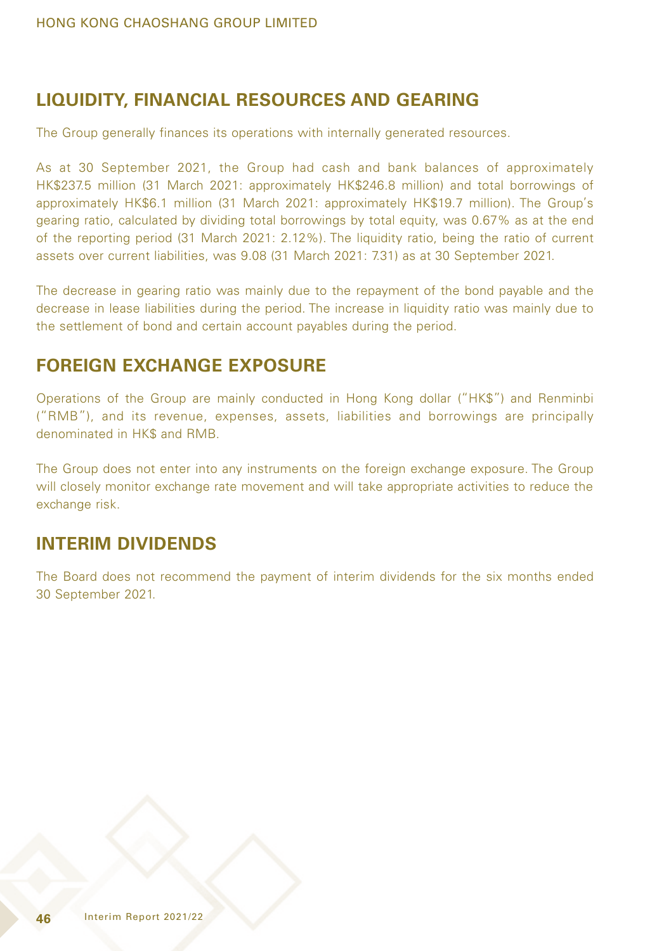## **LIQUIDITY, FINANCIAL RESOURCES AND GEARING**

The Group generally finances its operations with internally generated resources.

As at 30 September 2021, the Group had cash and bank balances of approximately HK\$237.5 million (31 March 2021: approximately HK\$246.8 million) and total borrowings of approximately HK\$6.1 million (31 March 2021: approximately HK\$19.7 million). The Group's gearing ratio, calculated by dividing total borrowings by total equity, was 0.67% as at the end of the reporting period (31 March 2021: 2.12%). The liquidity ratio, being the ratio of current assets over current liabilities, was 9.08 (31 March 2021: 7.31) as at 30 September 2021.

The decrease in gearing ratio was mainly due to the repayment of the bond payable and the decrease in lease liabilities during the period. The increase in liquidity ratio was mainly due to the settlement of bond and certain account payables during the period.

## **FOREIGN EXCHANGE EXPOSURE**

Operations of the Group are mainly conducted in Hong Kong dollar ("HK\$") and Renminbi ("RMB"), and its revenue, expenses, assets, liabilities and borrowings are principally denominated in HK\$ and RMB.

The Group does not enter into any instruments on the foreign exchange exposure. The Group will closely monitor exchange rate movement and will take appropriate activities to reduce the exchange risk.

## **INTERIM DIVIDENDS**

The Board does not recommend the payment of interim dividends for the six months ended 30 September 2021.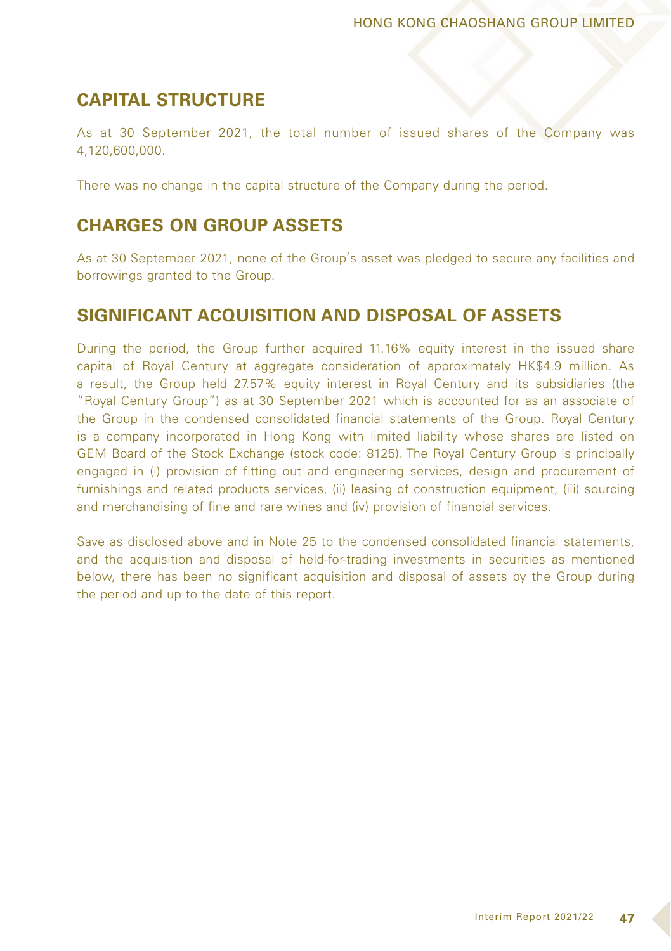## **CAPITAL STRUCTURE**

As at 30 September 2021, the total number of issued shares of the Company was 4,120,600,000.

There was no change in the capital structure of the Company during the period.

## **CHARGES ON GROUP ASSETS**

As at 30 September 2021, none of the Group's asset was pledged to secure any facilities and borrowings granted to the Group.

## **SIGNIFICANT ACQUISITION AND DISPOSAL OF ASSETS**

During the period, the Group further acquired 11.16% equity interest in the issued share capital of Royal Century at aggregate consideration of approximately HK\$4.9 million. As a result, the Group held 27.57% equity interest in Royal Century and its subsidiaries (the "Royal Century Group") as at 30 September 2021 which is accounted for as an associate of the Group in the condensed consolidated financial statements of the Group. Royal Century is a company incorporated in Hong Kong with limited liability whose shares are listed on GEM Board of the Stock Exchange (stock code: 8125). The Royal Century Group is principally engaged in (i) provision of fitting out and engineering services, design and procurement of furnishings and related products services, (ii) leasing of construction equipment, (iii) sourcing and merchandising of fine and rare wines and (iv) provision of financial services.

Save as disclosed above and in Note 25 to the condensed consolidated financial statements, and the acquisition and disposal of held-for-trading investments in securities as mentioned below, there has been no significant acquisition and disposal of assets by the Group during the period and up to the date of this report.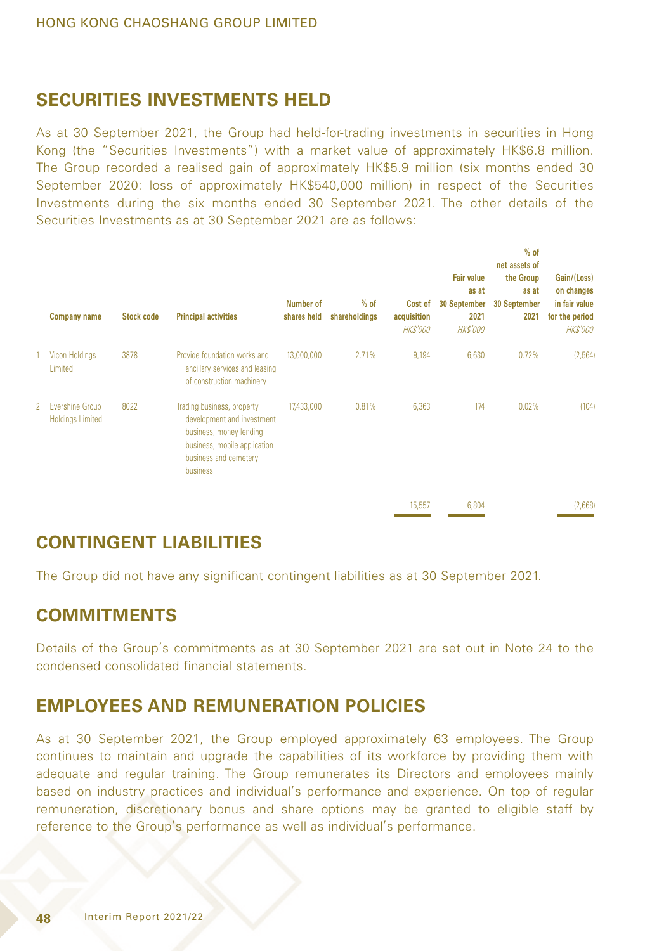### **SECURITIES INVESTMENTS HELD**

As at 30 September 2021, the Group had held-for-trading investments in securities in Hong Kong (the "Securities Investments") with a market value of approximately HK\$6.8 million. The Group recorded a realised gain of approximately HK\$5.9 million (six months ended 30 September 2020: loss of approximately HK\$540,000 million) in respect of the Securities Investments during the six months ended 30 September 2021. The other details of the Securities Investments as at 30 September 2021 are as follows:

|   | <b>Company name</b>                        | <b>Stock code</b> | <b>Principal activities</b>                                                                                                                              | Number of<br>shares held | $%$ of<br>shareholdings | Cost of<br>acquisition<br><b>HK\$'000</b> | <b>Fair value</b><br>as at<br>30 September<br>2021<br><b>HK\$'000</b> | $%$ of<br>net assets of<br>the Group<br>as at<br>30 September<br>2021 | Gain/(Loss)<br>on changes<br>in fair value<br>for the period<br><b>HK\$'000</b> |
|---|--------------------------------------------|-------------------|----------------------------------------------------------------------------------------------------------------------------------------------------------|--------------------------|-------------------------|-------------------------------------------|-----------------------------------------------------------------------|-----------------------------------------------------------------------|---------------------------------------------------------------------------------|
|   | <b>Vicon Holdings</b><br>Limited           | 3878              | Provide foundation works and<br>ancillary services and leasing<br>of construction machinery                                                              | 13,000,000               | 2.71%                   | 9,194                                     | 6,630                                                                 | 0.72%                                                                 | (2, 564)                                                                        |
| 2 | Evershine Group<br><b>Holdings Limited</b> | 8022              | Trading business, property<br>development and investment<br>business, money lending<br>business, mobile application<br>business and cemetery<br>business | 17,433,000               | 0.81%                   | 6,363                                     | 174                                                                   | 0.02%                                                                 | (104)                                                                           |
|   |                                            |                   |                                                                                                                                                          |                          |                         | 15,557                                    | 6,804                                                                 |                                                                       | (2,668)                                                                         |

## **CONTINGENT LIABILITIES**

The Group did not have any significant contingent liabilities as at 30 September 2021.

## **COMMITMENTS**

Details of the Group's commitments as at 30 September 2021 are set out in Note 24 to the condensed consolidated financial statements.

## **EMPLOYEES AND REMUNERATION POLICIES**

As at 30 September 2021, the Group employed approximately 63 employees. The Group continues to maintain and upgrade the capabilities of its workforce by providing them with adequate and regular training. The Group remunerates its Directors and employees mainly based on industry practices and individual's performance and experience. On top of regular remuneration, discretionary bonus and share options may be granted to eligible staff by reference to the Group's performance as well as individual's performance.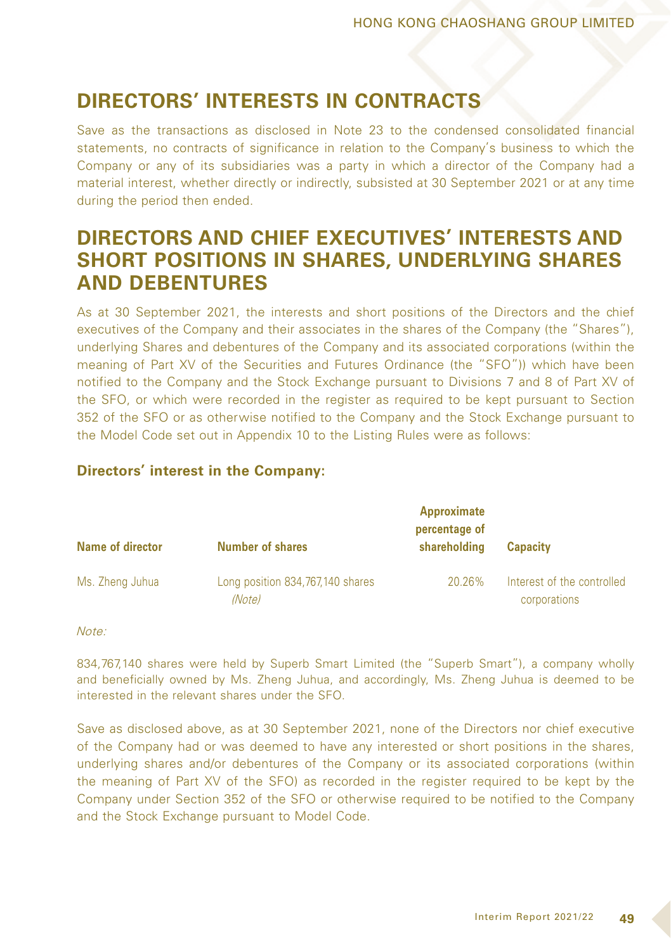## **DIRECTORS' INTERESTS IN CONTRACTS**

Save as the transactions as disclosed in Note 23 to the condensed consolidated financial statements, no contracts of significance in relation to the Company's business to which the Company or any of its subsidiaries was a party in which a director of the Company had a material interest, whether directly or indirectly, subsisted at 30 September 2021 or at any time during the period then ended.

## **DIRECTORS AND CHIEF EXECUTIVES' INTERESTS AND SHORT POSITIONS IN SHARES, UNDERLYING SHARES AND DEBENTURES**

As at 30 September 2021, the interests and short positions of the Directors and the chief executives of the Company and their associates in the shares of the Company (the "Shares"), underlying Shares and debentures of the Company and its associated corporations (within the meaning of Part XV of the Securities and Futures Ordinance (the "SFO")) which have been notified to the Company and the Stock Exchange pursuant to Divisions 7 and 8 of Part XV of the SFO, or which were recorded in the register as required to be kept pursuant to Section 352 of the SFO or as otherwise notified to the Company and the Stock Exchange pursuant to the Model Code set out in Appendix 10 to the Listing Rules were as follows:

#### **Name of director Number of shares Approximate percentage of shareholding Capacity** Ms. Zheng Juhua Long position 834,767,140 shares (Note) 20.26% Interest of the controlled corporations

### **Directors' interest in the Company:**

Note:

834,767,140 shares were held by Superb Smart Limited (the "Superb Smart"), a company wholly and beneficially owned by Ms. Zheng Juhua, and accordingly, Ms. Zheng Juhua is deemed to be interested in the relevant shares under the SFO.

Save as disclosed above, as at 30 September 2021, none of the Directors nor chief executive of the Company had or was deemed to have any interested or short positions in the shares, underlying shares and/or debentures of the Company or its associated corporations (within the meaning of Part XV of the SFO) as recorded in the register required to be kept by the Company under Section 352 of the SFO or otherwise required to be notified to the Company and the Stock Exchange pursuant to Model Code.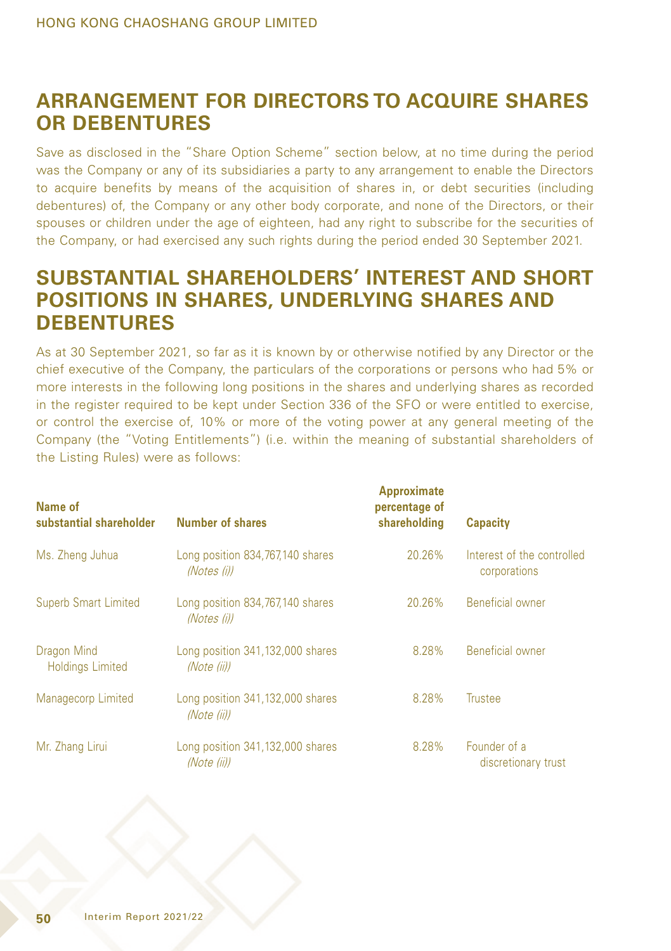## **ARRANGEMENT FOR DIRECTORS TO ACQUIRE SHARES OR DEBENTURES**

Save as disclosed in the "Share Option Scheme" section below, at no time during the period was the Company or any of its subsidiaries a party to any arrangement to enable the Directors to acquire benefits by means of the acquisition of shares in, or debt securities (including debentures) of, the Company or any other body corporate, and none of the Directors, or their spouses or children under the age of eighteen, had any right to subscribe for the securities of the Company, or had exercised any such rights during the period ended 30 September 2021.

## **SUBSTANTIAL SHAREHOLDERS' INTEREST AND SHORT POSITIONS IN SHARES, UNDERLYING SHARES AND DEBENTURES**

As at 30 September 2021, so far as it is known by or otherwise notified by any Director or the chief executive of the Company, the particulars of the corporations or persons who had 5% or more interests in the following long positions in the shares and underlying shares as recorded in the register required to be kept under Section 336 of the SFO or were entitled to exercise, or control the exercise of, 10% or more of the voting power at any general meeting of the Company (the "Voting Entitlements") (i.e. within the meaning of substantial shareholders of the Listing Rules) were as follows:

| Name of<br>substantial shareholder     | <b>Number of shares</b>                         | Approximate<br>percentage of<br>shareholding | <b>Capacity</b>                            |
|----------------------------------------|-------------------------------------------------|----------------------------------------------|--------------------------------------------|
| Ms. Zheng Juhua                        | Long position 834,767,140 shares<br>(Notes (i)) | 20.26%                                       | Interest of the controlled<br>corporations |
| <b>Superb Smart Limited</b>            | Long position 834,767,140 shares<br>(Notes (i)) | 20.26%                                       | Beneficial owner                           |
| Dragon Mind<br><b>Holdings Limited</b> | Long position 341,132,000 shares<br>(Note (ii)) | 8.28%                                        | Beneficial owner                           |
| Managecorp Limited                     | Long position 341,132,000 shares<br>(Note (ii)) | 8.28%                                        | <b>Trustee</b>                             |
| Mr. Zhang Lirui                        | Long position 341,132,000 shares<br>(Note (ii)) | 8.28%                                        | Founder of a<br>discretionary trust        |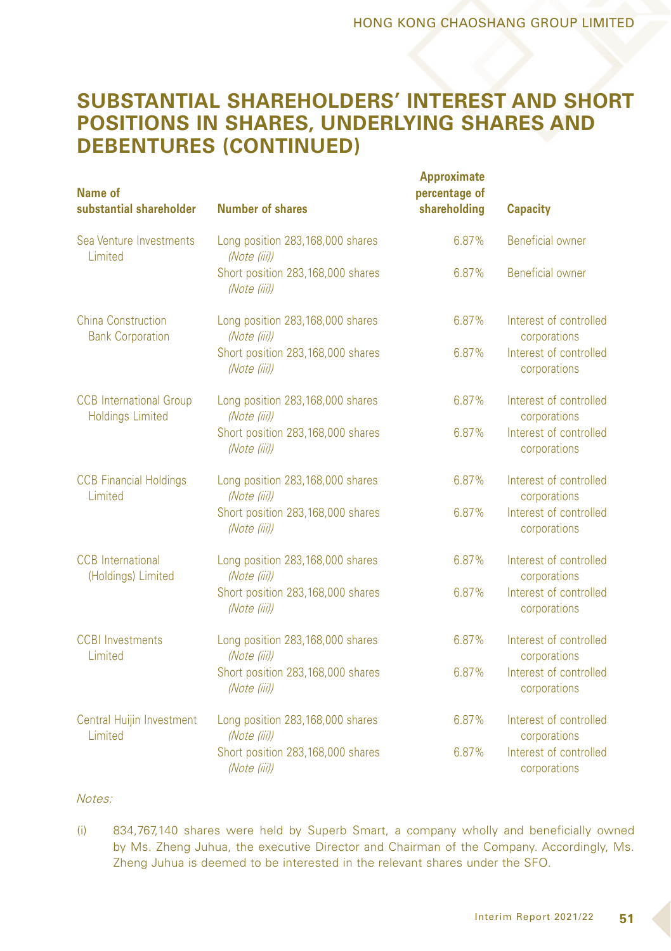## **SUBSTANTIAL SHAREHOLDERS' INTEREST AND SHORT POSITIONS IN SHARES, UNDERLYING SHARES AND DEBENTURES (CONTINUED)**

| Name of<br>substantial shareholder                        | <b>Number of shares</b>                           | Approximate<br>percentage of<br>shareholding | <b>Capacity</b>                        |
|-----------------------------------------------------------|---------------------------------------------------|----------------------------------------------|----------------------------------------|
| Sea Venture Investments<br>Limited                        | Long position 283,168,000 shares<br>(Note (iii))  | 6.87%                                        | Beneficial owner                       |
|                                                           | Short position 283,168,000 shares<br>(Note (iii)) | 6.87%                                        | <b>Beneficial owner</b>                |
| <b>China Construction</b><br><b>Bank Corporation</b>      | Long position 283,168,000 shares<br>(Note (iii))  | 6.87%                                        | Interest of controlled<br>corporations |
|                                                           | Short position 283,168,000 shares<br>(Note (iii)) | 6.87%                                        | Interest of controlled<br>corporations |
| <b>CCB</b> International Group<br><b>Holdings Limited</b> | Long position 283,168,000 shares<br>(Note (iii))  | 6.87%                                        | Interest of controlled<br>corporations |
|                                                           | Short position 283,168,000 shares<br>(Note (iii)) | 6.87%                                        | Interest of controlled<br>corporations |
| <b>CCB Financial Holdings</b><br>Limited                  | Long position 283,168,000 shares<br>(Note (iii))  | 6.87%                                        | Interest of controlled<br>corporations |
|                                                           | Short position 283,168,000 shares<br>(Note (iii)) | 6.87%                                        | Interest of controlled<br>corporations |
| <b>CCB</b> International<br>(Holdings) Limited            | Long position 283,168,000 shares<br>(Note (iii))  | 6.87%                                        | Interest of controlled<br>corporations |
|                                                           | Short position 283,168,000 shares<br>(Note (iii)) | 6.87%                                        | Interest of controlled<br>corporations |
| <b>CCBI</b> Investments<br>Limited                        | Long position 283,168,000 shares<br>(Note (iii))  | 6.87%                                        | Interest of controlled<br>corporations |
|                                                           | Short position 283,168,000 shares<br>(Note (iii)) | 6.87%                                        | Interest of controlled<br>corporations |
| Central Huijin Investment<br>Limited                      | Long position 283,168,000 shares<br>(Note (iii))  | 6.87%                                        | Interest of controlled<br>corporations |
|                                                           | Short position 283,168,000 shares<br>(Note (iii)) | 6.87%                                        | Interest of controlled<br>corporations |

#### Notes:

(i) 834,767,140 shares were held by Superb Smart, a company wholly and beneficially owned by Ms. Zheng Juhua, the executive Director and Chairman of the Company. Accordingly, Ms. Zheng Juhua is deemed to be interested in the relevant shares under the SFO.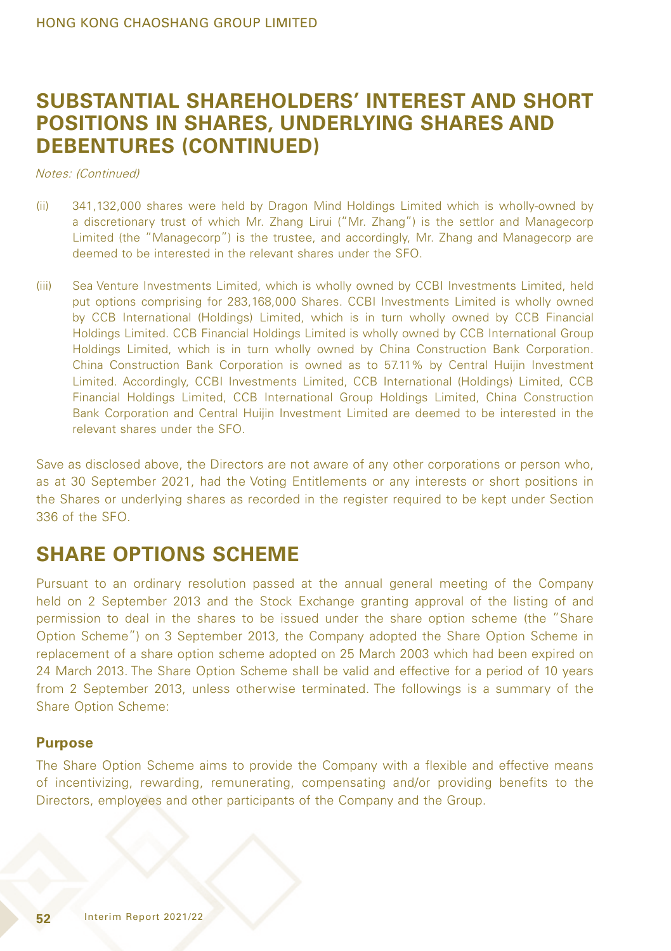## **SUBSTANTIAL SHAREHOLDERS' INTEREST AND SHORT POSITIONS IN SHARES, UNDERLYING SHARES AND DEBENTURES (CONTINUED)**

Notes: (Continued)

- (ii) 341,132,000 shares were held by Dragon Mind Holdings Limited which is wholly-owned by a discretionary trust of which Mr. Zhang Lirui ("Mr. Zhang") is the settlor and Managecorp Limited (the "Managecorp") is the trustee, and accordingly, Mr. Zhang and Managecorp are deemed to be interested in the relevant shares under the SFO.
- (iii) Sea Venture Investments Limited, which is wholly owned by CCBI Investments Limited, held put options comprising for 283,168,000 Shares. CCBI Investments Limited is wholly owned by CCB International (Holdings) Limited, which is in turn wholly owned by CCB Financial Holdings Limited. CCB Financial Holdings Limited is wholly owned by CCB International Group Holdings Limited, which is in turn wholly owned by China Construction Bank Corporation. China Construction Bank Corporation is owned as to 57.11% by Central Huijin Investment Limited. Accordingly, CCBI Investments Limited, CCB International (Holdings) Limited, CCB Financial Holdings Limited, CCB International Group Holdings Limited, China Construction Bank Corporation and Central Huijin Investment Limited are deemed to be interested in the relevant shares under the SFO.

Save as disclosed above, the Directors are not aware of any other corporations or person who, as at 30 September 2021, had the Voting Entitlements or any interests or short positions in the Shares or underlying shares as recorded in the register required to be kept under Section 336 of the SFO.

## **SHARE OPTIONS SCHEME**

Pursuant to an ordinary resolution passed at the annual general meeting of the Company held on 2 September 2013 and the Stock Exchange granting approval of the listing of and permission to deal in the shares to be issued under the share option scheme (the "Share Option Scheme") on 3 September 2013, the Company adopted the Share Option Scheme in replacement of a share option scheme adopted on 25 March 2003 which had been expired on 24 March 2013. The Share Option Scheme shall be valid and effective for a period of 10 years from 2 September 2013, unless otherwise terminated. The followings is a summary of the Share Option Scheme:

### **Purpose**

The Share Option Scheme aims to provide the Company with a flexible and effective means of incentivizing, rewarding, remunerating, compensating and/or providing benefits to the Directors, employees and other participants of the Company and the Group.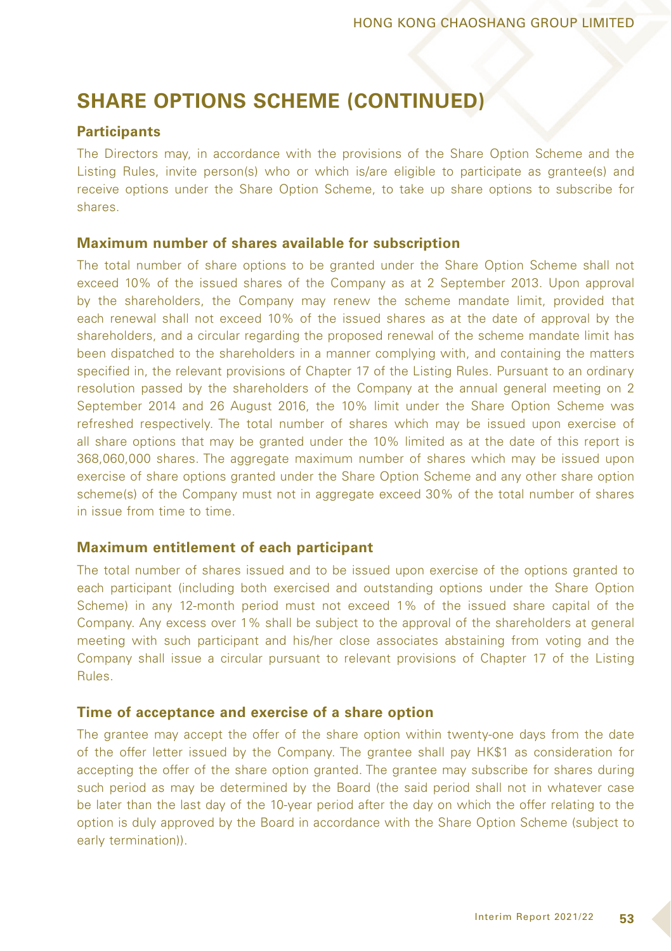## **SHARE OPTIONS SCHEME (CONTINUED)**

### **Participants**

The Directors may, in accordance with the provisions of the Share Option Scheme and the Listing Rules, invite person(s) who or which is/are eligible to participate as grantee(s) and receive options under the Share Option Scheme, to take up share options to subscribe for shares.

### **Maximum number of shares available for subscription**

The total number of share options to be granted under the Share Option Scheme shall not exceed 10% of the issued shares of the Company as at 2 September 2013. Upon approval by the shareholders, the Company may renew the scheme mandate limit, provided that each renewal shall not exceed 10% of the issued shares as at the date of approval by the shareholders, and a circular regarding the proposed renewal of the scheme mandate limit has been dispatched to the shareholders in a manner complying with, and containing the matters specified in, the relevant provisions of Chapter 17 of the Listing Rules. Pursuant to an ordinary resolution passed by the shareholders of the Company at the annual general meeting on 2 September 2014 and 26 August 2016, the 10% limit under the Share Option Scheme was refreshed respectively. The total number of shares which may be issued upon exercise of all share options that may be granted under the 10% limited as at the date of this report is 368,060,000 shares. The aggregate maximum number of shares which may be issued upon exercise of share options granted under the Share Option Scheme and any other share option scheme(s) of the Company must not in aggregate exceed 30% of the total number of shares in issue from time to time.

### **Maximum entitlement of each participant**

The total number of shares issued and to be issued upon exercise of the options granted to each participant (including both exercised and outstanding options under the Share Option Scheme) in any 12-month period must not exceed 1% of the issued share capital of the Company. Any excess over 1% shall be subject to the approval of the shareholders at general meeting with such participant and his/her close associates abstaining from voting and the Company shall issue a circular pursuant to relevant provisions of Chapter 17 of the Listing Rules.

### **Time of acceptance and exercise of a share option**

The grantee may accept the offer of the share option within twenty-one days from the date of the offer letter issued by the Company. The grantee shall pay HK\$1 as consideration for accepting the offer of the share option granted. The grantee may subscribe for shares during such period as may be determined by the Board (the said period shall not in whatever case be later than the last day of the 10-year period after the day on which the offer relating to the option is duly approved by the Board in accordance with the Share Option Scheme (subject to early termination)).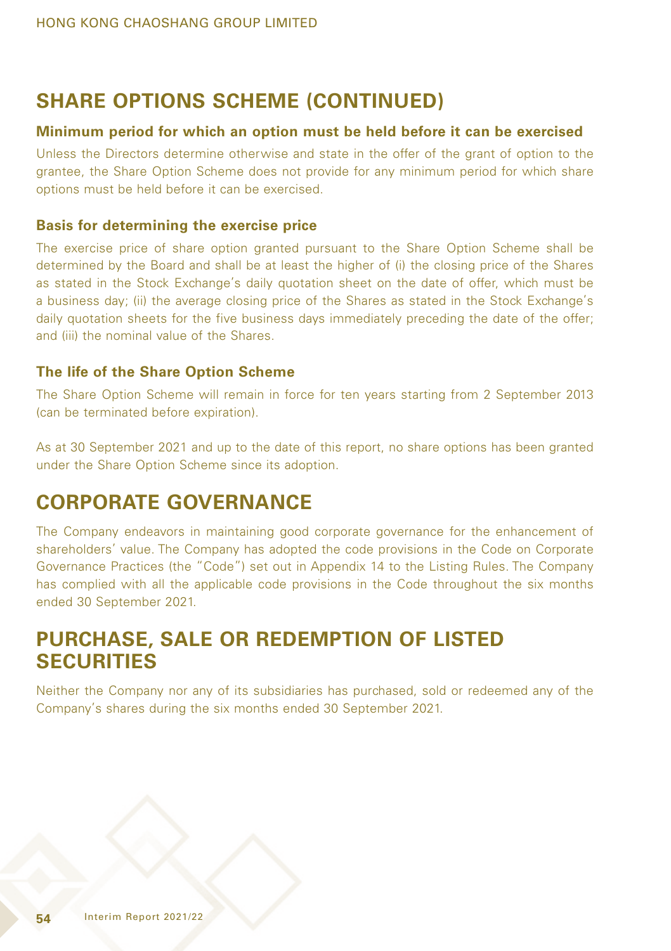## **SHARE OPTIONS SCHEME (CONTINUED)**

### **Minimum period for which an option must be held before it can be exercised**

Unless the Directors determine otherwise and state in the offer of the grant of option to the grantee, the Share Option Scheme does not provide for any minimum period for which share options must be held before it can be exercised.

### **Basis for determining the exercise price**

The exercise price of share option granted pursuant to the Share Option Scheme shall be determined by the Board and shall be at least the higher of (i) the closing price of the Shares as stated in the Stock Exchange's daily quotation sheet on the date of offer, which must be a business day; (ii) the average closing price of the Shares as stated in the Stock Exchange's daily quotation sheets for the five business days immediately preceding the date of the offer; and (iii) the nominal value of the Shares.

### **The life of the Share Option Scheme**

The Share Option Scheme will remain in force for ten years starting from 2 September 2013 (can be terminated before expiration).

As at 30 September 2021 and up to the date of this report, no share options has been granted under the Share Option Scheme since its adoption.

## **CORPORATE GOVERNANCE**

The Company endeavors in maintaining good corporate governance for the enhancement of shareholders' value. The Company has adopted the code provisions in the Code on Corporate Governance Practices (the "Code") set out in Appendix 14 to the Listing Rules. The Company has complied with all the applicable code provisions in the Code throughout the six months ended 30 September 2021.

## **PURCHASE, SALE OR REDEMPTION OF LISTED SECURITIES**

Neither the Company nor any of its subsidiaries has purchased, sold or redeemed any of the Company's shares during the six months ended 30 September 2021.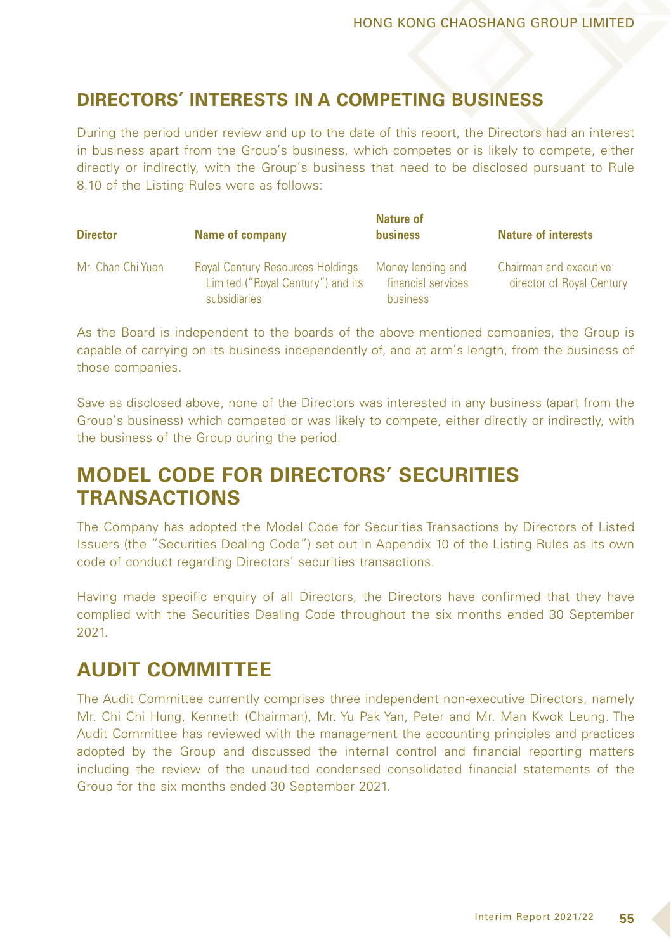## **DIRECTORS' INTERESTS IN A COMPETING BUSINESS**

During the period under review and up to the date of this report, the Directors had an interest in business apart from the Group's business, which competes or is likely to compete, either directly or indirectly, with the Group's business that need to be disclosed pursuant to Rule 8.10 of the Listing Rules were as follows:

| <b>Director</b>   | Name of company                                                                              | Nature of<br><b>business</b>                        | <b>Nature of interests</b>                          |
|-------------------|----------------------------------------------------------------------------------------------|-----------------------------------------------------|-----------------------------------------------------|
| Mr. Chan Chi Yuen | <b>Royal Century Resources Holdings</b><br>Limited ("Royal Century") and its<br>subsidiaries | Money lending and<br>financial services<br>business | Chairman and executive<br>director of Royal Century |

As the Board is independent to the boards of the above mentioned companies, the Group is capable of carrying on its business independently of, and at arm's length, from the business of those companies.

Save as disclosed above, none of the Directors was interested in any business (apart from the Group's business) which competed or was likely to compete, either directly or indirectly, with the business of the Group during the period.

## **MODEL CODE FOR DIRECTORS' SECURITIES TRANSACTIONS**

The Company has adopted the Model Code for Securities Transactions by Directors of Listed Issuers (the "Securities Dealing Code") set out in Appendix 10 of the Listing Rules as its own code of conduct regarding Directors' securities transactions.

Having made specific enquiry of all Directors, the Directors have confirmed that they have complied with the Securities Dealing Code throughout the six months ended 30 September 2021.

## **AUDIT COMMITTEE**

The Audit Committee currently comprises three independent non-executive Directors, namely Mr. Chi Chi Hung, Kenneth (Chairman), Mr. Yu Pak Yan, Peter and Mr. Man Kwok Leung. The Audit Committee has reviewed with the management the accounting principles and practices adopted by the Group and discussed the internal control and financial reporting matters including the review of the unaudited condensed consolidated financial statements of the Group for the six months ended 30 September 2021.